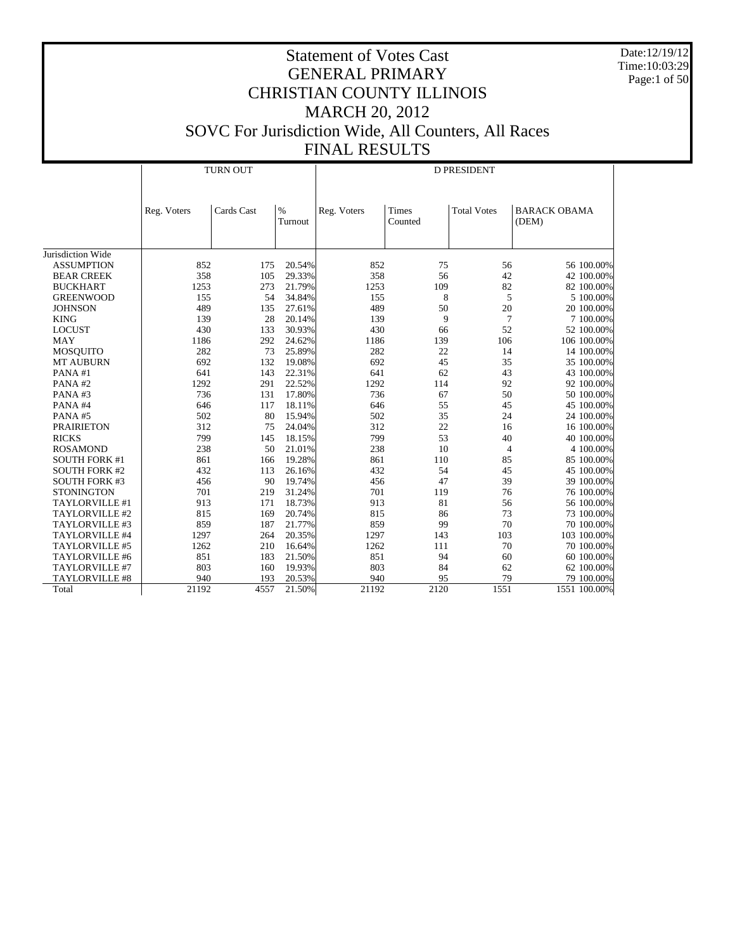Date:12/19/12 Time:10:03:29 Page:1 of 50

|                      |             | <b>TURN OUT</b> |                 | <b>D PRESIDENT</b> |                  |                    |                              |  |  |
|----------------------|-------------|-----------------|-----------------|--------------------|------------------|--------------------|------------------------------|--|--|
|                      | Reg. Voters | Cards Cast      | $\%$<br>Turnout | Reg. Voters        | Times<br>Counted | <b>Total Votes</b> | <b>BARACK OBAMA</b><br>(DEM) |  |  |
| Jurisdiction Wide    |             |                 |                 |                    |                  |                    |                              |  |  |
| <b>ASSUMPTION</b>    | 852         | 175             | 20.54%          | 852                | 75               | 56                 | 56 100.00%                   |  |  |
| <b>BEAR CREEK</b>    | 358         | 105             | 29.33%          | 358                | 56               | 42                 | 42 100.00%                   |  |  |
| <b>BUCKHART</b>      | 1253        | 273             | 21.79%          | 1253               | 109              | 82                 | 82 100.00%                   |  |  |
| <b>GREENWOOD</b>     | 155         | 54              | 34.84%          | 155                | 8                | 5                  | 5 100.00%                    |  |  |
| <b>JOHNSON</b>       | 489         | 135             | 27.61%          | 489                | 50               | 20                 | 20 100.00%                   |  |  |
| <b>KING</b>          | 139         | 28              | 20.14%          | 139                | 9                | 7                  | 7 100.00%                    |  |  |
| <b>LOCUST</b>        | 430         | 133             | 30.93%          | 430                | 66               | 52                 | 52 100.00%                   |  |  |
| <b>MAY</b>           | 1186        | 292             | 24.62%          | 1186               | 139              | 106                | 106 100.00%                  |  |  |
| MOSQUITO             | 282         | 73              | 25.89%          | 282                | 22               | 14                 | 14 100.00%                   |  |  |
| <b>MT AUBURN</b>     | 692         | 132             | 19.08%          | 692                | 45               | 35                 | 35 100.00%                   |  |  |
| PANA#1               | 641         | 143             | 22.31%          | 641                | 62               | 43                 | 43 100.00%                   |  |  |
| PANA#2               | 1292        | 291             | 22.52%          | 1292               | 114              | 92                 | 92 100.00%                   |  |  |
| PANA#3               | 736         | 131             | 17.80%          | 736                | 67               | 50                 | 50 100.00%                   |  |  |
| PANA#4               | 646         | 117             | 18.11%          | 646                | 55               | 45                 | 45 100.00%                   |  |  |
| PANA#5               | 502         | 80              | 15.94%          | 502                | 35               | 24                 | 24 100.00%                   |  |  |
| <b>PRAIRIETON</b>    | 312         | 75              | 24.04%          | 312                | 22               | 16                 | 16 100.00%                   |  |  |
| <b>RICKS</b>         | 799         | 145             | 18.15%          | 799                | 53               | 40                 | 40 100.00%                   |  |  |
| <b>ROSAMOND</b>      | 238         | 50              | 21.01%          | 238                | 10               | 4                  | 4 100.00%                    |  |  |
| <b>SOUTH FORK #1</b> | 861         | 166             | 19.28%          | 861                | 110              | 85                 | 85 100.00%                   |  |  |
| <b>SOUTH FORK #2</b> | 432         | 113             | 26.16%          | 432                | 54               | 45                 | 45 100.00%                   |  |  |
| <b>SOUTH FORK #3</b> | 456         | 90              | 19.74%          | 456                | 47               | 39                 | 39 100.00%                   |  |  |
| <b>STONINGTON</b>    | 701         | 219             | 31.24%          | 701                | 119              | 76                 | 76 100.00%                   |  |  |
| TAYLORVILLE #1       | 913         | 171             | 18.73%          | 913                | 81               | 56                 | 56 100.00%                   |  |  |
| TAYLORVILLE #2       | 815         | 169             | 20.74%          | 815                | 86               | 73                 | 73 100.00%                   |  |  |
| TAYLORVILLE #3       | 859         | 187             | 21.77%          | 859                | 99               | 70                 | 70 100,00%                   |  |  |
| TAYLORVILLE #4       | 1297        | 264             | 20.35%          | 1297               | 143              | 103                | 103 100.00%                  |  |  |
| TAYLORVILLE #5       | 1262        | 210             | 16.64%          | 1262               | 111              | 70                 | 70 100.00%                   |  |  |
| TAYLORVILLE #6       | 851         | 183             | 21.50%          | 851                | 94               | 60                 | 60 100.00%                   |  |  |
| TAYLORVILLE #7       | 803         | 160             | 19.93%          | 803                | 84               | 62                 | 62 100.00%                   |  |  |
| TAYLORVILLE #8       | 940         | 193             | 20.53%          | 940                | 95               | 79                 | 79 100.00%                   |  |  |
| Total                | 21192       | 4557            | 21.50%          | 21192              | 2120             | 1551               | 1551 100.00%                 |  |  |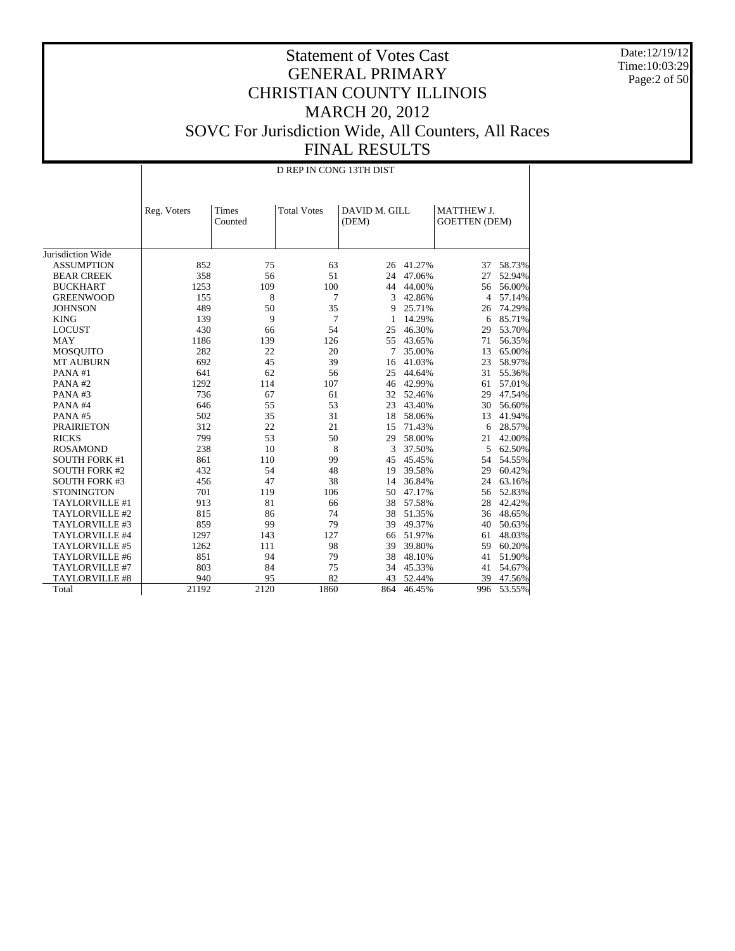Date:12/19/12 Time:10:03:29 Page:2 of 50

|                      |             | D REP IN CONG 13TH DIST |                    |                        |           |                                           |        |  |  |  |  |
|----------------------|-------------|-------------------------|--------------------|------------------------|-----------|-------------------------------------------|--------|--|--|--|--|
|                      | Reg. Voters | Times<br>Counted        | <b>Total Votes</b> | DAVID M. GILL<br>(DEM) |           | <b>MATTHEW J.</b><br><b>GOETTEN</b> (DEM) |        |  |  |  |  |
| Jurisdiction Wide    |             |                         |                    |                        |           |                                           |        |  |  |  |  |
| <b>ASSUMPTION</b>    | 852         | 75                      | 63                 | 26                     | 41.27%    | 37                                        | 58.73% |  |  |  |  |
| <b>BEAR CREEK</b>    | 358         | 56                      | 51                 | 24                     | 47.06%    | 27                                        | 52.94% |  |  |  |  |
| <b>BUCKHART</b>      | 1253        | 109                     | 100                | 44                     | 44.00%    | 56                                        | 56.00% |  |  |  |  |
| <b>GREENWOOD</b>     | 155         | 8                       | 7                  | 3                      | 42.86%    | $\overline{4}$                            | 57.14% |  |  |  |  |
| <b>JOHNSON</b>       | 489         | 50                      | 35                 | 9                      | 25.71%    | 26                                        | 74.29% |  |  |  |  |
| <b>KING</b>          | 139         | 9                       | 7                  | 1                      | 14.29%    | 6                                         | 85.71% |  |  |  |  |
| <b>LOCUST</b>        | 430         | 66                      | 54                 | 25                     | 46.30%    | 29                                        | 53.70% |  |  |  |  |
| <b>MAY</b>           | 1186        | 139                     | 126                | 55                     | 43.65%    | 71                                        | 56.35% |  |  |  |  |
| <b>MOSQUITO</b>      | 282         | 22                      | 20                 | 7                      | 35.00%    | 13                                        | 65.00% |  |  |  |  |
| <b>MT AUBURN</b>     | 692         | 45                      | 39                 | 16                     | 41.03%    | 23                                        | 58.97% |  |  |  |  |
| PANA#1               | 641         | 62                      | 56                 | 25                     | 44.64%    | 31                                        | 55.36% |  |  |  |  |
| PANA#2               | 1292        | 114                     | 107                | 46                     | 42.99%    | 61                                        | 57.01% |  |  |  |  |
| PANA#3               | 736         | 67                      | 61                 |                        | 32 52.46% | 29                                        | 47.54% |  |  |  |  |
| PANA#4               | 646         | 55                      | 53                 | 23                     | 43.40%    | 30                                        | 56.60% |  |  |  |  |
| PANA#5               | 502         | 35                      | 31                 | 18                     | 58.06%    | 13                                        | 41.94% |  |  |  |  |
| <b>PRAIRIETON</b>    | 312         | 22                      | 21                 | 15                     | 71.43%    | 6                                         | 28.57% |  |  |  |  |
| <b>RICKS</b>         | 799         | 53                      | 50                 | 29                     | 58.00%    | 21                                        | 42.00% |  |  |  |  |
| <b>ROSAMOND</b>      | 238         | 10                      | 8                  | 3                      | 37.50%    | 5                                         | 62.50% |  |  |  |  |
| <b>SOUTH FORK #1</b> | 861         | 110                     | 99                 | 45                     | 45.45%    | 54                                        | 54.55% |  |  |  |  |
| <b>SOUTH FORK #2</b> | 432         | 54                      | 48                 | 19                     | 39.58%    | 29                                        | 60.42% |  |  |  |  |
| <b>SOUTH FORK #3</b> | 456         | 47                      | 38                 | 14                     | 36.84%    | 24                                        | 63.16% |  |  |  |  |
| <b>STONINGTON</b>    | 701         | 119                     | 106                | 50                     | 47.17%    | 56                                        | 52.83% |  |  |  |  |
| TAYLORVILLE #1       | 913         | 81                      | 66                 | 38                     | 57.58%    | 28                                        | 42.42% |  |  |  |  |
| TAYLORVILLE #2       | 815         | 86                      | 74                 | 38                     | 51.35%    | 36                                        | 48.65% |  |  |  |  |
| TAYLORVILLE #3       | 859         | 99                      | 79                 | 39                     | 49.37%    | 40                                        | 50.63% |  |  |  |  |
| TAYLORVILLE #4       | 1297        | 143                     | 127                | 66                     | 51.97%    | 61                                        | 48.03% |  |  |  |  |
| TAYLORVILLE #5       | 1262        | 111                     | 98                 | 39                     | 39.80%    | 59                                        | 60.20% |  |  |  |  |
| TAYLORVILLE #6       | 851         | 94                      | 79                 | 38                     | 48.10%    | 41                                        | 51.90% |  |  |  |  |
| TAYLORVILLE #7       | 803         | 84                      | 75                 | 34                     | 45.33%    | 41                                        | 54.67% |  |  |  |  |
| TAYLORVILLE #8       | 940         | 95                      | 82                 | 43                     | 52.44%    | 39                                        | 47.56% |  |  |  |  |
| Total                | 21192       | 2120                    | 1860               | 864                    | 46.45%    | 996                                       | 53.55% |  |  |  |  |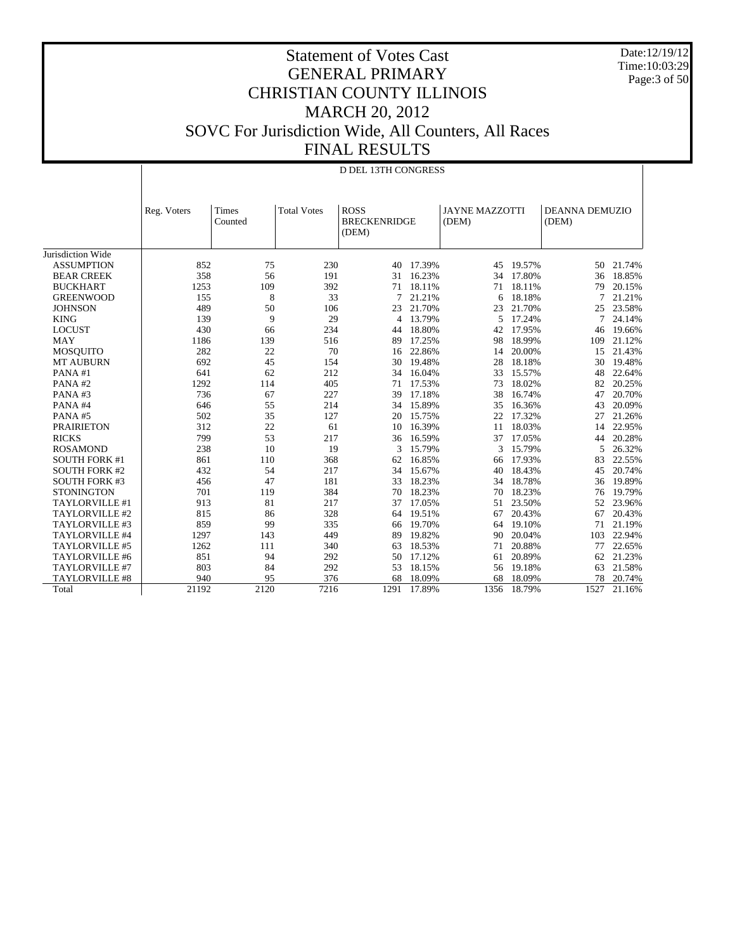Date:12/19/12 Time:10:03:29 Page:3 of 50

#### Statement of Votes Cast GENERAL PRIMARY CHRISTIAN COUNTY ILLINOIS MARCH 20, 2012 SOVC For Jurisdiction Wide, All Counters, All Races FINAL RESULTS

|                      |             | <b>D DEL 13TH CONGRESS</b> |                    |                                             |        |                                |        |                                |        |  |  |
|----------------------|-------------|----------------------------|--------------------|---------------------------------------------|--------|--------------------------------|--------|--------------------------------|--------|--|--|
|                      |             |                            |                    |                                             |        |                                |        |                                |        |  |  |
|                      | Reg. Voters | Times<br>Counted           | <b>Total Votes</b> | <b>ROSS</b><br><b>BRECKENRIDGE</b><br>(DEM) |        | <b>JAYNE MAZZOTTI</b><br>(DEM) |        | <b>DEANNA DEMUZIO</b><br>(DEM) |        |  |  |
| Jurisdiction Wide    |             |                            |                    |                                             |        |                                |        |                                |        |  |  |
| <b>ASSUMPTION</b>    | 852         | 75                         | 230                | 40                                          | 17.39% | 45                             | 19.57% | 50                             | 21.74% |  |  |
| <b>BEAR CREEK</b>    | 358         | 56                         | 191                | 31                                          | 16.23% | 34                             | 17.80% | 36                             | 18.85% |  |  |
| <b>BUCKHART</b>      | 1253        | 109                        | 392                | 71                                          | 18.11% | 71                             | 18.11% | 79                             | 20.15% |  |  |
| <b>GREENWOOD</b>     | 155         | 8                          | 33                 | 7                                           | 21.21% | 6                              | 18.18% | 7                              | 21.21% |  |  |
| <b>JOHNSON</b>       | 489         | 50                         | 106                | 23                                          | 21.70% | 23                             | 21.70% | 25                             | 23.58% |  |  |
| <b>KING</b>          | 139         | 9                          | 29                 | $\overline{4}$                              | 13.79% | 5                              | 17.24% | 7                              | 24.14% |  |  |
| <b>LOCUST</b>        | 430         | 66                         | 234                | 44                                          | 18.80% | 42                             | 17.95% | 46                             | 19.66% |  |  |
| <b>MAY</b>           | 1186        | 139                        | 516                | 89                                          | 17.25% | 98                             | 18.99% | 109                            | 21.12% |  |  |
| <b>MOSQUITO</b>      | 282         | 22                         | 70                 | 16                                          | 22.86% | 14                             | 20.00% | 15                             | 21.43% |  |  |
| <b>MT AUBURN</b>     | 692         | 45                         | 154                | 30                                          | 19.48% | 28                             | 18.18% | 30                             | 19.48% |  |  |
| PANA#1               | 641         | 62                         | 212                | 34                                          | 16.04% | 33                             | 15.57% | 48                             | 22.64% |  |  |
| PANA#2               | 1292        | 114                        | 405                | 71                                          | 17.53% | 73                             | 18.02% | 82                             | 20.25% |  |  |
| PANA#3               | 736         | 67                         | 227                | 39                                          | 17.18% | 38                             | 16.74% | 47                             | 20.70% |  |  |
| PANA#4               | 646         | 55                         | 214                | 34                                          | 15.89% | 35                             | 16.36% | 43                             | 20.09% |  |  |
| PANA#5               | 502         | 35                         | 127                | 20                                          | 15.75% | 22                             | 17.32% | 27                             | 21.26% |  |  |
| <b>PRAIRIETON</b>    | 312         | 22                         | 61                 | 10                                          | 16.39% | 11                             | 18.03% | 14                             | 22.95% |  |  |
| <b>RICKS</b>         | 799         | 53                         | 217                | 36                                          | 16.59% | 37                             | 17.05% | 44                             | 20.28% |  |  |
| <b>ROSAMOND</b>      | 238         | 10                         | 19                 | 3                                           | 15.79% | 3                              | 15.79% | 5                              | 26.32% |  |  |
| <b>SOUTH FORK #1</b> | 861         | 110                        | 368                | 62                                          | 16.85% | 66                             | 17.93% | 83                             | 22.55% |  |  |
| <b>SOUTH FORK #2</b> | 432         | 54                         | 217                | 34                                          | 15.67% | 40                             | 18.43% | 45                             | 20.74% |  |  |
| <b>SOUTH FORK #3</b> | 456         | 47                         | 181                | 33                                          | 18.23% | 34                             | 18.78% | 36                             | 19.89% |  |  |
| <b>STONINGTON</b>    | 701         | 119                        | 384                | 70                                          | 18.23% | 70                             | 18.23% | 76                             | 19.79% |  |  |
| TAYLORVILLE #1       | 913         | 81                         | 217                | 37                                          | 17.05% | 51                             | 23.50% | 52                             | 23.96% |  |  |
| TAYLORVILLE #2       | 815         | 86                         | 328                | 64                                          | 19.51% | 67                             | 20.43% | 67                             | 20.43% |  |  |
| TAYLORVILLE #3       | 859         | 99                         | 335                | 66                                          | 19.70% | 64                             | 19.10% | 71                             | 21.19% |  |  |
| TAYLORVILLE #4       | 1297        | 143                        | 449                | 89                                          | 19.82% | 90                             | 20.04% | 103                            | 22.94% |  |  |
| TAYLORVILLE #5       | 1262        | 111                        | 340                | 63                                          | 18.53% | 71                             | 20.88% | 77                             | 22.65% |  |  |
| TAYLORVILLE #6       | 851         | 94                         | 292                | 50                                          | 17.12% | 61                             | 20.89% | 62                             | 21.23% |  |  |
| TAYLORVILLE #7       | 803         | 84                         | 292                | 53                                          | 18.15% | 56                             | 19.18% | 63                             | 21.58% |  |  |
| TAYLORVILLE #8       | 940         | 95                         | 376                | 68                                          | 18.09% | 68                             | 18.09% | 78                             | 20.74% |  |  |
| Total                | 21192       | 2120                       | 7216               | 1291                                        | 17.89% | 1356                           | 18.79% | 1527                           | 21.16% |  |  |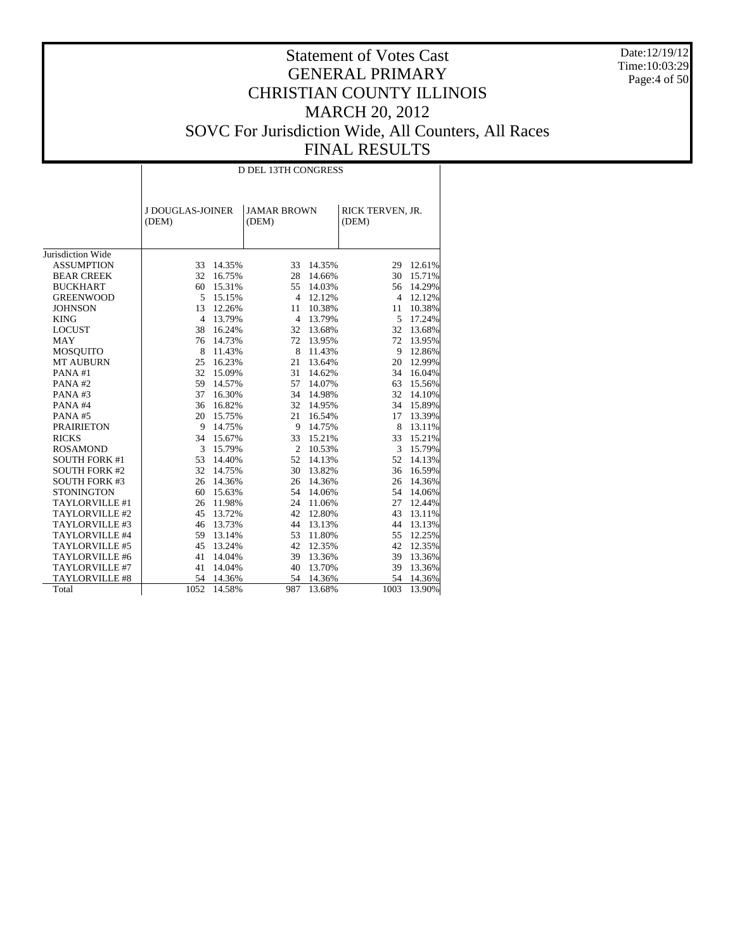Date:12/19/12 Time:10:03:29 Page:4 of 50

|                      | <b>D DEL 13TH CONGRESS</b> |        |                             |                     |                           |        |  |  |  |  |  |  |
|----------------------|----------------------------|--------|-----------------------------|---------------------|---------------------------|--------|--|--|--|--|--|--|
|                      | J DOUGLAS-JOINER<br>(DEM)  |        | <b>JAMAR BROWN</b><br>(DEM) |                     | RICK TERVEN, JR.<br>(DEM) |        |  |  |  |  |  |  |
| Jurisdiction Wide    |                            |        |                             |                     |                           |        |  |  |  |  |  |  |
| <b>ASSUMPTION</b>    | 33                         | 14.35% | 33                          | 14.35%              | 29                        | 12.61% |  |  |  |  |  |  |
| <b>BEAR CREEK</b>    | 32                         | 16.75% | 28                          | 14.66%              | 30                        | 15.71% |  |  |  |  |  |  |
| <b>BUCKHART</b>      | 60                         | 15.31% | 55                          |                     | 56                        | 14.29% |  |  |  |  |  |  |
| <b>GREENWOOD</b>     | 5                          | 15.15% | $\overline{4}$              | 14.03%<br>12.12%    | $\overline{4}$            | 12.12% |  |  |  |  |  |  |
| <b>JOHNSON</b>       | 13                         | 12.26% | 11                          | 10.38%              | 11                        | 10.38% |  |  |  |  |  |  |
| <b>KING</b>          | $\overline{4}$             | 13.79% | $\overline{4}$              | 13.79%              | 5                         | 17.24% |  |  |  |  |  |  |
| <b>LOCUST</b>        | 38                         | 16.24% | 32                          | 13.68%              | 32                        | 13.68% |  |  |  |  |  |  |
| <b>MAY</b>           |                            |        |                             |                     | 72                        |        |  |  |  |  |  |  |
|                      | 76                         | 14.73% | 72<br>8                     | 13.95%              |                           | 13.95% |  |  |  |  |  |  |
| <b>MOSOUITO</b>      | 8                          | 11.43% | 21                          | 11.43%              | 9<br>20                   | 12.86% |  |  |  |  |  |  |
| <b>MT AUBURN</b>     | 25<br>32                   | 16.23% | 31                          | 13.64%              | 34                        | 12.99% |  |  |  |  |  |  |
| PANA#1<br>PANA#2     | 59                         | 15.09% |                             | 14.62%              |                           | 16.04% |  |  |  |  |  |  |
|                      | 37                         | 14.57% | 57<br>34                    | 14.07%              | 63<br>32                  | 15.56% |  |  |  |  |  |  |
| PANA#3<br>PANA#4     | 36                         | 16.30% |                             | 14.98%              | 34                        | 14.10% |  |  |  |  |  |  |
|                      | 20                         | 16.82% | 21                          | 32 14.95%<br>16.54% |                           | 15.89% |  |  |  |  |  |  |
| PANA#5               |                            | 15.75% |                             |                     | 17                        | 13.39% |  |  |  |  |  |  |
| <b>PRAIRIETON</b>    | 9                          | 14.75% | 9                           | 14.75%              | 8                         | 13.11% |  |  |  |  |  |  |
| <b>RICKS</b>         | 34                         | 15.67% | 33                          | 15.21%              | 33                        | 15.21% |  |  |  |  |  |  |
| <b>ROSAMOND</b>      | 3                          | 15.79% | 2                           | 10.53%              | 3                         | 15.79% |  |  |  |  |  |  |
| <b>SOUTH FORK #1</b> | 53                         | 14.40% | 52                          | 14.13%              | 52                        | 14.13% |  |  |  |  |  |  |
| <b>SOUTH FORK #2</b> | 32                         | 14.75% | 30                          | 13.82%              | 36                        | 16.59% |  |  |  |  |  |  |
| <b>SOUTH FORK #3</b> | 26                         | 14.36% |                             | 26 14.36%           | 26                        | 14.36% |  |  |  |  |  |  |
| <b>STONINGTON</b>    | 60                         | 15.63% | 54                          | 14.06%              | 54                        | 14.06% |  |  |  |  |  |  |
| TAYLORVILLE #1       | 26                         | 11.98% | 24                          | 11.06%              | 27                        | 12.44% |  |  |  |  |  |  |
| TAYLORVILLE #2       | 45                         | 13.72% | 42                          | 12.80%              | 43                        | 13.11% |  |  |  |  |  |  |
| TAYLORVILLE #3       | 46                         | 13.73% | 44                          | 13.13%              | 44                        | 13.13% |  |  |  |  |  |  |
| TAYLORVILLE #4       | 59                         | 13.14% | 53                          | 11.80%              | 55                        | 12.25% |  |  |  |  |  |  |
| TAYLORVILLE #5       | 45                         | 13.24% | 42                          | 12.35%              | 42                        | 12.35% |  |  |  |  |  |  |
| TAYLORVILLE #6       | 41                         | 14.04% | 39                          | 13.36%              | 39                        | 13.36% |  |  |  |  |  |  |
| TAYLORVILLE #7       | 41                         | 14.04% | 40                          | 13.70%              | 39                        | 13.36% |  |  |  |  |  |  |
| TAYLORVILLE #8       | 54                         | 14.36% | 54                          | 14.36%              | 54                        | 14.36% |  |  |  |  |  |  |
| Total                | 1052                       | 14.58% | 987                         | 13.68%              | 1003                      | 13.90% |  |  |  |  |  |  |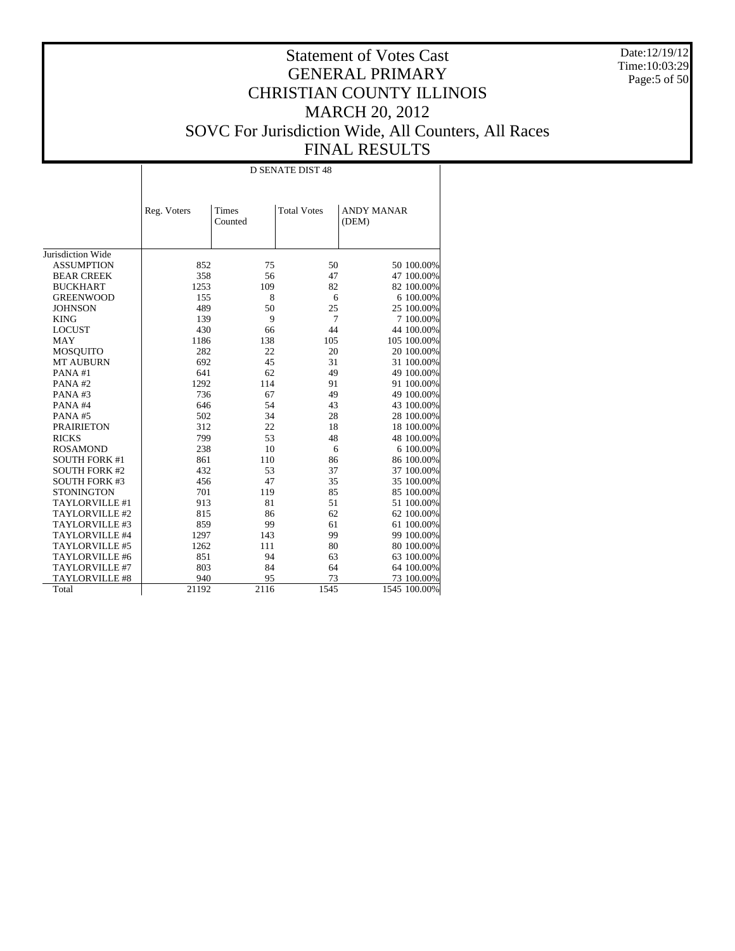Date:12/19/12 Time:10:03:29 Page:5 of 50

|                      |             | <b>D SENATE DIST 48</b> |                    |                            |  |  |  |  |  |  |  |
|----------------------|-------------|-------------------------|--------------------|----------------------------|--|--|--|--|--|--|--|
|                      | Reg. Voters | Times<br>Counted        | <b>Total Votes</b> | <b>ANDY MANAR</b><br>(DEM) |  |  |  |  |  |  |  |
| Jurisdiction Wide    |             |                         |                    |                            |  |  |  |  |  |  |  |
| <b>ASSUMPTION</b>    | 852         | 75                      | 50                 | 50 100.00%                 |  |  |  |  |  |  |  |
| <b>BEAR CREEK</b>    | 358         | 56                      | 47                 | 47 100.00%                 |  |  |  |  |  |  |  |
| <b>BUCKHART</b>      | 1253        | 109                     | 82                 | 82 100.00%                 |  |  |  |  |  |  |  |
| <b>GREENWOOD</b>     | 155         | 8                       | 6                  | 6 100.00%                  |  |  |  |  |  |  |  |
| <b>JOHNSON</b>       | 489         | 50                      | 25                 | 25 100.00%                 |  |  |  |  |  |  |  |
| <b>KING</b>          | 139         | 9                       | $\overline{7}$     | 7 100.00%                  |  |  |  |  |  |  |  |
| <b>LOCUST</b>        | 430         | 66                      | 44                 | 44 100.00%                 |  |  |  |  |  |  |  |
| <b>MAY</b>           | 1186        | 138                     | 105                | 105 100.00%                |  |  |  |  |  |  |  |
| <b>MOSQUITO</b>      | 282         | 22                      | 20                 | 20 100.00%                 |  |  |  |  |  |  |  |
| <b>MT AUBURN</b>     | 692         | 45                      | 31                 | 31 100.00%                 |  |  |  |  |  |  |  |
| PANA#1               | 641         | 62                      | 49                 | 49 100.00%                 |  |  |  |  |  |  |  |
| PANA#2               | 1292        | 114                     | 91                 | 91 100.00%                 |  |  |  |  |  |  |  |
| PANA#3               | 736         | 67                      | 49                 | 49 100.00%                 |  |  |  |  |  |  |  |
| PANA#4               | 646         | 54                      | 43                 | 43 100.00%                 |  |  |  |  |  |  |  |
| PANA#5               | 502         | 34                      | 28                 | 28 100.00%                 |  |  |  |  |  |  |  |
| <b>PRAIRIETON</b>    | 312         | 22                      | 18                 | 18 100.00%                 |  |  |  |  |  |  |  |
| <b>RICKS</b>         | 799         | 53                      | 48                 | 48 100.00%                 |  |  |  |  |  |  |  |
| <b>ROSAMOND</b>      | 238         | 10                      | 6                  | 6 100.00%                  |  |  |  |  |  |  |  |
| <b>SOUTH FORK #1</b> | 861         | 110                     | 86                 | 86 100.00%                 |  |  |  |  |  |  |  |
| <b>SOUTH FORK #2</b> | 432         | 53                      | 37                 | 37 100.00%                 |  |  |  |  |  |  |  |
| <b>SOUTH FORK #3</b> | 456         | 47                      | 35                 | 35 100.00%                 |  |  |  |  |  |  |  |
| <b>STONINGTON</b>    | 701         | 119                     | 85                 | 85 100.00%                 |  |  |  |  |  |  |  |
| TAYLORVILLE #1       | 913         | 81                      | 51                 | 51 100.00%                 |  |  |  |  |  |  |  |
| TAYLORVILLE #2       | 815         | 86                      | 62                 | 62 100.00%                 |  |  |  |  |  |  |  |
| TAYLORVILLE #3       | 859         | 99                      | 61                 | 61 100.00%                 |  |  |  |  |  |  |  |
| TAYLORVILLE #4       | 1297        | 143                     | 99                 | 99 100.00%                 |  |  |  |  |  |  |  |
| TAYLORVILLE #5       | 1262        | 111                     | 80                 | 80 100.00%                 |  |  |  |  |  |  |  |
| TAYLORVILLE #6       | 851         | 94                      | 63                 | 63 100.00%                 |  |  |  |  |  |  |  |
| TAYLORVILLE #7       | 803         | 84                      | 64                 | 64 100.00%                 |  |  |  |  |  |  |  |
| TAYLORVILLE #8       | 940         | 95                      | 73                 | 73 100.00%                 |  |  |  |  |  |  |  |
| Total                | 21192       | 2116                    | 1545               | 1545 100.00%               |  |  |  |  |  |  |  |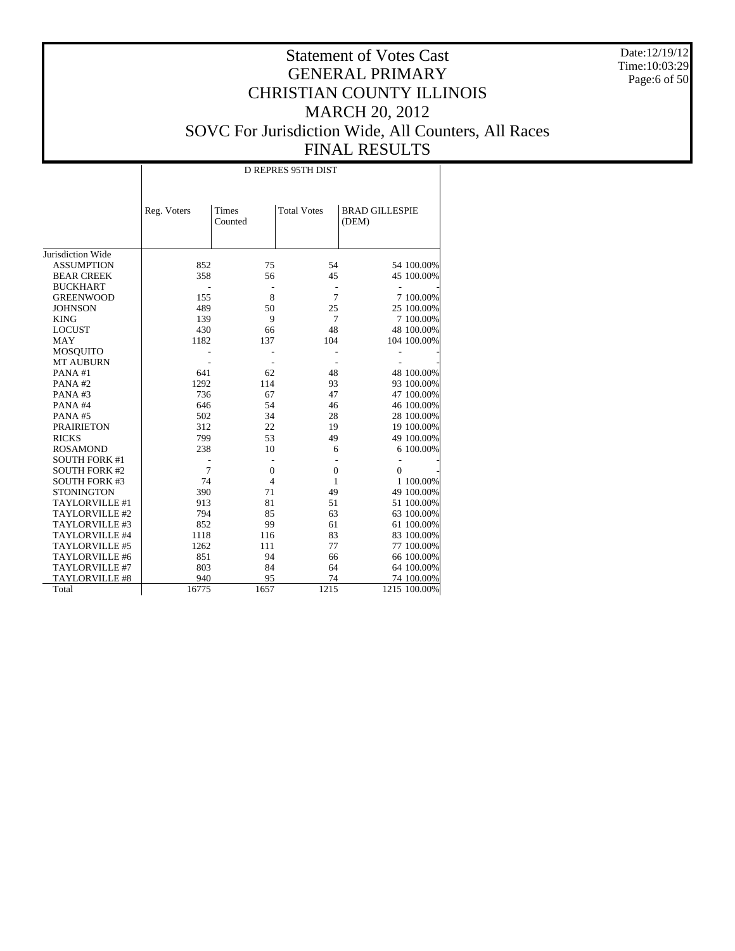Date:12/19/12 Time:10:03:29 Page:6 of 50

|                      |             | <b>D REPRES 95TH DIST</b> |                     |                                |  |  |  |  |  |  |  |  |
|----------------------|-------------|---------------------------|---------------------|--------------------------------|--|--|--|--|--|--|--|--|
|                      | Reg. Voters | Times<br>Counted          | <b>Total Votes</b>  | <b>BRAD GILLESPIE</b><br>(DEM) |  |  |  |  |  |  |  |  |
| Jurisdiction Wide    |             |                           |                     |                                |  |  |  |  |  |  |  |  |
| <b>ASSUMPTION</b>    | 852         | 75                        | 54                  | 54 100.00%                     |  |  |  |  |  |  |  |  |
| <b>BEAR CREEK</b>    | 358         | 56                        | 45                  | 45 100.00%                     |  |  |  |  |  |  |  |  |
| <b>BUCKHART</b>      |             |                           |                     |                                |  |  |  |  |  |  |  |  |
| <b>GREENWOOD</b>     | 155         | 8                         | $\overline{a}$<br>7 |                                |  |  |  |  |  |  |  |  |
|                      |             |                           |                     | 7 100.00%                      |  |  |  |  |  |  |  |  |
| <b>JOHNSON</b>       | 489         | 50                        | 25                  | 25 100.00%                     |  |  |  |  |  |  |  |  |
| <b>KING</b>          | 139         | 9                         | $\overline{7}$      | 7 100.00%                      |  |  |  |  |  |  |  |  |
| <b>LOCUST</b>        | 430         | 66                        | 48                  | 48 100.00%                     |  |  |  |  |  |  |  |  |
| <b>MAY</b>           | 1182        | 137                       | 104                 | 104 100.00%                    |  |  |  |  |  |  |  |  |
| <b>MOSQUITO</b>      |             |                           |                     |                                |  |  |  |  |  |  |  |  |
| <b>MT AUBURN</b>     |             |                           |                     |                                |  |  |  |  |  |  |  |  |
| PANA#1               | 641         | 62                        | 48                  | 48 100.00%                     |  |  |  |  |  |  |  |  |
| PANA#2               | 1292        | 114                       | 93                  | 93 100.00%                     |  |  |  |  |  |  |  |  |
| PANA#3               | 736         | 67                        | 47                  | 47 100.00%                     |  |  |  |  |  |  |  |  |
| PANA#4               | 646         | 54                        | 46                  | 46 100.00%                     |  |  |  |  |  |  |  |  |
| PANA#5               | 502         | 34                        | 28                  | 28 100.00%                     |  |  |  |  |  |  |  |  |
| <b>PRAIRIETON</b>    | 312         | 22                        | 19                  | 19 100.00%                     |  |  |  |  |  |  |  |  |
| <b>RICKS</b>         | 799         | 53                        | 49                  | 49 100.00%                     |  |  |  |  |  |  |  |  |
| <b>ROSAMOND</b>      | 238         | 10                        | 6                   | 6 100.00%                      |  |  |  |  |  |  |  |  |
| <b>SOUTH FORK #1</b> |             |                           |                     | $\overline{a}$                 |  |  |  |  |  |  |  |  |
| <b>SOUTH FORK #2</b> | 7           | $\overline{0}$            | $\mathbf{0}$        | $\theta$                       |  |  |  |  |  |  |  |  |
| <b>SOUTH FORK #3</b> | 74          | $\overline{4}$            | $\mathbf{1}$        | 1 100,00%                      |  |  |  |  |  |  |  |  |
| <b>STONINGTON</b>    | 390         | 71                        | 49                  | 49 100.00%                     |  |  |  |  |  |  |  |  |
| TAYLORVILLE #1       | 913         | 81                        | 51                  | 51 100.00%                     |  |  |  |  |  |  |  |  |
| TAYLORVILLE #2       | 794         | 85                        | 63                  | 63 100.00%                     |  |  |  |  |  |  |  |  |
| TAYLORVILLE #3       | 852         | 99                        | 61                  | 61 100.00%                     |  |  |  |  |  |  |  |  |
| TAYLORVILLE #4       | 1118        | 116                       | 83                  | 83 100.00%                     |  |  |  |  |  |  |  |  |
| TAYLORVILLE #5       | 1262        | 111                       | 77                  | 77 100.00%                     |  |  |  |  |  |  |  |  |
| TAYLORVILLE #6       | 851         | 94                        | 66                  | 66 100.00%                     |  |  |  |  |  |  |  |  |
| TAYLORVILLE #7       | 803         | 84                        | 64                  | 64 100.00%                     |  |  |  |  |  |  |  |  |
| TAYLORVILLE #8       | 940         | 95                        | 74                  | 74 100.00%                     |  |  |  |  |  |  |  |  |
| Total                | 16775       | 1657                      | 1215                | 1215 100.00%                   |  |  |  |  |  |  |  |  |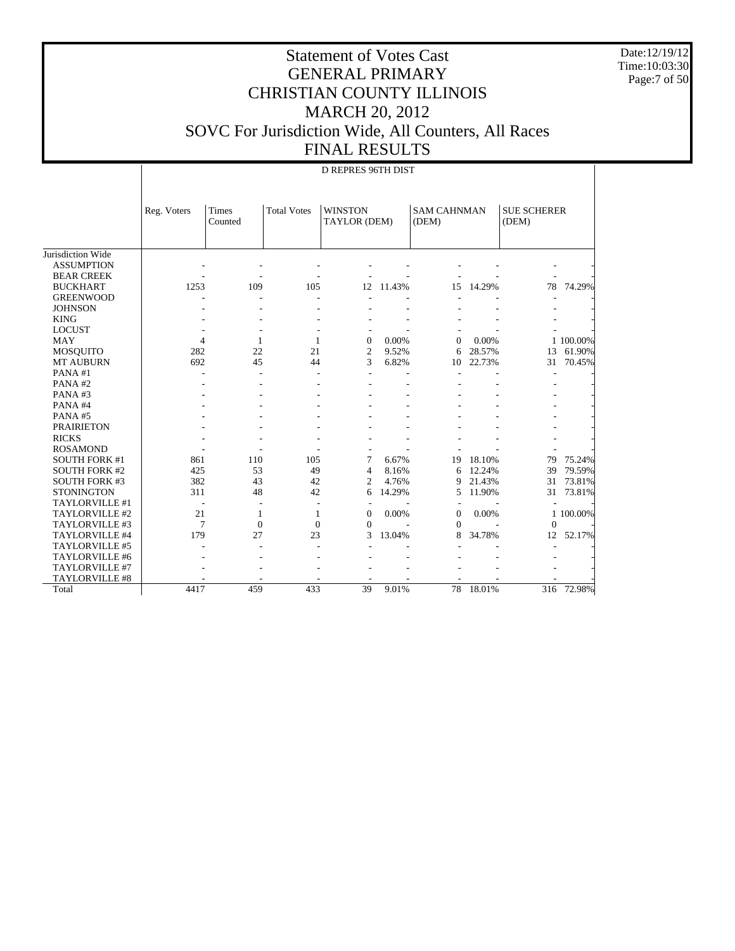Date:12/19/12 Time:10:03:30 Page:7 of 50

#### Statement of Votes Cast GENERAL PRIMARY CHRISTIAN COUNTY ILLINOIS MARCH 20, 2012 SOVC For Jurisdiction Wide, All Counters, All Races FINAL RESULTS

|                      |                | <b>D REPRES 96TH DIST</b> |                    |                                |        |                             |        |                             |           |  |
|----------------------|----------------|---------------------------|--------------------|--------------------------------|--------|-----------------------------|--------|-----------------------------|-----------|--|
|                      | Reg. Voters    | <b>Times</b><br>Counted   | <b>Total Votes</b> | <b>WINSTON</b><br>TAYLOR (DEM) |        | <b>SAM CAHNMAN</b><br>(DEM) |        | <b>SUE SCHERER</b><br>(DEM) |           |  |
| Jurisdiction Wide    |                |                           |                    |                                |        |                             |        |                             |           |  |
| <b>ASSUMPTION</b>    |                |                           |                    |                                |        |                             |        |                             |           |  |
| <b>BEAR CREEK</b>    |                |                           |                    |                                |        |                             |        |                             |           |  |
| <b>BUCKHART</b>      | 1253           | 109                       | 105                | 12                             | 11.43% | 15                          | 14.29% | 78                          | 74.29%    |  |
| <b>GREENWOOD</b>     |                |                           |                    |                                |        |                             |        |                             |           |  |
| <b>JOHNSON</b>       |                |                           |                    |                                |        |                             |        |                             |           |  |
| <b>KING</b>          |                |                           |                    |                                |        |                             |        |                             |           |  |
| <b>LOCUST</b>        |                |                           |                    |                                |        |                             |        |                             |           |  |
| <b>MAY</b>           | $\overline{4}$ | 1                         | 1                  | $\Omega$                       | 0.00%  | $\Omega$                    | 0.00%  |                             | 1 100.00% |  |
| MOSQUITO             | 282            | 22                        | 21                 | $\overline{2}$                 | 9.52%  | 6                           | 28.57% | 13                          | 61.90%    |  |
| <b>MT AUBURN</b>     | 692            | 45                        | 44                 | 3                              | 6.82%  | 10                          | 22.73% | 31                          | 70.45%    |  |
| PANA#1               |                | ÷                         | ÷                  |                                |        |                             |        |                             |           |  |
| PANA#2               |                |                           |                    |                                |        |                             |        |                             |           |  |
| PANA#3               |                |                           |                    |                                |        |                             |        |                             |           |  |
| PANA#4               |                |                           |                    |                                |        |                             |        |                             |           |  |
| PANA#5               |                |                           |                    |                                |        |                             |        |                             |           |  |
| <b>PRAIRIETON</b>    |                |                           |                    |                                |        |                             |        |                             |           |  |
| <b>RICKS</b>         |                |                           |                    |                                |        |                             |        |                             |           |  |
| <b>ROSAMOND</b>      |                |                           |                    |                                |        |                             |        |                             |           |  |
| <b>SOUTH FORK #1</b> | 861            | 110                       | 105                | 7                              | 6.67%  | 19                          | 18.10% | 79                          | 75.24%    |  |
| <b>SOUTH FORK #2</b> | 425            | 53                        | 49                 | $\overline{4}$                 | 8.16%  | 6                           | 12.24% | 39                          | 79.59%    |  |
| <b>SOUTH FORK #3</b> | 382            | 43                        | 42                 | $\overline{2}$                 | 4.76%  | 9                           | 21.43% | 31                          | 73.81%    |  |
| <b>STONINGTON</b>    | 311            | 48                        | 42                 | 6                              | 14.29% | 5                           | 11.90% | 31                          | 73.81%    |  |
| TAYLORVILLE #1       |                |                           | ÷.                 |                                |        |                             |        |                             |           |  |
| TAYLORVILLE #2       | 21             | 1                         | 1                  | $\overline{0}$                 | 0.00%  | $\mathbf{0}$                | 0.00%  |                             | 1 100.00% |  |
| TAYLORVILLE #3       | 7              | $\mathbf{0}$              | $\Omega$           | $\Omega$                       |        | $\Omega$                    |        | $\Omega$                    |           |  |
| TAYLORVILLE #4       | 179            | 27                        | 23                 | 3                              | 13.04% | 8                           | 34.78% | 12                          | 52.17%    |  |
| TAYLORVILLE #5       |                |                           |                    |                                |        |                             |        |                             |           |  |
| TAYLORVILLE #6       |                |                           |                    |                                |        |                             |        |                             |           |  |
| TAYLORVILLE #7       |                |                           |                    |                                |        |                             |        |                             |           |  |
| TAYLORVILLE #8       |                |                           |                    |                                |        |                             |        |                             |           |  |
| Total                | 4417           | 459                       | 433                | 39                             | 9.01%  | 78                          | 18.01% | 316                         | 72.98%    |  |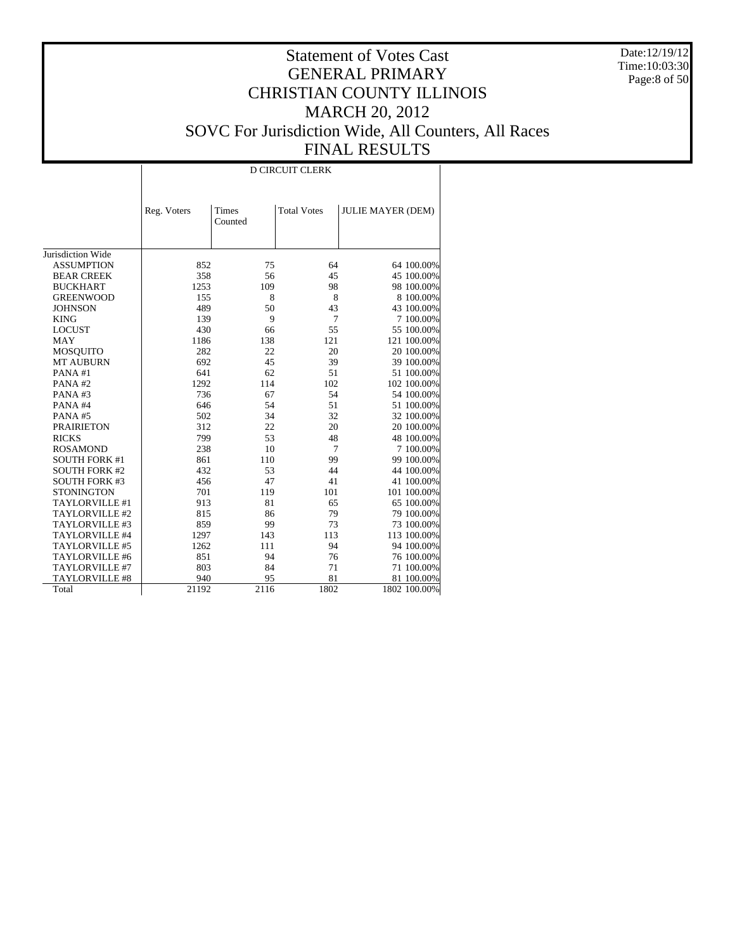Date:12/19/12 Time:10:03:30 Page:8 of 50

#### Statement of Votes Cast GENERAL PRIMARY CHRISTIAN COUNTY ILLINOIS MARCH 20, 2012 SOVC For Jurisdiction Wide, All Counters, All Races FINAL RESULTS

Jurisdiction Wide ASSUMPTION BEAR CREEK BUCKHART GREENWOOD **JOHNSON**  KING LOCUST MAY MOSQUITO MT AUBURN PANA #1 PANA #2 PANA #3 PANA #4 PANA #5 PRAIRIETON RICKS ROSAMOND SOUTH FORK #1 SOUTH FORK #2 SOUTH FORK #3 **STONINGTON**  TAYLORVILLE #1 TAYLORVILLE #2 TAYLORVILLE #3 TAYLORVILLE #4 TAYLORVILLE #5 TAYLORVILLE #6 TAYLORVILLE #7 TAYLORVILLE #8 Total Reg. Voters | Times Counted Total Votes | JULIE MAYER (DEM) D CIRCUIT CLERK 852 75 64 64 100.00%<br>358 56 45 45 100.00% 358 56 45 45 45 100.00%<br>1253 109 98 98 100.00% 1253 109 98 98 100.00% 155 8 8 8 100.00%<br>489 50 43 43 100.00% 43 100.00% 139 9 7 7 100.00%<br>430 66 55 55 100.00% 430 66 55 55 55 100.00%<br>138 121 121 100.00%  $\begin{array}{cccccc} 1186 & & & 138 & & & 121 & & 121 & 100.00\% \\ 282 & & & 22 & & 20 & & 20 & 100.00\% \end{array}$ 282 22 20 20 100.00%<br>692 45 39 39 100.00% 39 100.00% 641 62 51 51 100.00% 114 102 102 100.00%<br>67 54 54 100.00% 736 67 54 54 100.00% 046 54 51 51 51 51 51 51 51 51 60.00% 502 34 52 52 52 52 52 53  $\frac{34}{2}$  52 52 53  $\frac{100.00\%}{2}$ 502 34 32 32 100.00% 312 22 20 20 100.00%<br>
799 53 48 48 100.00% 799 53 48 48 100.00% 238 10 7 7 100.00%<br>861 110 99 99 100.00% 861 99 99 100.00%<br>44 44 100.00% 432 53 44 44 100.00%<br>456 47 41 41 100.00% 456  $47$  41 41 100.00%<br>  $701$  119 101 101 100.00% 101 100.00% 913 81 65 65 100.00%<br>815 86 79 79 100.00% 86 79 79 100.00%<br>99 73 73 100.00% 859 99 73 73 100.00% 1297 143 113 113 100.00%<br>1262 111 94 94 100.00% 94 100.00% 851 94 76 76 76 100.00%<br>803 84 71 71 100.00% 71 100.00% 940 95 81 81 100.00%<br>21192 2116 1802 1802 100.00% 1802 100.00%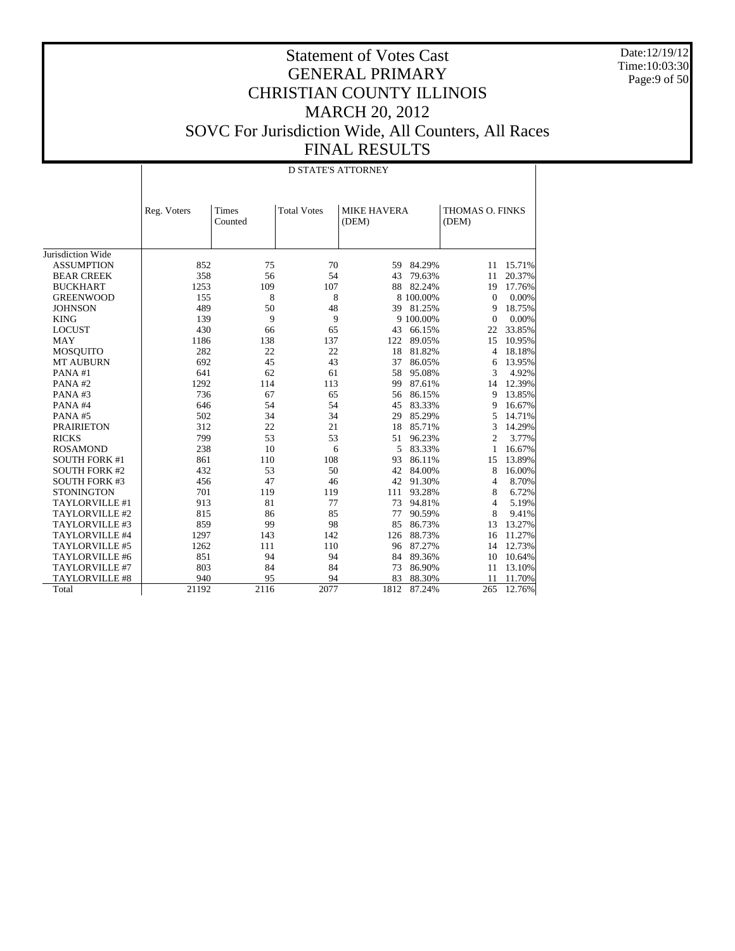Date:12/19/12 Time:10:03:30 Page:9 of 50

|                      |             |                  | <b>D STATE'S ATTORNEY</b> |                             |           |                          |        |
|----------------------|-------------|------------------|---------------------------|-----------------------------|-----------|--------------------------|--------|
|                      | Reg. Voters | Times<br>Counted | <b>Total Votes</b>        | <b>MIKE HAVERA</b><br>(DEM) |           | THOMAS O. FINKS<br>(DEM) |        |
| Jurisdiction Wide    |             |                  |                           |                             |           |                          |        |
| <b>ASSUMPTION</b>    | 852         | 75               | 70                        | 59                          | 84.29%    | 11                       | 15.71% |
| <b>BEAR CREEK</b>    | 358         | 56               | 54                        | 43                          | 79.63%    | 11                       | 20.37% |
| <b>BUCKHART</b>      | 1253        | 109              | 107                       | 88                          | 82.24%    | 19                       | 17.76% |
| <b>GREENWOOD</b>     | 155         | 8                | 8                         |                             | 8 100.00% | $\mathbf{0}$             | 0.00%  |
| <b>JOHNSON</b>       | 489         | 50               | 48                        | 39                          | 81.25%    | 9                        | 18.75% |
| <b>KING</b>          | 139         | 9                | 9                         |                             | 9 100.00% | $\theta$                 | 0.00%  |
| <b>LOCUST</b>        | 430         | 66               | 65                        | 43                          | 66.15%    | 22                       | 33.85% |
| <b>MAY</b>           | 1186        | 138              | 137                       | 122                         | 89.05%    | 15                       | 10.95% |
| <b>MOSQUITO</b>      | 282         | 22               | 22                        | 18                          | 81.82%    | 4                        | 18.18% |
| <b>MT AUBURN</b>     | 692         | 45               | 43                        | 37                          | 86.05%    | 6                        | 13.95% |
| PANA#1               | 641         | 62               | 61                        | 58                          | 95.08%    | 3                        | 4.92%  |
| PANA#2               | 1292        | 114              | 113                       | 99                          | 87.61%    | 14                       | 12.39% |
| PANA#3               | 736         | 67               | 65                        | 56                          | 86.15%    | 9                        | 13.85% |
| PANA#4               | 646         | 54               | 54                        | 45                          | 83.33%    | 9                        | 16.67% |
| PANA#5               | 502         | 34               | 34                        | 29                          | 85.29%    | 5                        | 14.71% |
| <b>PRAIRIETON</b>    | 312         | 22               | 21                        | 18                          | 85.71%    | 3                        | 14.29% |
| <b>RICKS</b>         | 799         | 53               | 53                        | 51                          | 96.23%    | $\overline{c}$           | 3.77%  |
| <b>ROSAMOND</b>      | 238         | 10               | 6                         | 5                           | 83.33%    | 1                        | 16.67% |
| <b>SOUTH FORK #1</b> | 861         | 110              | 108                       | 93                          | 86.11%    | 15                       | 13.89% |
| <b>SOUTH FORK #2</b> | 432         | 53               | 50                        | 42                          | 84.00%    | 8                        | 16.00% |
| <b>SOUTH FORK #3</b> | 456         | 47               | 46                        | 42                          | 91.30%    | 4                        | 8.70%  |
| <b>STONINGTON</b>    | 701         | 119              | 119                       | 111                         | 93.28%    | 8                        | 6.72%  |
| TAYLORVILLE #1       | 913         | 81               | 77                        | 73                          | 94.81%    | 4                        | 5.19%  |
| TAYLORVILLE #2       | 815         | 86               | 85                        | 77                          | 90.59%    | 8                        | 9.41%  |
| TAYLORVILLE #3       | 859         | 99               | 98                        | 85                          | 86.73%    | 13                       | 13.27% |
| TAYLORVILLE #4       | 1297        | 143              | 142                       | 126                         | 88.73%    | 16                       | 11.27% |
| TAYLORVILLE #5       | 1262        | 111              | 110                       | 96                          | 87.27%    | 14                       | 12.73% |
| TAYLORVILLE #6       | 851         | 94               | 94                        | 84                          | 89.36%    | 10                       | 10.64% |
| TAYLORVILLE #7       | 803         | 84               | 84                        | 73                          | 86.90%    | 11                       | 13.10% |
| TAYLORVILLE #8       | 940         | 95               | 94                        | 83                          | 88.30%    | 11                       | 11.70% |
| Total                | 21192       | 2116             | 2077                      | 1812                        | 87.24%    | 265                      | 12.76% |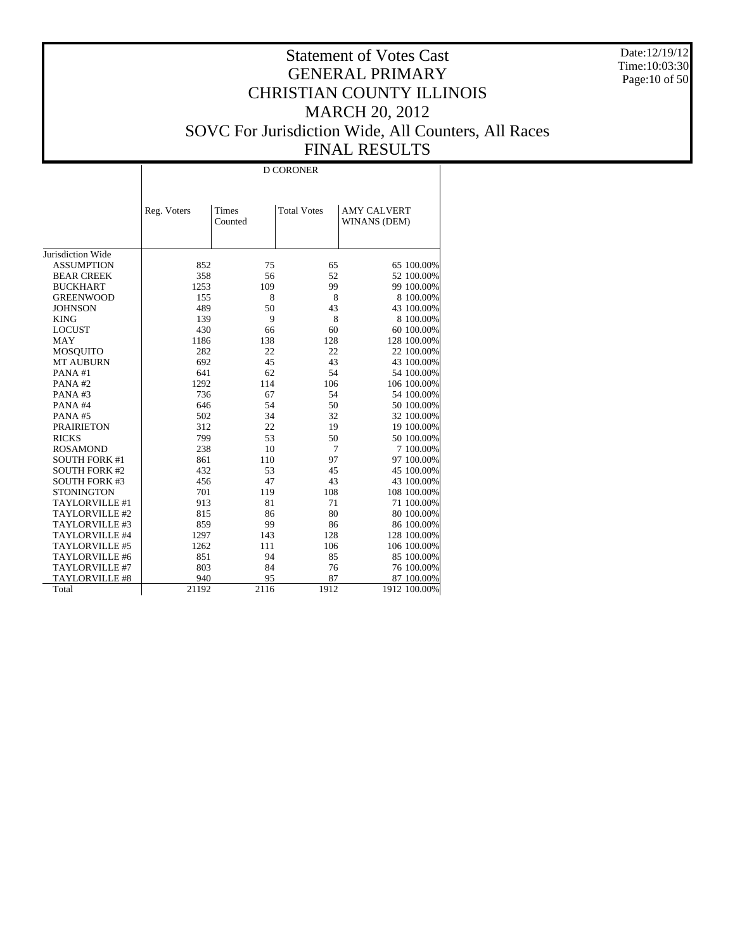Date:12/19/12 Time:10:03:30 Page:10 of 50

# Statement of Votes Cast GENERAL PRIMARY CHRISTIAN COUNTY ILLINOIS MARCH 20, 2012 SOVC For Jurisdiction Wide, All Counters, All Races FINAL RESULTS

|                      |             |                  | D CORONER          |                                    |
|----------------------|-------------|------------------|--------------------|------------------------------------|
|                      |             |                  |                    |                                    |
|                      | Reg. Voters | Times<br>Counted | <b>Total Votes</b> | <b>AMY CALVERT</b><br>WINANS (DEM) |
|                      |             |                  |                    |                                    |
|                      |             |                  |                    |                                    |
| Jurisdiction Wide    |             |                  |                    |                                    |
| <b>ASSUMPTION</b>    | 852         | 75               | 65                 | 65 100.00%                         |
| <b>BEAR CREEK</b>    | 358         | 56               | 52                 | 52 100.00%                         |
| <b>BUCKHART</b>      | 1253        | 109              | 99                 | 99 100.00%                         |
| <b>GREENWOOD</b>     | 155         | 8                | 8                  | 8 100.00%                          |
| <b>JOHNSON</b>       | 489         | 50               | 43                 | 43 100.00%                         |
| <b>KING</b>          | 139         | 9                | 8                  | 8 100.00%                          |
| <b>LOCUST</b>        | 430         | 66               | 60                 | 60 100.00%                         |
| <b>MAY</b>           | 1186        | 138              | 128                | 128 100.00%                        |
| MOSQUITO             | 282         | 22               | 22                 | 22 100.00%                         |
| <b>MT AUBURN</b>     | 692         | 45               | 43                 | 43 100.00%                         |
| PANA#1               | 641         | 62               | 54                 | 54 100.00%                         |
| PANA#2               | 1292        | 114              | 106                | 106 100.00%                        |
| PANA#3               | 736         | 67               | 54                 | 54 100.00%                         |
| PANA#4               | 646         | 54               | 50                 | 50 100.00%                         |
| PANA#5               | 502         | 34               | 32                 | 32 100.00%                         |
| <b>PRAIRIETON</b>    | 312         | 22               | 19                 | 19 100.00%                         |
| <b>RICKS</b>         | 799         | 53               | 50                 | 50 100.00%                         |
| <b>ROSAMOND</b>      | 238         | 10               | 7                  | 7 100.00%                          |
| <b>SOUTH FORK #1</b> | 861         | 110              | 97                 | 97 100.00%                         |
| <b>SOUTH FORK #2</b> | 432         | 53               | 45                 | 45 100.00%                         |
| <b>SOUTH FORK #3</b> | 456         | 47               | 43                 | 43 100.00%                         |
| <b>STONINGTON</b>    | 701         | 119              | 108                | 108 100.00%                        |
| TAYLORVILLE #1       | 913         | 81               | 71                 | 71 100.00%                         |
| TAYLORVILLE #2       | 815         | 86               | 80                 | 80 100.00%                         |
| TAYLORVILLE #3       | 859         | 99               | 86                 | 86 100.00%                         |
| TAYLORVILLE #4       | 1297        | 143              | 128                | 128 100.00%                        |
| TAYLORVILLE #5       | 1262        | 111              | 106                | 106 100.00%                        |
| TAYLORVILLE #6       | 851         | 94               | 85                 | 85 100.00%                         |
| TAYLORVILLE #7       | 803         | 84               | 76                 | 76 100.00%                         |
| TAYLORVILLE #8       | 940         | 95               | 87                 | 87 100.00%                         |
| Total                | 21192       | 2116             | 1912               | 1912 100.00%                       |
|                      |             |                  |                    |                                    |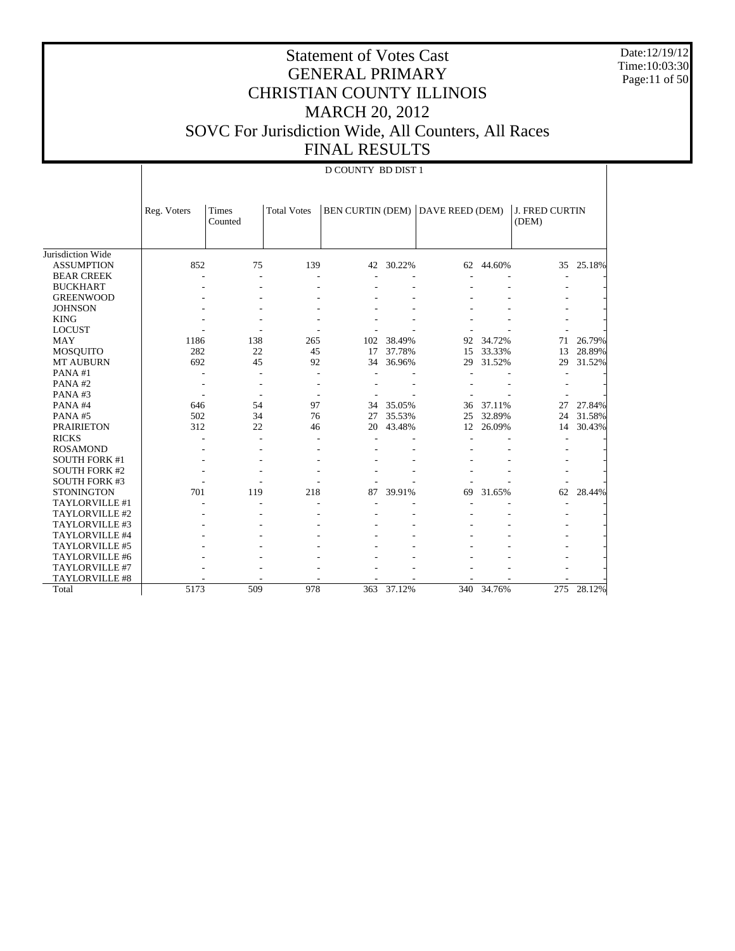Date:12/19/12 Time:10:03:30 Page:11 of 50

|                      |             | <b>D COUNTY BD DIST 1</b> |                    |                         |        |                 |            |                                |        |  |
|----------------------|-------------|---------------------------|--------------------|-------------------------|--------|-----------------|------------|--------------------------------|--------|--|
|                      | Reg. Voters | Times<br>Counted          | <b>Total Votes</b> | <b>BEN CURTIN (DEM)</b> |        | DAVE REED (DEM) |            | <b>J. FRED CURTIN</b><br>(DEM) |        |  |
| Jurisdiction Wide    |             |                           |                    |                         |        |                 |            |                                |        |  |
| <b>ASSUMPTION</b>    | 852         | 75                        | 139                | 42                      | 30.22% |                 | 62 44.60%  | 35                             | 25.18% |  |
| <b>BEAR CREEK</b>    |             |                           |                    |                         |        |                 |            |                                |        |  |
| <b>BUCKHART</b>      |             |                           |                    |                         |        |                 |            |                                |        |  |
| <b>GREENWOOD</b>     |             |                           |                    |                         |        |                 |            |                                |        |  |
| <b>JOHNSON</b>       |             |                           |                    |                         |        |                 |            |                                |        |  |
| <b>KING</b>          |             |                           |                    |                         |        |                 |            |                                |        |  |
| <b>LOCUST</b>        |             |                           |                    |                         |        |                 |            |                                |        |  |
| <b>MAY</b>           | 1186        | 138                       | 265                | 102                     | 38.49% | 92              | 34.72%     | 71                             | 26.79% |  |
| <b>MOSQUITO</b>      | 282         | 22                        | 45                 | 17                      | 37.78% | 15              | 33.33%     | 13                             | 28.89% |  |
| MT AUBURN            | 692         | 45                        | 92                 | 34                      | 36.96% | 29              | 31.52%     | 29                             | 31.52% |  |
| PANA#1               |             |                           |                    |                         |        |                 |            |                                |        |  |
| PANA#2               |             |                           |                    |                         |        |                 |            |                                |        |  |
| PANA#3               |             |                           |                    |                         |        |                 |            |                                |        |  |
| PANA#4               | 646         | 54                        | 97                 | 34                      | 35.05% | 36              | 37.11%     | 27                             | 27.84% |  |
| PANA#5               | 502         | 34                        | 76                 | 27                      | 35.53% | 25              | 32.89%     | 24                             | 31.58% |  |
| <b>PRAIRIETON</b>    | 312         | 22                        | 46                 | 20                      | 43.48% | 12              | 26.09%     | 14                             | 30.43% |  |
| <b>RICKS</b>         |             |                           |                    |                         |        |                 |            |                                |        |  |
| <b>ROSAMOND</b>      |             |                           |                    |                         |        |                 |            |                                |        |  |
| <b>SOUTH FORK #1</b> |             |                           |                    |                         |        |                 |            |                                |        |  |
| <b>SOUTH FORK #2</b> |             |                           |                    |                         |        |                 |            |                                |        |  |
| <b>SOUTH FORK #3</b> |             |                           |                    |                         |        |                 |            |                                |        |  |
| <b>STONINGTON</b>    | 701         | 119                       | 218                | 87                      | 39.91% | 69              | 31.65%     | 62                             | 28.44% |  |
| TAYLORVILLE #1       |             |                           |                    |                         |        |                 |            |                                |        |  |
| TAYLORVILLE #2       |             |                           |                    |                         |        |                 |            |                                |        |  |
| TAYLORVILLE #3       |             |                           |                    |                         |        |                 |            |                                |        |  |
| TAYLORVILLE #4       |             |                           |                    |                         |        |                 |            |                                |        |  |
| TAYLORVILLE #5       |             |                           |                    |                         |        |                 |            |                                |        |  |
| TAYLORVILLE #6       |             |                           |                    |                         |        |                 |            |                                |        |  |
| TAYLORVILLE #7       |             |                           |                    |                         |        |                 |            |                                |        |  |
| TAYLORVILLE #8       |             |                           |                    |                         |        |                 |            |                                |        |  |
| Total                | 5173        | 509                       | 978                | 363                     | 37.12% |                 | 340 34.76% | 275                            | 28.12% |  |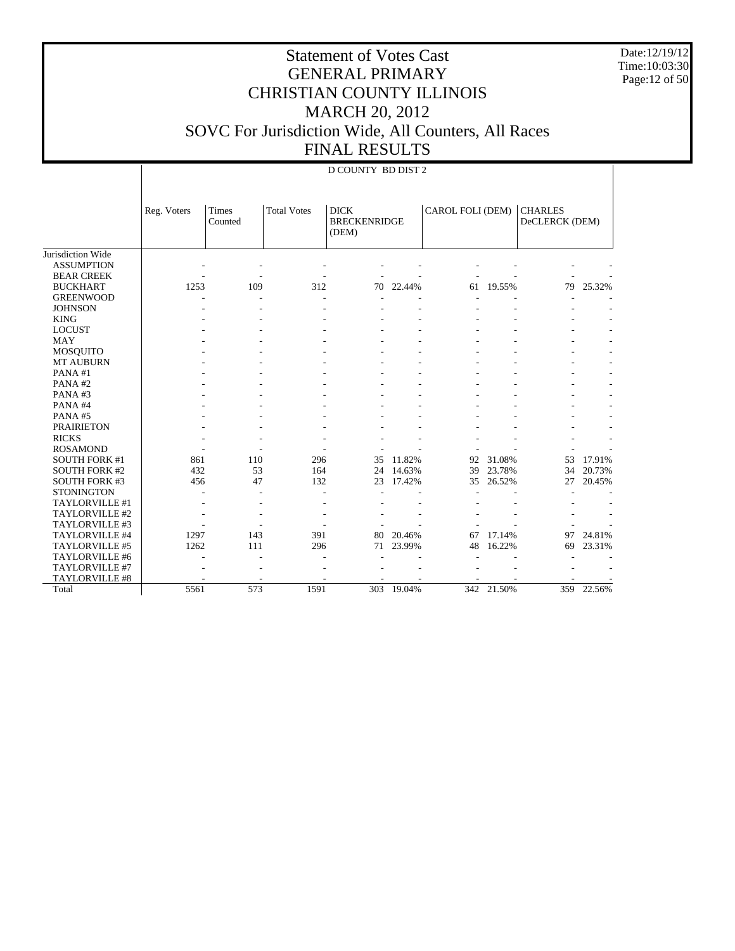Date:12/19/12 Time:10:03:30 Page:12 of 50

#### Statement of Votes Cast GENERAL PRIMARY CHRISTIAN COUNTY ILLINOIS MARCH 20, 2012 SOVC For Jurisdiction Wide, All Counters, All Races FINAL RESULTS

|                                                                                |                   |                         |                    | <b>D COUNTY BD DIST 2</b>                   |                            |                  |                            |                                  |                            |
|--------------------------------------------------------------------------------|-------------------|-------------------------|--------------------|---------------------------------------------|----------------------------|------------------|----------------------------|----------------------------------|----------------------------|
|                                                                                | Reg. Voters       | <b>Times</b><br>Counted | <b>Total Votes</b> | <b>DICK</b><br><b>BRECKENRIDGE</b><br>(DEM) |                            | CAROL FOLI (DEM) |                            | <b>CHARLES</b><br>DeCLERCK (DEM) |                            |
| Jurisdiction Wide<br><b>ASSUMPTION</b><br><b>BEAR CREEK</b><br><b>BUCKHART</b> | 1253              | 109                     | 312                | 70                                          | 22.44%                     | 61               | 19.55%                     | 79                               | 25.32%                     |
| <b>GREENWOOD</b><br><b>JOHNSON</b>                                             |                   |                         |                    |                                             |                            |                  |                            |                                  |                            |
| <b>KING</b><br><b>LOCUST</b>                                                   |                   |                         |                    |                                             |                            |                  |                            |                                  |                            |
| <b>MAY</b><br>MOSQUITO                                                         |                   |                         |                    |                                             |                            |                  |                            |                                  |                            |
| MT AUBURN<br>PANA#1<br>PANA#2                                                  |                   |                         |                    |                                             |                            |                  |                            |                                  |                            |
| PANA#3<br>PANA#4                                                               |                   |                         |                    |                                             |                            |                  |                            |                                  |                            |
| PANA#5<br><b>PRAIRIETON</b>                                                    |                   |                         |                    |                                             |                            |                  |                            |                                  |                            |
| <b>RICKS</b><br><b>ROSAMOND</b>                                                |                   |                         |                    |                                             |                            |                  |                            |                                  |                            |
| <b>SOUTH FORK #1</b><br><b>SOUTH FORK #2</b><br><b>SOUTH FORK #3</b>           | 861<br>432<br>456 | 110<br>53<br>47         | 296<br>164<br>132  | 35<br>24<br>23                              | 11.82%<br>14.63%<br>17.42% | 92<br>39<br>35   | 31.08%<br>23.78%<br>26.52% | 53<br>34<br>27                   | 17.91%<br>20.73%<br>20.45% |
| <b>STONINGTON</b><br>TAYLORVILLE #1                                            |                   |                         | ٠                  |                                             |                            |                  |                            |                                  |                            |
| TAYLORVILLE #2<br>TAYLORVILLE #3                                               |                   |                         |                    |                                             |                            |                  |                            |                                  |                            |
| TAYLORVILLE #4<br>TAYLORVILLE #5                                               | 1297<br>1262      | 143<br>111              | 391<br>296         | 80<br>71                                    | 20.46%<br>23.99%           | 67<br>48         | 17.14%<br>16.22%           | 97<br>69                         | 24.81%<br>23.31%           |
| TAYLORVILLE #6<br>TAYLORVILLE #7<br>TAYLORVILLE #8                             |                   |                         |                    |                                             |                            |                  |                            |                                  |                            |
| Total                                                                          | 5561              | 573                     | 1591               | 303                                         | 19.04%                     |                  | 342 21.50%                 | 359                              | 22.56%                     |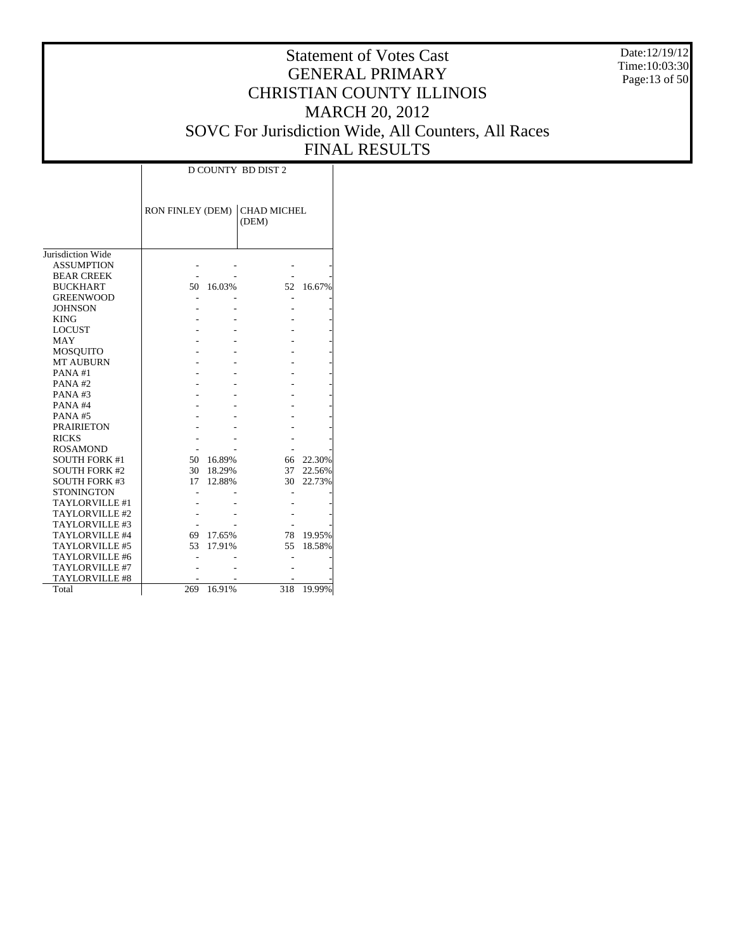Date:12/19/12 Time:10:03:30 Page:13 of 50

|                       |                  | <b>D COUNTY BD DIST 2</b> |                             |        |  |  |  |  |  |  |  |
|-----------------------|------------------|---------------------------|-----------------------------|--------|--|--|--|--|--|--|--|
|                       | RON FINLEY (DEM) |                           | <b>CHAD MICHEL</b><br>(DEM) |        |  |  |  |  |  |  |  |
| Jurisdiction Wide     |                  |                           |                             |        |  |  |  |  |  |  |  |
| <b>ASSUMPTION</b>     |                  |                           |                             |        |  |  |  |  |  |  |  |
| <b>BEAR CREEK</b>     |                  |                           |                             |        |  |  |  |  |  |  |  |
| <b>BUCKHART</b>       | 50               | 16.03%                    | 52                          | 16.67% |  |  |  |  |  |  |  |
| <b>GREENWOOD</b>      |                  |                           |                             |        |  |  |  |  |  |  |  |
| <b>JOHNSON</b>        |                  |                           |                             |        |  |  |  |  |  |  |  |
| <b>KING</b>           |                  |                           |                             |        |  |  |  |  |  |  |  |
| <b>LOCUST</b>         |                  |                           |                             |        |  |  |  |  |  |  |  |
| <b>MAY</b>            |                  |                           |                             |        |  |  |  |  |  |  |  |
| MOSQUITO              |                  |                           |                             |        |  |  |  |  |  |  |  |
| <b>MT AUBURN</b>      |                  |                           |                             |        |  |  |  |  |  |  |  |
| PANA#1                |                  |                           |                             |        |  |  |  |  |  |  |  |
| PANA#2                |                  |                           |                             |        |  |  |  |  |  |  |  |
| PANA#3                |                  |                           |                             |        |  |  |  |  |  |  |  |
| PANA#4                |                  |                           |                             |        |  |  |  |  |  |  |  |
| PANA#5                |                  |                           |                             |        |  |  |  |  |  |  |  |
| <b>PRAIRIETON</b>     |                  |                           |                             |        |  |  |  |  |  |  |  |
| <b>RICKS</b>          |                  |                           |                             |        |  |  |  |  |  |  |  |
| <b>ROSAMOND</b>       |                  |                           |                             |        |  |  |  |  |  |  |  |
| <b>SOUTH FORK #1</b>  | 50               | 16.89%                    | 66                          | 22.30% |  |  |  |  |  |  |  |
| <b>SOUTH FORK #2</b>  | 30               | 18.29%                    | 37                          | 22.56% |  |  |  |  |  |  |  |
| <b>SOUTH FORK #3</b>  | 17               | 12.88%                    | 30                          | 22.73% |  |  |  |  |  |  |  |
| STONINGTON            |                  |                           |                             |        |  |  |  |  |  |  |  |
| <b>TAYLORVILLE #1</b> |                  |                           |                             |        |  |  |  |  |  |  |  |
| TAYLORVILLE #2        |                  |                           |                             |        |  |  |  |  |  |  |  |
| TAYLORVILLE #3        |                  |                           |                             |        |  |  |  |  |  |  |  |
| TAYLORVILLE #4        | 69               | 17.65%                    | 78                          | 19.95% |  |  |  |  |  |  |  |
| TAYLORVILLE #5        | 53               | 17.91%                    | 55                          | 18.58% |  |  |  |  |  |  |  |
| TAYLORVILLE #6        |                  |                           |                             |        |  |  |  |  |  |  |  |
| TAYLORVILLE #7        |                  |                           |                             |        |  |  |  |  |  |  |  |
| <b>TAYLORVILLE #8</b> |                  |                           |                             |        |  |  |  |  |  |  |  |
| Total                 | 269              | 16.91%                    | 318                         | 19.99% |  |  |  |  |  |  |  |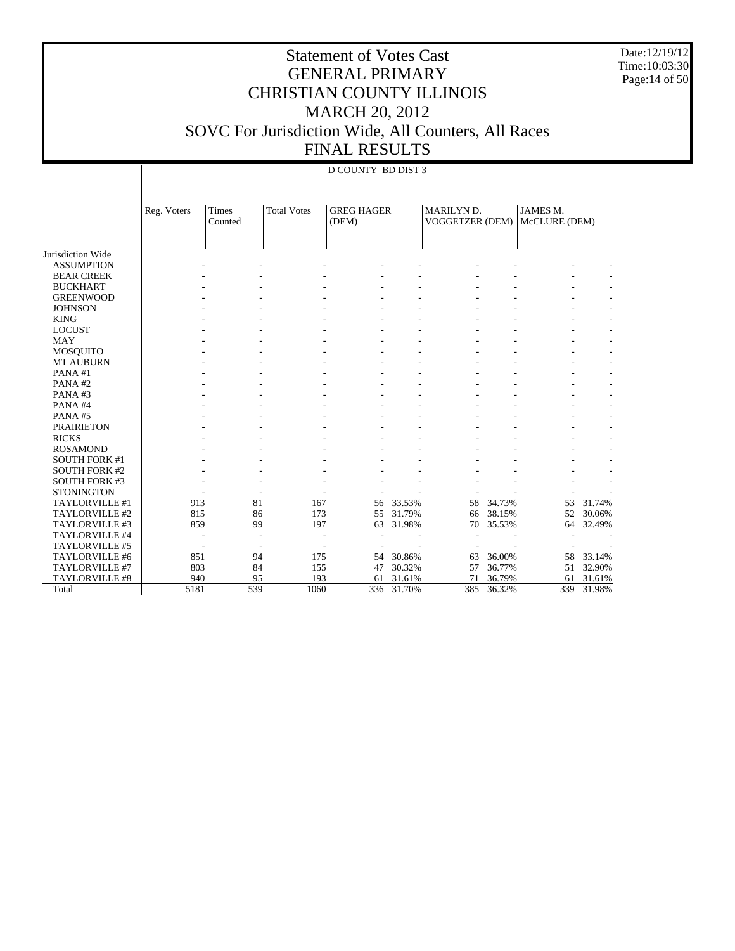Date:12/19/12 Time:10:03:30 Page:14 of 50

|                      |             | <b>D COUNTY BD DIST 3</b> |                          |                            |        |                               |        |                                  |        |  |  |  |
|----------------------|-------------|---------------------------|--------------------------|----------------------------|--------|-------------------------------|--------|----------------------------------|--------|--|--|--|
|                      | Reg. Voters | <b>Times</b><br>Counted   | <b>Total Votes</b>       | <b>GREG HAGER</b><br>(DEM) |        | MARILYN D.<br>VOGGETZER (DEM) |        | <b>JAMES M.</b><br>McCLURE (DEM) |        |  |  |  |
|                      |             |                           |                          |                            |        |                               |        |                                  |        |  |  |  |
| Jurisdiction Wide    |             |                           |                          |                            |        |                               |        |                                  |        |  |  |  |
| <b>ASSUMPTION</b>    |             |                           |                          |                            |        |                               |        |                                  |        |  |  |  |
| <b>BEAR CREEK</b>    |             |                           |                          |                            |        |                               |        |                                  |        |  |  |  |
| <b>BUCKHART</b>      |             |                           |                          |                            |        |                               |        |                                  |        |  |  |  |
| <b>GREENWOOD</b>     |             |                           |                          |                            |        |                               |        |                                  |        |  |  |  |
| <b>JOHNSON</b>       |             |                           |                          |                            |        |                               |        |                                  |        |  |  |  |
| <b>KING</b>          |             |                           |                          |                            |        |                               |        |                                  |        |  |  |  |
| <b>LOCUST</b>        |             |                           |                          |                            |        |                               |        |                                  |        |  |  |  |
| <b>MAY</b>           |             |                           |                          |                            |        |                               |        |                                  |        |  |  |  |
| <b>MOSQUITO</b>      |             |                           |                          |                            |        |                               |        |                                  |        |  |  |  |
| <b>MT AUBURN</b>     |             |                           |                          |                            |        |                               |        |                                  |        |  |  |  |
| PANA#1               |             |                           |                          |                            |        |                               |        |                                  |        |  |  |  |
| PANA#2               |             |                           |                          |                            |        |                               |        |                                  |        |  |  |  |
| PANA#3               |             |                           |                          |                            |        |                               |        |                                  |        |  |  |  |
| PANA#4               |             |                           |                          |                            |        |                               |        |                                  |        |  |  |  |
| PANA#5               |             |                           |                          |                            |        |                               |        |                                  |        |  |  |  |
| <b>PRAIRIETON</b>    |             |                           |                          |                            |        |                               |        |                                  |        |  |  |  |
| <b>RICKS</b>         |             |                           |                          |                            |        |                               |        |                                  |        |  |  |  |
| <b>ROSAMOND</b>      |             |                           |                          |                            |        |                               |        |                                  |        |  |  |  |
| <b>SOUTH FORK #1</b> |             |                           |                          |                            |        |                               |        |                                  |        |  |  |  |
| <b>SOUTH FORK #2</b> |             |                           |                          |                            |        |                               |        |                                  |        |  |  |  |
| <b>SOUTH FORK #3</b> |             |                           |                          |                            |        |                               |        |                                  |        |  |  |  |
| <b>STONINGTON</b>    |             |                           |                          |                            |        |                               |        |                                  |        |  |  |  |
| TAYLORVILLE #1       | 913         | 81                        |                          | 167<br>56                  | 33.53% | 58                            | 34.73% | 53                               | 31.74% |  |  |  |
| TAYLORVILLE #2       | 815         | 86                        |                          | 173<br>55                  | 31.79% | 66                            | 38.15% | 52                               | 30.06% |  |  |  |
| TAYLORVILLE #3       | 859         | 99                        |                          | 197<br>63                  | 31.98% | 70                            | 35.53% | 64                               | 32.49% |  |  |  |
| TAYLORVILLE #4       |             |                           |                          |                            |        |                               |        |                                  |        |  |  |  |
| TAYLORVILLE #5       |             |                           | $\overline{\phantom{a}}$ |                            |        |                               |        |                                  |        |  |  |  |
| TAYLORVILLE #6       | 851         | 94                        |                          | 175<br>54                  | 30.86% | 63                            | 36.00% | 58                               | 33.14% |  |  |  |
| TAYLORVILLE #7       | 803         | 84                        |                          | 155<br>47                  | 30.32% | 57                            | 36.77% | 51                               | 32.90% |  |  |  |
| TAYLORVILLE #8       | 940         | 95                        |                          | 193<br>61                  | 31.61% | 71                            | 36.79% | 61                               | 31.61% |  |  |  |
| Total                | 5181        | 539                       | 1060                     | 336                        | 31.70% | 385                           | 36.32% | 339                              | 31.98% |  |  |  |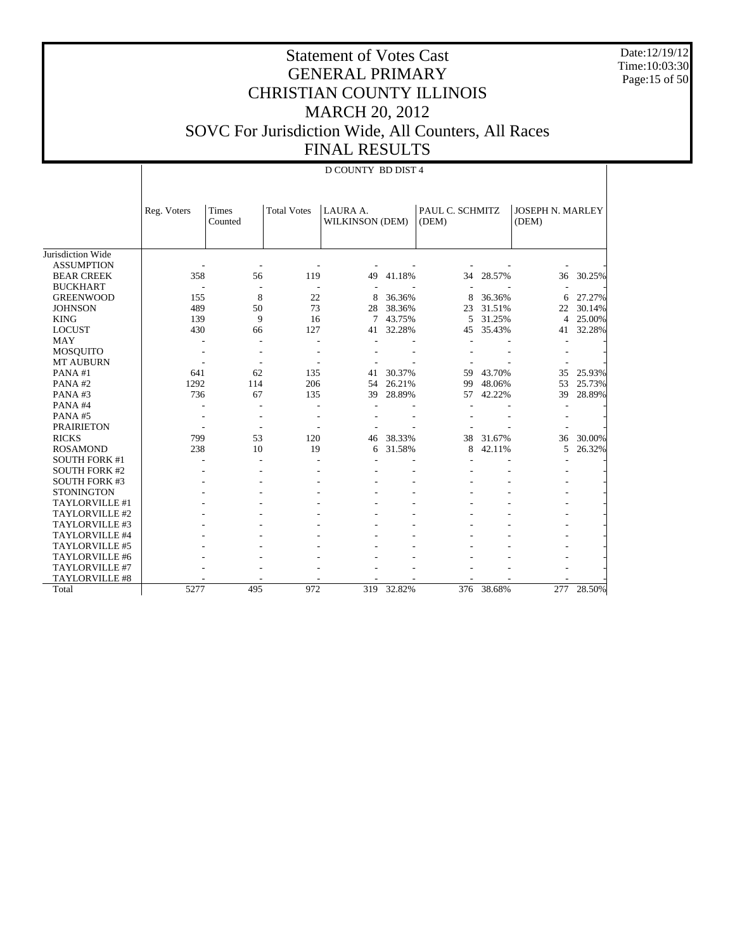Date:12/19/12 Time:10:03:30 Page:15 of 50

|                       |             | <b>D COUNTY BD DIST 4</b> |                    |                             |        |                          |            |                                  |        |  |  |
|-----------------------|-------------|---------------------------|--------------------|-----------------------------|--------|--------------------------|------------|----------------------------------|--------|--|--|
|                       | Reg. Voters | <b>Times</b><br>Counted   | <b>Total Votes</b> | LAURA A.<br>WILKINSON (DEM) |        | PAUL C. SCHMITZ<br>(DEM) |            | <b>JOSEPH N. MARLEY</b><br>(DEM) |        |  |  |
| Jurisdiction Wide     |             |                           |                    |                             |        |                          |            |                                  |        |  |  |
| <b>ASSUMPTION</b>     |             |                           |                    |                             |        |                          |            |                                  |        |  |  |
| <b>BEAR CREEK</b>     | 358         | 56                        | 119                | 49                          | 41.18% | 34                       | 28.57%     | 36                               | 30.25% |  |  |
| <b>BUCKHART</b>       |             |                           |                    |                             |        |                          |            |                                  |        |  |  |
| <b>GREENWOOD</b>      | 155         | 8                         | 22                 | 8                           | 36.36% | 8                        | 36.36%     | 6                                | 27.27% |  |  |
| <b>JOHNSON</b>        | 489         | 50                        | 73                 | 28                          | 38.36% | 23                       | 31.51%     | 22                               | 30.14% |  |  |
| <b>KING</b>           | 139         | 9                         | 16                 | 7                           | 43.75% | 5                        | 31.25%     | $\overline{4}$                   | 25.00% |  |  |
| <b>LOCUST</b>         | 430         | 66                        | 127                | 41                          | 32.28% | 45                       | 35.43%     | 41                               | 32.28% |  |  |
| <b>MAY</b>            |             | ٠                         |                    |                             |        |                          |            |                                  |        |  |  |
| <b>MOSQUITO</b>       |             |                           |                    |                             |        |                          |            |                                  |        |  |  |
| <b>MT AUBURN</b>      |             |                           |                    |                             |        |                          |            |                                  |        |  |  |
| PANA#1                | 641         | 62                        | 135                | 41                          | 30.37% | 59                       | 43.70%     | 35                               | 25.93% |  |  |
| PANA#2                | 1292        | 114                       | 206                | 54                          | 26.21% | 99                       | 48.06%     | 53                               | 25.73% |  |  |
| PANA#3                | 736         | 67                        | 135                | 39                          | 28.89% | 57                       | 42.22%     | 39                               | 28.89% |  |  |
| PANA#4                |             |                           |                    |                             |        |                          |            |                                  |        |  |  |
| PANA#5                |             |                           |                    |                             |        |                          |            |                                  |        |  |  |
| <b>PRAIRIETON</b>     | ٠           | ÷.                        |                    |                             |        |                          |            |                                  |        |  |  |
| <b>RICKS</b>          | 799         | 53                        | 120                | 46                          | 38.33% | 38                       | 31.67%     | 36                               | 30.00% |  |  |
| <b>ROSAMOND</b>       | 238         | 10                        | 19                 | 6                           | 31.58% | 8                        | 42.11%     | 5                                | 26.32% |  |  |
| <b>SOUTH FORK #1</b>  |             |                           |                    |                             |        |                          |            |                                  |        |  |  |
| <b>SOUTH FORK #2</b>  |             |                           |                    |                             |        |                          |            |                                  |        |  |  |
| <b>SOUTH FORK #3</b>  |             |                           |                    |                             |        |                          |            |                                  |        |  |  |
| <b>STONINGTON</b>     |             |                           |                    |                             |        |                          |            |                                  |        |  |  |
| TAYLORVILLE #1        |             |                           |                    |                             |        |                          |            |                                  |        |  |  |
| TAYLORVILLE #2        |             |                           |                    |                             |        |                          |            |                                  |        |  |  |
| TAYLORVILLE #3        |             |                           |                    |                             |        |                          |            |                                  |        |  |  |
| TAYLORVILLE #4        |             |                           |                    |                             |        |                          |            |                                  |        |  |  |
| TAYLORVILLE #5        |             |                           |                    |                             |        |                          |            |                                  |        |  |  |
| TAYLORVILLE #6        |             |                           |                    |                             |        |                          |            |                                  |        |  |  |
| TAYLORVILLE #7        |             |                           |                    |                             |        |                          |            |                                  |        |  |  |
| <b>TAYLORVILLE #8</b> |             |                           |                    |                             |        |                          |            |                                  |        |  |  |
| Total                 | 5277        | 495                       | 972                | 319                         | 32.82% |                          | 376 38.68% | 277                              | 28.50% |  |  |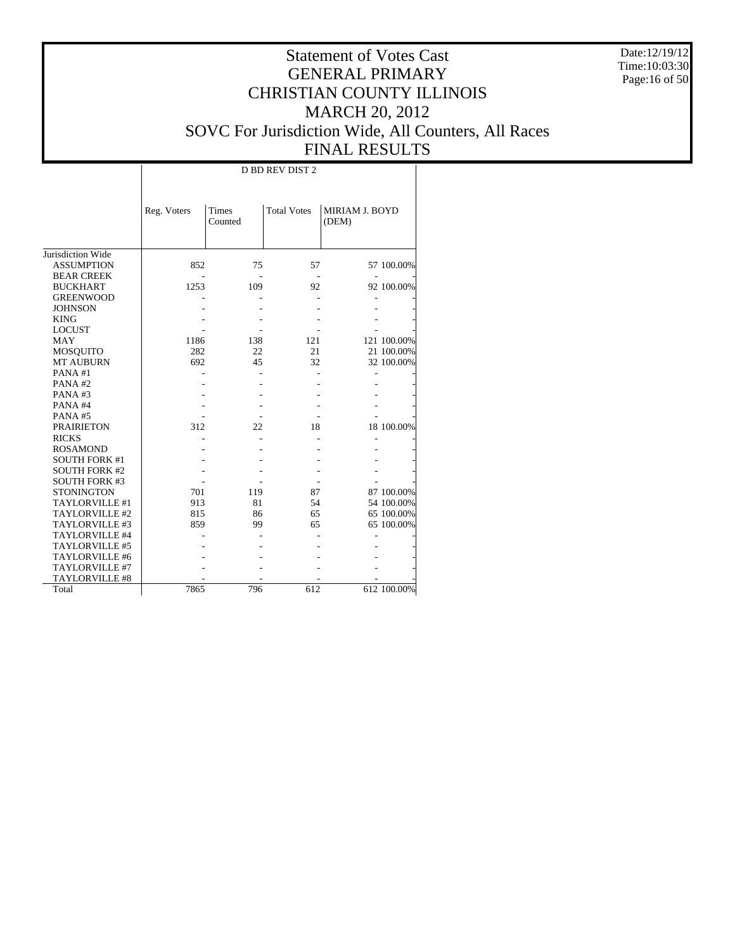Date:12/19/12 Time:10:03:30 Page:16 of 50

#### Statement of Votes Cast GENERAL PRIMARY CHRISTIAN COUNTY ILLINOIS MARCH 20, 2012 SOVC For Jurisdiction Wide, All Counters, All Races FINAL RESULTS

т

|                      |             | D BD REV DIST 2                               |     |                                |             |  |  |  |  |  |  |  |
|----------------------|-------------|-----------------------------------------------|-----|--------------------------------|-------------|--|--|--|--|--|--|--|
|                      | Reg. Voters | <b>Times</b><br><b>Total Votes</b><br>Counted |     | <b>MIRIAM J. BOYD</b><br>(DEM) |             |  |  |  |  |  |  |  |
|                      |             |                                               |     |                                |             |  |  |  |  |  |  |  |
| Jurisdiction Wide    |             |                                               |     |                                |             |  |  |  |  |  |  |  |
| <b>ASSUMPTION</b>    | 852         | 75                                            | 57  |                                | 57 100.00%  |  |  |  |  |  |  |  |
| <b>BEAR CREEK</b>    |             |                                               |     |                                |             |  |  |  |  |  |  |  |
| <b>BUCKHART</b>      | 1253        | 109                                           | 92  |                                | 92 100.00%  |  |  |  |  |  |  |  |
| <b>GREENWOOD</b>     |             |                                               |     |                                |             |  |  |  |  |  |  |  |
| <b>JOHNSON</b>       |             |                                               |     |                                |             |  |  |  |  |  |  |  |
| <b>KING</b>          |             |                                               |     |                                |             |  |  |  |  |  |  |  |
| <b>LOCUST</b>        |             |                                               |     |                                |             |  |  |  |  |  |  |  |
| <b>MAY</b>           | 1186        | 138                                           | 121 |                                | 121 100.00% |  |  |  |  |  |  |  |
| <b>MOSQUITO</b>      | 282         | 22                                            | 21  |                                | 21 100.00%  |  |  |  |  |  |  |  |
| <b>MT AUBURN</b>     | 692         | 45                                            | 32  |                                | 32 100.00%  |  |  |  |  |  |  |  |
| PANA#1               |             |                                               |     |                                |             |  |  |  |  |  |  |  |
| PANA#2               |             |                                               |     |                                |             |  |  |  |  |  |  |  |
| PANA#3               |             |                                               |     |                                |             |  |  |  |  |  |  |  |
| PANA#4               |             |                                               |     |                                |             |  |  |  |  |  |  |  |
| PANA#5               |             |                                               |     |                                |             |  |  |  |  |  |  |  |
| <b>PRAIRIETON</b>    | 312         | 22                                            | 18  |                                | 18 100.00%  |  |  |  |  |  |  |  |
| <b>RICKS</b>         |             |                                               |     |                                |             |  |  |  |  |  |  |  |
| <b>ROSAMOND</b>      |             |                                               |     |                                |             |  |  |  |  |  |  |  |
| <b>SOUTH FORK #1</b> |             |                                               |     |                                |             |  |  |  |  |  |  |  |
| <b>SOUTH FORK #2</b> |             |                                               |     |                                |             |  |  |  |  |  |  |  |
| <b>SOUTH FORK #3</b> |             |                                               |     |                                |             |  |  |  |  |  |  |  |
| <b>STONINGTON</b>    | 701         | 119                                           | 87  |                                | 87 100.00%  |  |  |  |  |  |  |  |
| TAYLORVILLE #1       | 913         | 81                                            | 54  |                                | 54 100.00%  |  |  |  |  |  |  |  |
| TAYLORVILLE #2       | 815         | 86                                            | 65  |                                | 65 100.00%  |  |  |  |  |  |  |  |
| TAYLORVILLE #3       | 859         | 99                                            | 65  |                                | 65 100.00%  |  |  |  |  |  |  |  |
| TAYLORVILLE #4       |             |                                               |     |                                |             |  |  |  |  |  |  |  |
| TAYLORVILLE #5       |             |                                               |     |                                |             |  |  |  |  |  |  |  |
| TAYLORVILLE #6       |             |                                               |     |                                |             |  |  |  |  |  |  |  |
| TAYLORVILLE #7       |             |                                               |     |                                |             |  |  |  |  |  |  |  |
| TAYLORVILLE #8       |             |                                               |     |                                |             |  |  |  |  |  |  |  |
| Total                | 7865        | 796                                           | 612 |                                | 612 100.00% |  |  |  |  |  |  |  |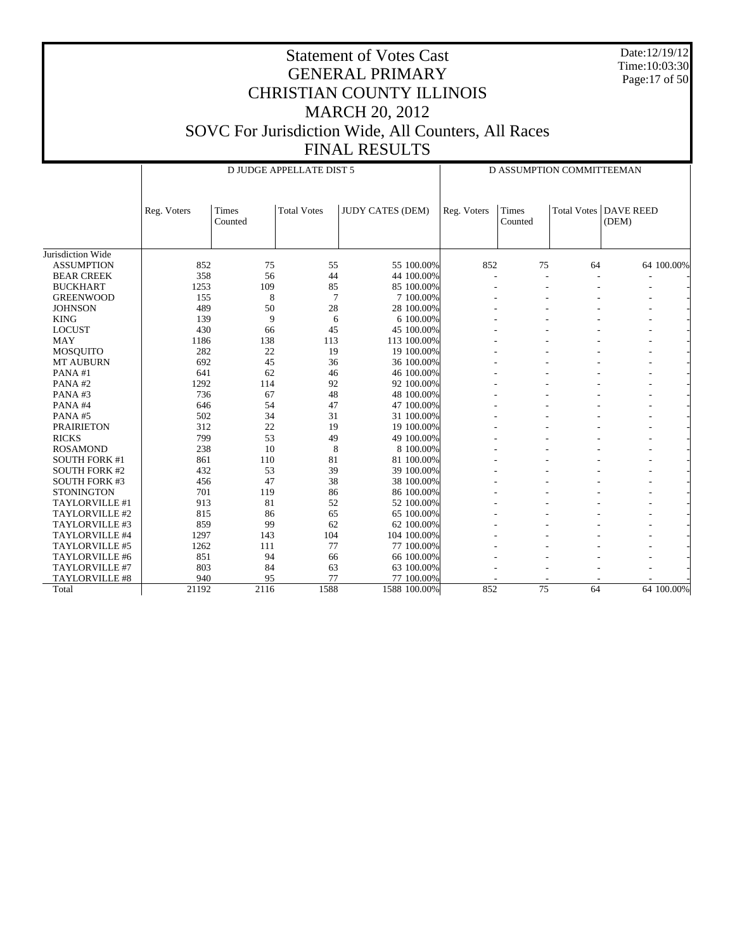Date:12/19/12 Time:10:03:30 Page:17 of 50

|                      |             |                  | D JUDGE APPELLATE DIST 5 |                         |             |                  | D ASSUMPTION COMMITTEEMAN |                           |
|----------------------|-------------|------------------|--------------------------|-------------------------|-------------|------------------|---------------------------|---------------------------|
|                      | Reg. Voters | Times<br>Counted | <b>Total Votes</b>       | <b>JUDY CATES (DEM)</b> | Reg. Voters | Times<br>Counted | Total Votes               | <b>DAVE REED</b><br>(DEM) |
| Jurisdiction Wide    |             |                  |                          |                         |             |                  |                           |                           |
| <b>ASSUMPTION</b>    | 852         | 75               | 55                       | 55 100.00%              | 852         | 75               | 64                        | 64 100,00%                |
| <b>BEAR CREEK</b>    | 358         | 56               | 44                       | 44 100.00%              |             | ÷                |                           |                           |
| <b>BUCKHART</b>      | 1253        | 109              | 85                       | 85 100,00%              |             |                  |                           |                           |
| <b>GREENWOOD</b>     | 155         | 8                | $\overline{7}$           | 7 100.00%               |             |                  |                           |                           |
| <b>JOHNSON</b>       | 489         | 50               | 28                       | 28 100.00%              |             |                  |                           |                           |
| <b>KING</b>          | 139         | 9                | 6                        | 6 100.00%               |             |                  |                           |                           |
| <b>LOCUST</b>        | 430         | 66               | 45                       | 45 100.00%              |             |                  |                           |                           |
| <b>MAY</b>           | 1186        | 138              | 113                      | 113 100.00%             |             |                  |                           |                           |
| <b>MOSQUITO</b>      | 282         | 22               | 19                       | 19 100.00%              |             |                  |                           |                           |
| <b>MT AUBURN</b>     | 692         | 45               | 36                       | 36 100.00%              |             |                  |                           |                           |
| PANA#1               | 641         | 62               | 46                       | 46 100.00%              |             |                  |                           |                           |
| PANA#2               | 1292        | 114              | 92                       | 92 100.00%              |             |                  |                           |                           |
| PANA#3               | 736         | 67               | 48                       | 48 100.00%              |             |                  |                           |                           |
| PANA#4               | 646         | 54               | 47                       | 47 100.00%              |             |                  |                           |                           |
| PANA#5               | 502         | 34               | 31                       | 31 100.00%              |             |                  |                           |                           |
| <b>PRAIRIETON</b>    | 312         | 22               | 19                       | 19 100.00%              |             |                  |                           |                           |
| <b>RICKS</b>         | 799         | 53               | 49                       | 49 100.00%              |             |                  |                           |                           |
| <b>ROSAMOND</b>      | 238         | 10               | 8                        | 8 100,00%               |             |                  |                           |                           |
| <b>SOUTH FORK #1</b> | 861         | 110              | 81                       | 81 100.00%              |             |                  |                           |                           |
| <b>SOUTH FORK #2</b> | 432         | 53               | 39                       | 39 100.00%              |             |                  |                           |                           |
| <b>SOUTH FORK #3</b> | 456         | 47               | 38                       | 38 100.00%              |             |                  |                           |                           |
| <b>STONINGTON</b>    | 701         | 119              | 86                       | 86 100.00%              |             |                  |                           |                           |
| TAYLORVILLE #1       | 913         | 81               | 52                       | 52 100.00%              |             |                  |                           |                           |
| TAYLORVILLE #2       | 815         | 86               | 65                       | 65 100.00%              |             |                  |                           |                           |
| TAYLORVILLE #3       | 859         | 99               | 62                       | 62 100.00%              |             |                  |                           |                           |
| TAYLORVILLE #4       | 1297        | 143              | 104                      | 104 100,00%             |             |                  |                           |                           |
| TAYLORVILLE #5       | 1262        | 111              | 77                       | 77 100,00%              |             |                  |                           |                           |
| TAYLORVILLE #6       | 851         | 94               | 66                       | 66 100.00%              |             |                  |                           |                           |
| TAYLORVILLE #7       | 803         | 84               | 63                       | 63 100.00%              |             |                  |                           |                           |
| TAYLORVILLE #8       | 940         | 95               | 77                       | 77 100.00%              |             |                  |                           |                           |
| Total                | 21192       | 2116             | 1588                     | 1588 100.00%            | 852         | $\overline{75}$  | 64                        | 64 100,00%                |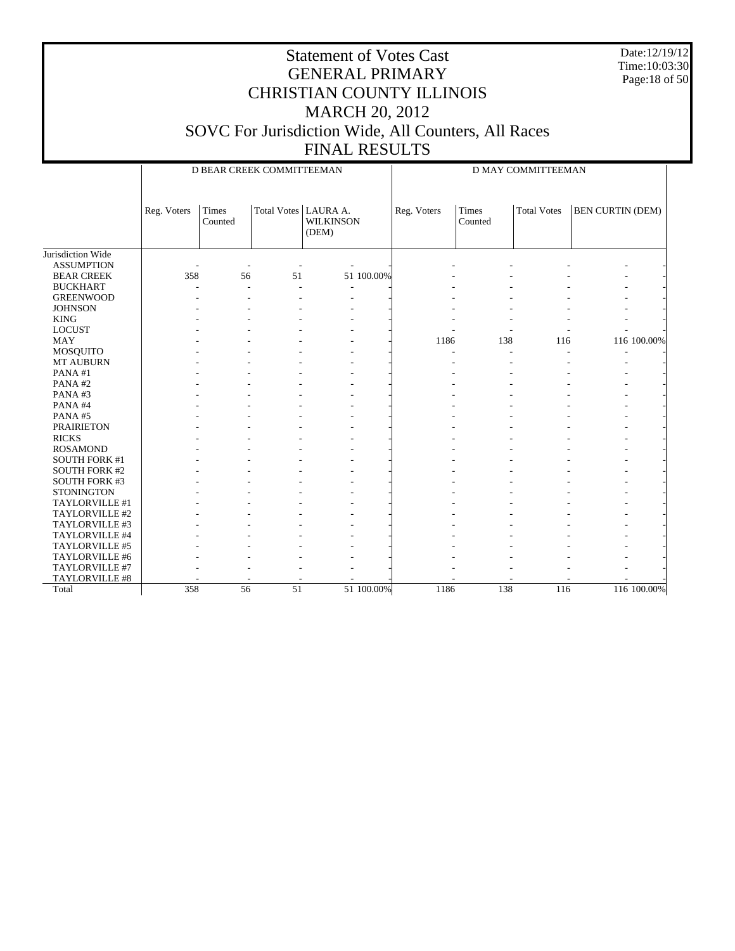Date:12/19/12 Time:10:03:30 Page:18 of 50

|                      |             |                  | D BEAR CREEK COMMITTEEMAN |                           | D MAY COMMITTEEMAN |                         |                    |                         |  |
|----------------------|-------------|------------------|---------------------------|---------------------------|--------------------|-------------------------|--------------------|-------------------------|--|
|                      | Reg. Voters | Times<br>Counted | Total Votes   LAURA A.    | <b>WILKINSON</b><br>(DEM) | Reg. Voters        | <b>Times</b><br>Counted | <b>Total Votes</b> | <b>BEN CURTIN (DEM)</b> |  |
| Jurisdiction Wide    |             |                  |                           |                           |                    |                         |                    |                         |  |
| <b>ASSUMPTION</b>    |             |                  |                           |                           |                    |                         |                    |                         |  |
| <b>BEAR CREEK</b>    | 358         | 56               | 51                        | 51 100.00%                |                    |                         |                    |                         |  |
| <b>BUCKHART</b>      |             |                  |                           |                           |                    |                         |                    |                         |  |
| <b>GREENWOOD</b>     |             |                  |                           |                           |                    |                         |                    |                         |  |
| <b>JOHNSON</b>       |             |                  |                           |                           |                    |                         |                    |                         |  |
| <b>KING</b>          |             |                  |                           |                           |                    |                         |                    |                         |  |
| <b>LOCUST</b>        |             |                  |                           |                           |                    |                         |                    |                         |  |
| <b>MAY</b>           |             |                  |                           |                           | 1186               | 138                     | 116                | 116 100.00%             |  |
| MOSQUITO             |             |                  |                           |                           |                    |                         |                    |                         |  |
| MT AUBURN            |             |                  |                           |                           |                    |                         |                    |                         |  |
| PANA#1               |             |                  |                           |                           |                    |                         |                    |                         |  |
| PANA#2               |             |                  |                           |                           |                    |                         |                    |                         |  |
| PANA#3               |             |                  |                           |                           |                    |                         |                    |                         |  |
| PANA#4               |             |                  |                           |                           |                    |                         |                    |                         |  |
| PANA#5               |             |                  |                           |                           |                    |                         |                    |                         |  |
| <b>PRAIRIETON</b>    |             |                  |                           |                           |                    |                         |                    |                         |  |
| <b>RICKS</b>         |             |                  |                           |                           |                    |                         |                    |                         |  |
| <b>ROSAMOND</b>      |             |                  |                           |                           |                    |                         |                    |                         |  |
| <b>SOUTH FORK #1</b> |             |                  |                           |                           |                    |                         |                    |                         |  |
| <b>SOUTH FORK #2</b> |             |                  |                           |                           |                    |                         |                    |                         |  |
| <b>SOUTH FORK #3</b> |             |                  |                           |                           |                    |                         |                    |                         |  |
| <b>STONINGTON</b>    |             |                  |                           |                           |                    |                         |                    |                         |  |
| TAYLORVILLE #1       |             |                  |                           |                           |                    |                         |                    |                         |  |
| TAYLORVILLE #2       |             |                  |                           |                           |                    |                         |                    |                         |  |
| TAYLORVILLE #3       |             |                  |                           |                           |                    |                         |                    |                         |  |
| TAYLORVILLE #4       |             |                  |                           |                           |                    |                         |                    |                         |  |
| TAYLORVILLE #5       |             |                  |                           |                           |                    |                         |                    |                         |  |
| TAYLORVILLE #6       |             |                  |                           |                           |                    |                         |                    |                         |  |
| TAYLORVILLE #7       |             |                  |                           |                           |                    |                         |                    |                         |  |
| TAYLORVILLE #8       |             |                  |                           |                           |                    |                         |                    |                         |  |
| Total                | 358         | $\overline{56}$  | 51                        | 51 100.00%                | 1186               | 138                     | 116                | 116 100.00%             |  |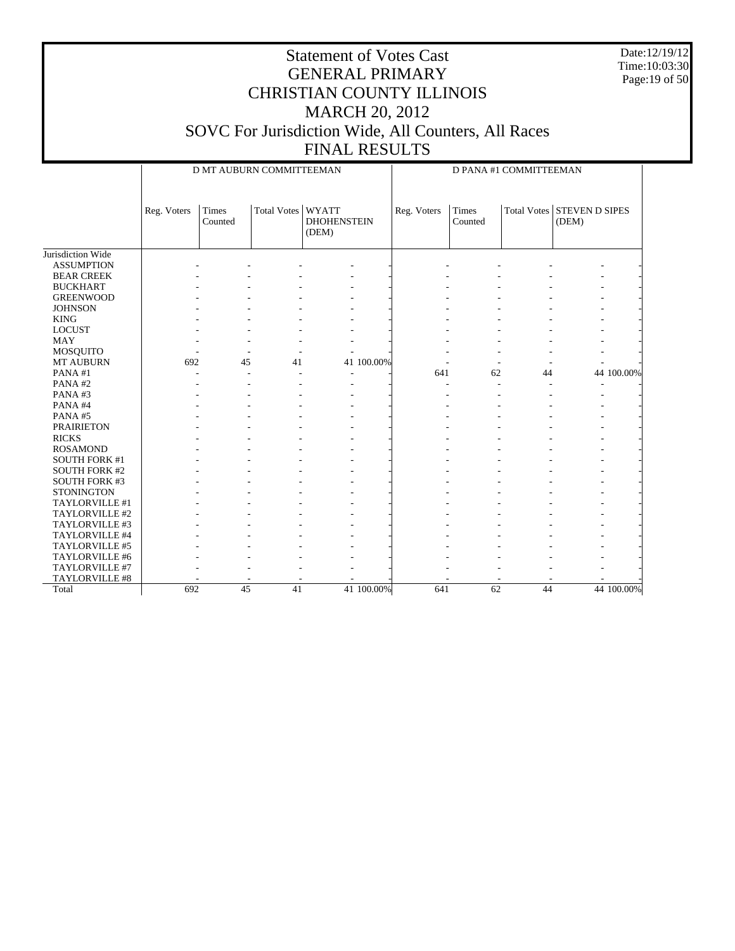Date:12/19/12 Time:10:03:30 Page:19 of 50

|                      |             | D MT AUBURN COMMITTEEMAN |                   |                             |             | D PANA #1 COMMITTEEMAN  |    |                                     |            |  |  |
|----------------------|-------------|--------------------------|-------------------|-----------------------------|-------------|-------------------------|----|-------------------------------------|------------|--|--|
|                      | Reg. Voters | Times<br>Counted         | Total Votes WYATT | <b>DHOHENSTEIN</b><br>(DEM) | Reg. Voters | <b>Times</b><br>Counted |    | Total Votes STEVEN D SIPES<br>(DEM) |            |  |  |
| Jurisdiction Wide    |             |                          |                   |                             |             |                         |    |                                     |            |  |  |
| <b>ASSUMPTION</b>    |             |                          |                   |                             |             |                         |    |                                     |            |  |  |
| <b>BEAR CREEK</b>    |             |                          |                   |                             |             |                         |    |                                     |            |  |  |
| <b>BUCKHART</b>      |             |                          |                   |                             |             |                         |    |                                     |            |  |  |
| <b>GREENWOOD</b>     |             |                          |                   |                             |             |                         |    |                                     |            |  |  |
| <b>JOHNSON</b>       |             |                          |                   |                             |             |                         |    |                                     |            |  |  |
| <b>KING</b>          |             |                          |                   |                             |             |                         |    |                                     |            |  |  |
| <b>LOCUST</b>        |             |                          |                   |                             |             |                         |    |                                     |            |  |  |
| <b>MAY</b>           |             |                          |                   |                             |             |                         |    |                                     |            |  |  |
| MOSQUITO             |             |                          |                   |                             |             |                         |    |                                     |            |  |  |
| <b>MT AUBURN</b>     | 692         | 45                       | 41                | 41 100.00%                  |             |                         |    |                                     |            |  |  |
| PANA#1               |             |                          |                   | $\overline{\phantom{a}}$    | 641         | 62                      | 44 |                                     | 44 100.00% |  |  |
| PANA#2               |             |                          |                   |                             |             |                         |    |                                     |            |  |  |
| PANA#3               |             |                          |                   |                             |             |                         |    |                                     |            |  |  |
| PANA#4               |             |                          |                   |                             |             |                         |    |                                     |            |  |  |
| PANA#5               |             |                          |                   |                             |             |                         |    |                                     |            |  |  |
| <b>PRAIRIETON</b>    |             |                          |                   |                             |             |                         |    |                                     |            |  |  |
| <b>RICKS</b>         |             |                          |                   |                             |             |                         |    |                                     |            |  |  |
| <b>ROSAMOND</b>      |             |                          |                   |                             |             |                         |    |                                     |            |  |  |
| <b>SOUTH FORK #1</b> |             |                          |                   |                             |             |                         |    |                                     |            |  |  |
| <b>SOUTH FORK #2</b> |             |                          |                   |                             |             |                         |    |                                     |            |  |  |
| <b>SOUTH FORK #3</b> |             |                          |                   |                             |             |                         |    |                                     |            |  |  |
| <b>STONINGTON</b>    |             |                          |                   |                             |             |                         |    |                                     |            |  |  |
| TAYLORVILLE #1       |             |                          |                   |                             |             |                         |    |                                     |            |  |  |
| TAYLORVILLE #2       |             |                          |                   |                             |             |                         |    |                                     |            |  |  |
| TAYLORVILLE #3       |             |                          |                   |                             |             |                         |    |                                     |            |  |  |
| TAYLORVILLE #4       |             |                          |                   |                             |             |                         |    |                                     |            |  |  |
| TAYLORVILLE #5       |             |                          |                   |                             |             |                         |    |                                     |            |  |  |
| TAYLORVILLE #6       |             |                          |                   |                             |             |                         |    |                                     |            |  |  |
| TAYLORVILLE #7       |             |                          |                   |                             |             |                         |    |                                     |            |  |  |
| TAYLORVILLE #8       |             |                          |                   |                             |             |                         |    |                                     |            |  |  |
| Total                | 692         | $\overline{45}$          | 41                | 41 100.00%                  | 641         | $\overline{62}$         | 44 |                                     | 44 100.00% |  |  |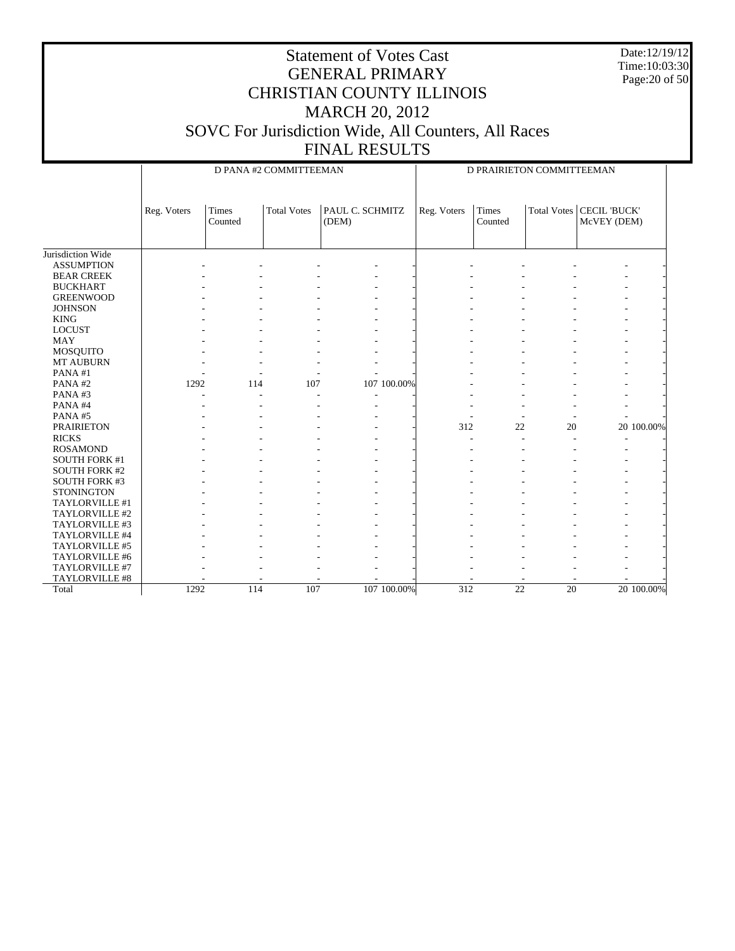Date:12/19/12 Time:10:03:30 Page:20 of 50

|                      |             |                         | D PANA #2 COMMITTEEMAN |                          | D PRAIRIETON COMMITTEEMAN |                         |                    |                                    |
|----------------------|-------------|-------------------------|------------------------|--------------------------|---------------------------|-------------------------|--------------------|------------------------------------|
|                      | Reg. Voters | <b>Times</b><br>Counted | <b>Total Votes</b>     | PAUL C. SCHMITZ<br>(DEM) | Reg. Voters               | <b>Times</b><br>Counted | <b>Total Votes</b> | <b>CECIL 'BUCK'</b><br>McVEY (DEM) |
| Jurisdiction Wide    |             |                         |                        |                          |                           |                         |                    |                                    |
| <b>ASSUMPTION</b>    |             |                         |                        |                          |                           |                         |                    |                                    |
| <b>BEAR CREEK</b>    |             |                         |                        |                          |                           |                         |                    |                                    |
| <b>BUCKHART</b>      |             |                         |                        |                          |                           |                         |                    |                                    |
| <b>GREENWOOD</b>     |             |                         |                        |                          |                           |                         |                    |                                    |
| <b>JOHNSON</b>       |             |                         |                        |                          |                           |                         |                    |                                    |
| <b>KING</b>          |             |                         |                        |                          |                           |                         |                    |                                    |
| <b>LOCUST</b>        |             |                         |                        |                          |                           |                         |                    |                                    |
| <b>MAY</b>           |             |                         |                        |                          |                           |                         |                    |                                    |
| MOSQUITO             |             |                         |                        |                          |                           |                         |                    |                                    |
| MT AUBURN            |             |                         |                        |                          |                           |                         |                    |                                    |
| PANA#1               |             |                         |                        |                          |                           |                         |                    |                                    |
| PANA#2               | 1292        | 114                     | 107                    | 107 100.00%              |                           |                         |                    |                                    |
| PANA#3               |             |                         |                        |                          |                           |                         |                    |                                    |
| PANA#4               |             |                         |                        |                          |                           |                         |                    |                                    |
| PANA#5               |             |                         |                        |                          |                           |                         |                    |                                    |
| <b>PRAIRIETON</b>    |             |                         |                        |                          | 312                       | 22                      | 20                 | 20 100.00%                         |
| <b>RICKS</b>         |             |                         |                        |                          |                           |                         |                    |                                    |
| <b>ROSAMOND</b>      |             |                         |                        |                          |                           |                         |                    |                                    |
| <b>SOUTH FORK #1</b> |             |                         |                        |                          |                           |                         |                    |                                    |
| <b>SOUTH FORK #2</b> |             |                         |                        |                          |                           |                         |                    |                                    |
| <b>SOUTH FORK #3</b> |             |                         |                        |                          |                           |                         |                    |                                    |
| <b>STONINGTON</b>    |             |                         |                        |                          |                           |                         |                    |                                    |
| TAYLORVILLE #1       |             |                         |                        |                          |                           |                         |                    |                                    |
| TAYLORVILLE #2       |             |                         |                        |                          |                           |                         |                    |                                    |
| TAYLORVILLE #3       |             |                         |                        |                          |                           |                         |                    |                                    |
| TAYLORVILLE #4       |             |                         |                        |                          |                           |                         |                    |                                    |
| TAYLORVILLE #5       |             |                         |                        |                          |                           |                         |                    |                                    |
| TAYLORVILLE #6       |             |                         |                        |                          |                           |                         |                    |                                    |
| TAYLORVILLE #7       |             |                         |                        |                          |                           |                         |                    |                                    |
| TAYLORVILLE #8       |             |                         |                        |                          |                           |                         |                    |                                    |
| Total                | 1292        | 114                     | 107                    | 107 100,00%              | 312                       | 22                      | 20                 | 20 100.00%                         |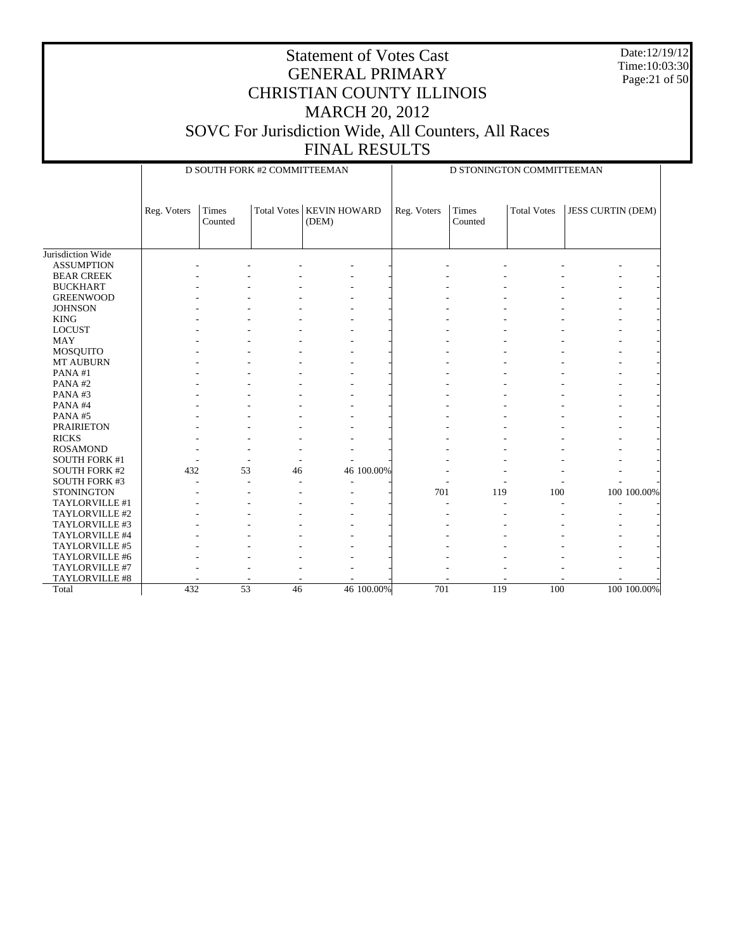Date:12/19/12 Time:10:03:30 Page:21 of 50

|                      |             | D SOUTH FORK #2 COMMITTEEMAN |                    |                              | D STONINGTON COMMITTEEMAN |                  |                    |                          |             |
|----------------------|-------------|------------------------------|--------------------|------------------------------|---------------------------|------------------|--------------------|--------------------------|-------------|
|                      | Reg. Voters | Times<br>Counted             | <b>Total Votes</b> | <b>KEVIN HOWARD</b><br>(DEM) | Reg. Voters               | Times<br>Counted | <b>Total Votes</b> | <b>JESS CURTIN (DEM)</b> |             |
| Jurisdiction Wide    |             |                              |                    |                              |                           |                  |                    |                          |             |
| <b>ASSUMPTION</b>    |             |                              |                    |                              |                           |                  |                    |                          |             |
| <b>BEAR CREEK</b>    |             |                              |                    |                              |                           |                  |                    |                          |             |
| <b>BUCKHART</b>      |             |                              |                    |                              |                           |                  |                    |                          |             |
| <b>GREENWOOD</b>     |             |                              |                    |                              |                           |                  |                    |                          |             |
| <b>JOHNSON</b>       |             |                              |                    |                              |                           |                  |                    |                          |             |
| <b>KING</b>          |             |                              |                    |                              |                           |                  |                    |                          |             |
| <b>LOCUST</b>        |             |                              |                    |                              |                           |                  |                    |                          |             |
| <b>MAY</b>           |             |                              |                    |                              |                           |                  |                    |                          |             |
| <b>MOSQUITO</b>      |             |                              |                    |                              |                           |                  |                    |                          |             |
| MT AUBURN            |             |                              |                    |                              |                           |                  |                    |                          |             |
| PANA#1               |             |                              |                    |                              |                           |                  |                    |                          |             |
| PANA#2               |             |                              |                    |                              |                           |                  |                    |                          |             |
| PANA#3               |             |                              |                    |                              |                           |                  |                    |                          |             |
| PANA#4               |             |                              |                    |                              |                           |                  |                    |                          |             |
| PANA#5               |             |                              |                    |                              |                           |                  |                    |                          |             |
| <b>PRAIRIETON</b>    |             |                              |                    |                              |                           |                  |                    |                          |             |
| <b>RICKS</b>         |             |                              |                    |                              |                           |                  |                    |                          |             |
| <b>ROSAMOND</b>      |             |                              |                    |                              |                           |                  |                    |                          |             |
| <b>SOUTH FORK #1</b> |             |                              |                    |                              |                           |                  |                    |                          |             |
| <b>SOUTH FORK #2</b> | 432         | 53                           | 46                 | 46 100.00%                   |                           |                  |                    |                          |             |
| <b>SOUTH FORK #3</b> |             |                              |                    |                              |                           |                  |                    |                          |             |
| <b>STONINGTON</b>    |             |                              |                    |                              | 701                       | 119              | 100                |                          | 100 100.00% |
| TAYLORVILLE #1       |             |                              |                    |                              |                           |                  |                    |                          |             |
| TAYLORVILLE #2       |             |                              |                    |                              |                           |                  |                    |                          |             |
| TAYLORVILLE #3       |             |                              |                    |                              |                           |                  |                    |                          |             |
| TAYLORVILLE #4       |             |                              |                    |                              |                           |                  |                    |                          |             |
| TAYLORVILLE #5       |             |                              |                    |                              |                           |                  |                    |                          |             |
| TAYLORVILLE #6       |             |                              |                    |                              |                           |                  |                    |                          |             |
| TAYLORVILLE #7       |             |                              |                    |                              |                           |                  |                    |                          |             |
| TAYLORVILLE #8       |             |                              |                    |                              |                           |                  |                    |                          |             |
| Total                | 432         | $\overline{53}$              | 46                 | 46 100,00%                   | 701                       | 119              | 100                |                          | 100 100.00% |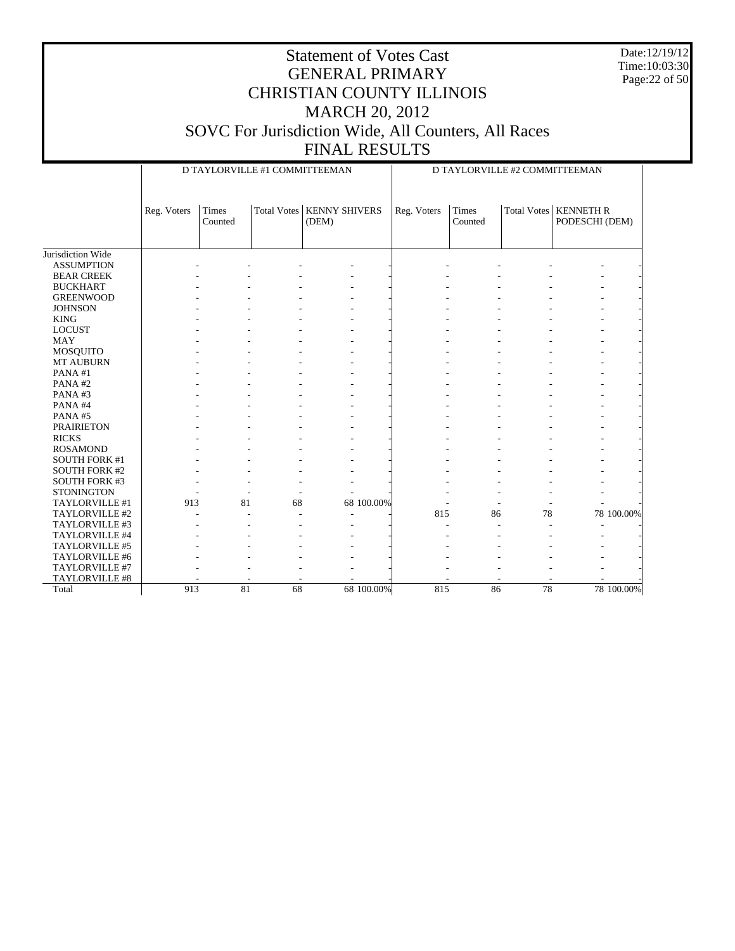Date:12/19/12 Time:10:03:30 Page:22 of 50

|                      |             |         | D TAYLORVILLE #1 COMMITTEEMAN |                      | D TAYLORVILLE #2 COMMITTEEMAN |             |         |    |                         |            |
|----------------------|-------------|---------|-------------------------------|----------------------|-------------------------------|-------------|---------|----|-------------------------|------------|
|                      | Reg. Voters | Times   | <b>Total Votes</b>            | <b>KENNY SHIVERS</b> |                               | Reg. Voters | Times   |    | Total Votes   KENNETH R |            |
|                      |             | Counted |                               | (DEM)                |                               |             | Counted |    | PODESCHI (DEM)          |            |
|                      |             |         |                               |                      |                               |             |         |    |                         |            |
| Jurisdiction Wide    |             |         |                               |                      |                               |             |         |    |                         |            |
| <b>ASSUMPTION</b>    |             |         |                               |                      |                               |             |         |    |                         |            |
| <b>BEAR CREEK</b>    |             |         |                               |                      |                               |             |         |    |                         |            |
| <b>BUCKHART</b>      |             |         |                               |                      |                               |             |         |    |                         |            |
| <b>GREENWOOD</b>     |             |         |                               |                      |                               |             |         |    |                         |            |
| <b>JOHNSON</b>       |             |         |                               |                      |                               |             |         |    |                         |            |
| <b>KING</b>          |             |         |                               |                      |                               |             |         |    |                         |            |
| <b>LOCUST</b>        |             |         |                               |                      |                               |             |         |    |                         |            |
| <b>MAY</b>           |             |         |                               |                      |                               |             |         |    |                         |            |
| <b>MOSQUITO</b>      |             |         |                               |                      |                               |             |         |    |                         |            |
| MT AUBURN            |             |         |                               |                      |                               |             |         |    |                         |            |
| PANA#1               |             |         |                               |                      |                               |             |         |    |                         |            |
| PANA#2               |             |         |                               |                      |                               |             |         |    |                         |            |
| PANA#3               |             |         |                               |                      |                               |             |         |    |                         |            |
| PANA#4               |             |         |                               |                      |                               |             |         |    |                         |            |
| PANA#5               |             |         |                               |                      |                               |             |         |    |                         |            |
| <b>PRAIRIETON</b>    |             |         |                               |                      |                               |             |         |    |                         |            |
| <b>RICKS</b>         |             |         |                               |                      |                               |             |         |    |                         |            |
| <b>ROSAMOND</b>      |             |         |                               |                      |                               |             |         |    |                         |            |
| <b>SOUTH FORK #1</b> |             |         |                               |                      |                               |             |         |    |                         |            |
| <b>SOUTH FORK #2</b> |             |         |                               |                      |                               |             |         |    |                         |            |
| <b>SOUTH FORK #3</b> |             |         |                               |                      |                               |             |         |    |                         |            |
| <b>STONINGTON</b>    |             |         |                               |                      |                               |             |         |    |                         |            |
| TAYLORVILLE #1       | 913         | 81      | 68                            |                      | 68 100.00%                    |             |         |    |                         |            |
| TAYLORVILLE #2       |             |         |                               |                      |                               | 815         | 86      | 78 |                         | 78 100.00% |
| TAYLORVILLE #3       |             |         |                               |                      |                               |             |         |    |                         |            |
| TAYLORVILLE #4       |             |         |                               |                      |                               |             |         |    |                         |            |
| TAYLORVILLE #5       |             |         |                               |                      |                               |             |         |    |                         |            |
| TAYLORVILLE #6       |             |         |                               |                      |                               |             |         |    |                         |            |
| TAYLORVILLE #7       |             |         |                               |                      |                               |             |         |    |                         |            |
| TAYLORVILLE #8       |             |         |                               |                      |                               |             |         |    |                         |            |
| Total                | 913         | 81      | 68                            |                      | 68 100.00%                    | 815         | 86      | 78 |                         | 78 100.00% |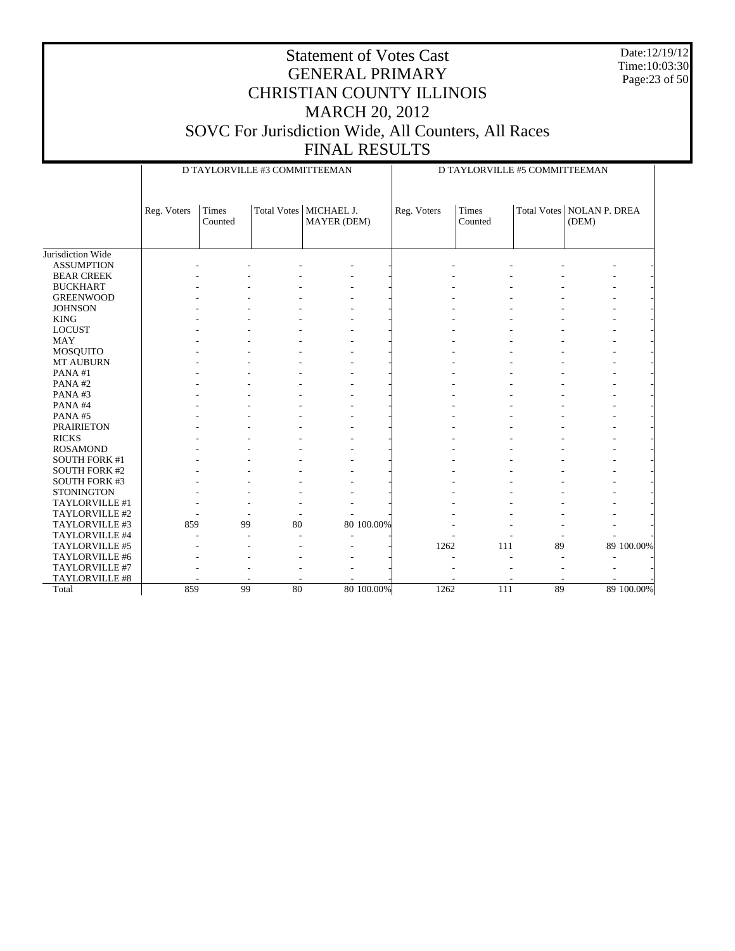Date:12/19/12 Time:10:03:30 Page:23 of 50

|                      |             |                         | D TAYLORVILLE #3 COMMITTEEMAN |                                         |            | D TAYLORVILLE #5 COMMITTEEMAN |                  |    |                                      |            |  |
|----------------------|-------------|-------------------------|-------------------------------|-----------------------------------------|------------|-------------------------------|------------------|----|--------------------------------------|------------|--|
|                      | Reg. Voters | <b>Times</b><br>Counted |                               | Total Votes   MICHAEL J.<br>MAYER (DEM) |            | Reg. Voters                   | Times<br>Counted |    | Total Votes   NOLAN P. DREA<br>(DEM) |            |  |
|                      |             |                         |                               |                                         |            |                               |                  |    |                                      |            |  |
|                      |             |                         |                               |                                         |            |                               |                  |    |                                      |            |  |
| Jurisdiction Wide    |             |                         |                               |                                         |            |                               |                  |    |                                      |            |  |
| <b>ASSUMPTION</b>    |             |                         |                               |                                         |            |                               |                  |    |                                      |            |  |
| <b>BEAR CREEK</b>    |             |                         |                               |                                         |            |                               |                  |    |                                      |            |  |
| <b>BUCKHART</b>      |             |                         |                               |                                         |            |                               |                  |    |                                      |            |  |
| <b>GREENWOOD</b>     |             |                         |                               |                                         |            |                               |                  |    |                                      |            |  |
| <b>JOHNSON</b>       |             |                         |                               |                                         |            |                               |                  |    |                                      |            |  |
| <b>KING</b>          |             |                         |                               |                                         |            |                               |                  |    |                                      |            |  |
| <b>LOCUST</b>        |             |                         |                               |                                         |            |                               |                  |    |                                      |            |  |
| <b>MAY</b>           |             |                         |                               |                                         |            |                               |                  |    |                                      |            |  |
| MOSQUITO             |             |                         |                               |                                         |            |                               |                  |    |                                      |            |  |
| <b>MT AUBURN</b>     |             |                         |                               |                                         |            |                               |                  |    |                                      |            |  |
| PANA#1               |             |                         |                               |                                         |            |                               |                  |    |                                      |            |  |
| PANA#2               |             |                         |                               |                                         |            |                               |                  |    |                                      |            |  |
| PANA#3               |             |                         |                               |                                         |            |                               |                  |    |                                      |            |  |
| PANA#4               |             |                         |                               |                                         |            |                               |                  |    |                                      |            |  |
| PANA#5               |             |                         |                               |                                         |            |                               |                  |    |                                      |            |  |
| <b>PRAIRIETON</b>    |             |                         |                               |                                         |            |                               |                  |    |                                      |            |  |
| <b>RICKS</b>         |             |                         |                               |                                         |            |                               |                  |    |                                      |            |  |
| <b>ROSAMOND</b>      |             |                         |                               |                                         |            |                               |                  |    |                                      |            |  |
| <b>SOUTH FORK #1</b> |             |                         |                               |                                         |            |                               |                  |    |                                      |            |  |
| <b>SOUTH FORK #2</b> |             |                         |                               |                                         |            |                               |                  |    |                                      |            |  |
| <b>SOUTH FORK #3</b> |             |                         |                               |                                         |            |                               |                  |    |                                      |            |  |
| <b>STONINGTON</b>    |             |                         |                               |                                         |            |                               |                  |    |                                      |            |  |
| TAYLORVILLE #1       |             |                         |                               |                                         |            |                               |                  |    |                                      |            |  |
| TAYLORVILLE #2       |             |                         |                               |                                         |            |                               |                  |    |                                      |            |  |
| TAYLORVILLE #3       | 859         |                         | 80<br>99                      |                                         | 80 100.00% |                               |                  |    |                                      |            |  |
| TAYLORVILLE #4       |             |                         | ÷                             |                                         |            |                               |                  | ٠  |                                      |            |  |
| TAYLORVILLE #5       |             |                         |                               |                                         |            | 1262                          | 111              | 89 |                                      | 89 100.00% |  |
| TAYLORVILLE #6       |             |                         |                               |                                         |            |                               |                  |    |                                      |            |  |
| TAYLORVILLE #7       |             |                         |                               |                                         |            |                               |                  |    |                                      |            |  |
| TAYLORVILLE #8       |             |                         |                               |                                         |            |                               |                  |    |                                      |            |  |
| Total                | 859         |                         | 99<br>80                      |                                         | 80 100.00% | 1262                          | 111              | 89 |                                      | 89 100.00% |  |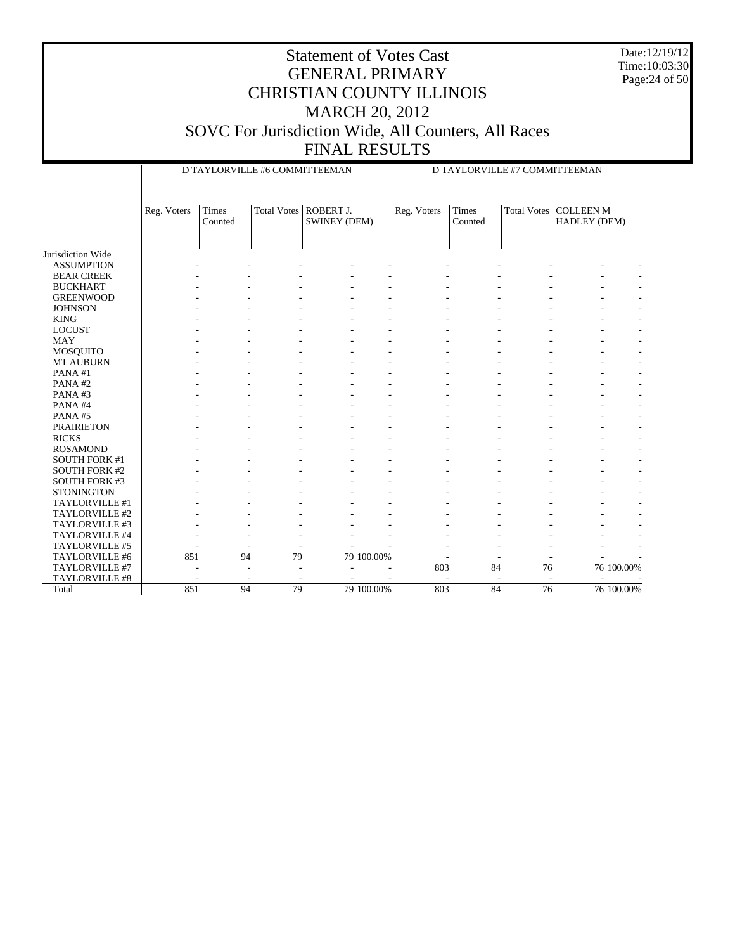Date:12/19/12 Time:10:03:30 Page:24 of 50

| Times<br>Total Votes   ROBERT J.<br>Times<br>Total Votes   COLLEEN M<br>Reg. Voters<br>Reg. Voters<br>SWINEY (DEM)<br>Counted<br>Counted | HADLEY (DEM) |
|------------------------------------------------------------------------------------------------------------------------------------------|--------------|
|                                                                                                                                          |              |
| Jurisdiction Wide                                                                                                                        |              |
| <b>ASSUMPTION</b>                                                                                                                        |              |
| <b>BEAR CREEK</b>                                                                                                                        |              |
| <b>BUCKHART</b>                                                                                                                          |              |
| <b>GREENWOOD</b>                                                                                                                         |              |
| <b>JOHNSON</b>                                                                                                                           |              |
| <b>KING</b>                                                                                                                              |              |
| <b>LOCUST</b>                                                                                                                            |              |
| <b>MAY</b>                                                                                                                               |              |
| MOSQUITO                                                                                                                                 |              |
| <b>MT AUBURN</b>                                                                                                                         |              |
| PANA#1                                                                                                                                   |              |
| PANA#2                                                                                                                                   |              |
| PANA#3                                                                                                                                   |              |
| PANA#4                                                                                                                                   |              |
| PANA#5                                                                                                                                   |              |
| <b>PRAIRIETON</b>                                                                                                                        |              |
| <b>RICKS</b>                                                                                                                             |              |
| <b>ROSAMOND</b>                                                                                                                          |              |
| <b>SOUTH FORK #1</b>                                                                                                                     |              |
| <b>SOUTH FORK #2</b>                                                                                                                     |              |
| <b>SOUTH FORK #3</b>                                                                                                                     |              |
| <b>STONINGTON</b>                                                                                                                        |              |
| TAYLORVILLE #1                                                                                                                           |              |
| TAYLORVILLE #2                                                                                                                           |              |
| TAYLORVILLE #3                                                                                                                           |              |
| TAYLORVILLE #4                                                                                                                           |              |
| TAYLORVILLE #5                                                                                                                           |              |
| 79 100.00%<br>851<br>94<br>79<br>TAYLORVILLE #6                                                                                          |              |
| TAYLORVILLE #7<br>803<br>84<br>76                                                                                                        | 76 100.00%   |
| TAYLORVILLE #8                                                                                                                           |              |
| 79 100.00%<br>803<br>$\overline{84}$<br>851<br>94<br>79<br>$\overline{76}$<br>Total                                                      | 76 100.00%   |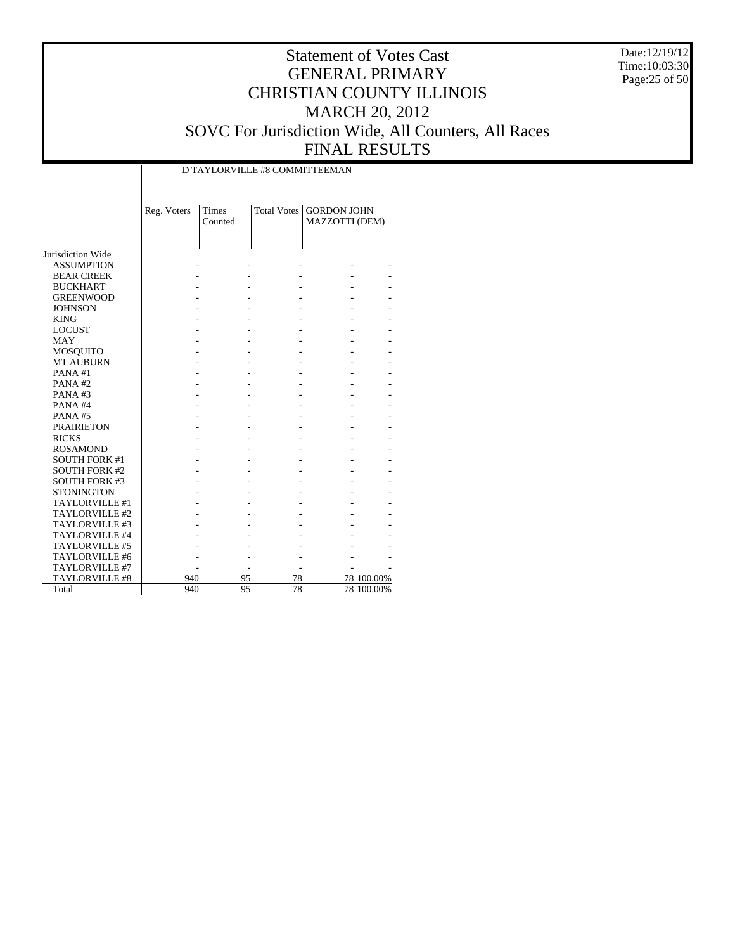Date:12/19/12 Time:10:03:30 Page:25 of 50

# Statement of Votes Cast GENERAL PRIMARY CHRISTIAN COUNTY ILLINOIS MARCH 20, 2012 SOVC For Jurisdiction Wide, All Counters, All Races FINAL RESULTS

|                                        | Reg. Voters | Times<br>Counted |    | Total Votes   GORDON JOHN<br>MAZZOTTI (DEM) |            |
|----------------------------------------|-------------|------------------|----|---------------------------------------------|------------|
|                                        |             |                  |    |                                             |            |
| Jurisdiction Wide<br><b>ASSUMPTION</b> |             |                  |    |                                             |            |
|                                        |             |                  |    |                                             |            |
| <b>BEAR CREEK</b>                      |             |                  |    |                                             |            |
| <b>BUCKHART</b>                        |             |                  |    |                                             |            |
| <b>GREENWOOD</b>                       |             |                  |    |                                             |            |
| <b>JOHNSON</b>                         |             |                  |    |                                             |            |
| <b>KING</b>                            |             |                  |    |                                             |            |
| <b>LOCUST</b>                          |             |                  |    |                                             |            |
| <b>MAY</b>                             |             |                  |    |                                             |            |
| MOSQUITO                               |             |                  |    |                                             |            |
| <b>MT AUBURN</b>                       |             |                  |    |                                             |            |
| PANA#1                                 |             |                  |    |                                             |            |
| PANA#2                                 |             |                  |    |                                             |            |
| PANA# $3$                              |             |                  |    |                                             |            |
| PANA#4                                 |             |                  |    |                                             |            |
| PANA#5                                 |             |                  |    |                                             |            |
| <b>PRAIRIETON</b>                      |             |                  |    |                                             |            |
| <b>RICKS</b>                           |             |                  |    |                                             |            |
| <b>ROSAMOND</b>                        |             |                  |    |                                             |            |
| <b>SOUTH FORK #1</b>                   |             |                  |    |                                             |            |
| <b>SOUTH FORK #2</b>                   |             |                  |    |                                             |            |
| <b>SOUTH FORK #3</b>                   |             |                  |    |                                             |            |
| <b>STONINGTON</b>                      |             |                  |    |                                             |            |
| TAYLORVILLE #1                         |             |                  |    |                                             |            |
| TAYLORVILLE #2                         |             |                  |    |                                             |            |
| TAYLORVILLE #3                         |             |                  |    |                                             |            |
| TAYLORVILLE #4                         |             |                  |    |                                             |            |
| TAYLORVILLE #5                         |             |                  |    |                                             |            |
| TAYLORVILLE #6                         |             |                  |    |                                             |            |
| TAYLORVILLE #7                         |             |                  |    |                                             |            |
| <b>TAYLORVILLE #8</b>                  | 940         | 95               | 78 |                                             | 78 100.00% |
| Total                                  | 940         | 95               | 78 |                                             | 78 100.00% |

D TAYLORVILLE #8 COMMITTEEMAN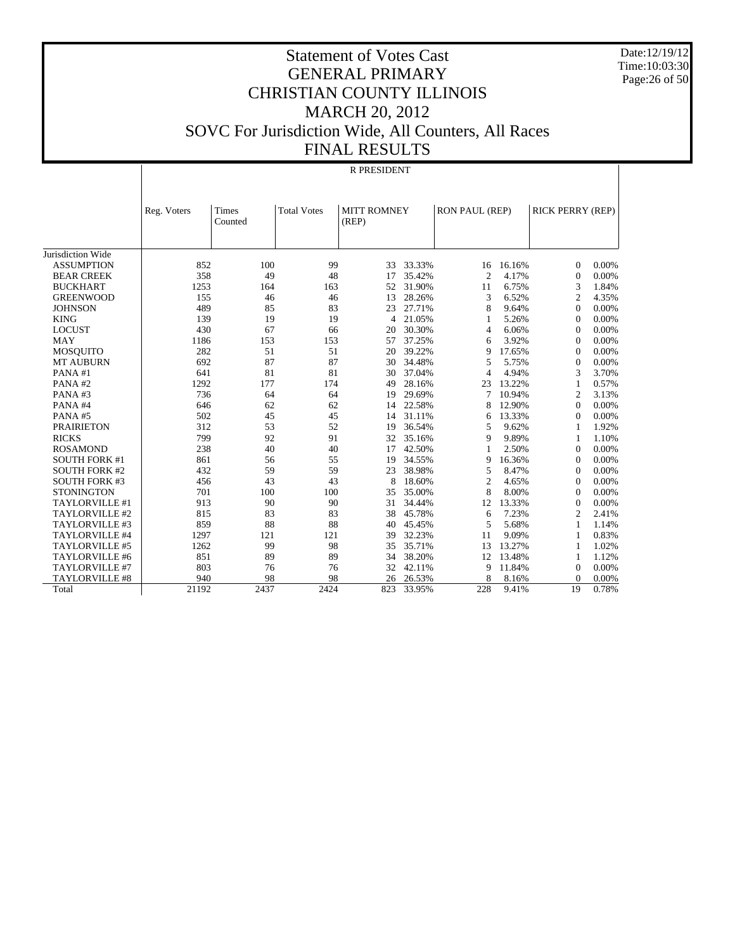Date:12/19/12 Time:10:03:30 Page:26 of 50

#### Statement of Votes Cast GENERAL PRIMARY CHRISTIAN COUNTY ILLINOIS MARCH 20, 2012 SOVC For Jurisdiction Wide, All Counters, All Races FINAL RESULTS

|                       | <b>R PRESIDENT</b> |                         |                    |                             |        |                |        |                         |       |
|-----------------------|--------------------|-------------------------|--------------------|-----------------------------|--------|----------------|--------|-------------------------|-------|
|                       | Reg. Voters        | <b>Times</b><br>Counted | <b>Total Votes</b> | <b>MITT ROMNEY</b><br>(REP) |        | RON PAUL (REP) |        | <b>RICK PERRY (REP)</b> |       |
| Jurisdiction Wide     |                    |                         |                    |                             |        |                |        |                         |       |
| <b>ASSUMPTION</b>     | 852                | 100                     | 99                 | 33                          | 33.33% | 16             | 16.16% | $\overline{0}$          | 0.00% |
| <b>BEAR CREEK</b>     | 358                | 49                      | 48                 | 17                          | 35.42% | $\overline{c}$ | 4.17%  | $\mathbf{0}$            | 0.00% |
| <b>BUCKHART</b>       | 1253               | 164                     | 163                | 52                          | 31.90% | 11             | 6.75%  | 3                       | 1.84% |
| <b>GREENWOOD</b>      | 155                | 46                      | 46                 | 13                          | 28.26% | 3              | 6.52%  | 2                       | 4.35% |
| <b>JOHNSON</b>        | 489                | 85                      | 83                 | 23                          | 27.71% | 8              | 9.64%  | $\Omega$                | 0.00% |
| <b>KING</b>           | 139                | 19                      | 19                 | 4                           | 21.05% | 1              | 5.26%  | $\Omega$                | 0.00% |
| <b>LOCUST</b>         | 430                | 67                      | 66                 | 20                          | 30.30% | $\overline{4}$ | 6.06%  | $\theta$                | 0.00% |
| <b>MAY</b>            | 1186               | 153                     | 153                | 57                          | 37.25% | 6              | 3.92%  | $\overline{0}$          | 0.00% |
| <b>MOSQUITO</b>       | 282                | 51                      | 51                 | 20                          | 39.22% | 9              | 17.65% | $\overline{0}$          | 0.00% |
| <b>MT AUBURN</b>      | 692                | 87                      | 87                 | 30                          | 34.48% | 5              | 5.75%  | $\Omega$                | 0.00% |
| PANA#1                | 641                | 81                      | 81                 | 30                          | 37.04% | $\overline{4}$ | 4.94%  | 3                       | 3.70% |
| PANA#2                | 1292               | 177                     | 174                | 49                          | 28.16% | 23             | 13.22% | 1                       | 0.57% |
| PANA#3                | 736                | 64                      | 64                 | 19                          | 29.69% | 7              | 10.94% | 2                       | 3.13% |
| PANA#4                | 646                | 62                      | 62                 | 14                          | 22.58% | 8              | 12.90% | $\Omega$                | 0.00% |
| PANA#5                | 502                | 45                      | 45                 | 14                          | 31.11% | 6              | 13.33% | $\theta$                | 0.00% |
| <b>PRAIRIETON</b>     | 312                | 53                      | 52                 | 19                          | 36.54% | 5              | 9.62%  | 1                       | 1.92% |
| <b>RICKS</b>          | 799                | 92                      | 91                 | 32                          | 35.16% | 9              | 9.89%  | 1                       | 1.10% |
| <b>ROSAMOND</b>       | 238                | 40                      | 40                 | 17                          | 42.50% | 1              | 2.50%  | $\mathbf{0}$            | 0.00% |
| <b>SOUTH FORK #1</b>  | 861                | 56                      | 55                 | 19                          | 34.55% | 9              | 16.36% | $\Omega$                | 0.00% |
| <b>SOUTH FORK #2</b>  | 432                | 59                      | 59                 | 23                          | 38.98% | 5              | 8.47%  | $\Omega$                | 0.00% |
| <b>SOUTH FORK #3</b>  | 456                | 43                      | 43                 | 8                           | 18.60% | $\overline{c}$ | 4.65%  | $\Omega$                | 0.00% |
| <b>STONINGTON</b>     | 701                | 100                     | 100                | 35                          | 35.00% | 8              | 8.00%  | $\Omega$                | 0.00% |
| TAYLORVILLE #1        | 913                | 90                      | 90                 | 31                          | 34.44% | 12             | 13.33% | $\theta$                | 0.00% |
| TAYLORVILLE #2        | 815                | 83                      | 83                 | 38                          | 45.78% | 6              | 7.23%  | $\overline{c}$          | 2.41% |
| TAYLORVILLE #3        | 859                | 88                      | 88                 | 40                          | 45.45% | 5              | 5.68%  | $\mathbf{1}$            | 1.14% |
| TAYLORVILLE #4        | 1297               | 121                     | 121                | 39                          | 32.23% | 11             | 9.09%  | $\mathbf{1}$            | 0.83% |
| TAYLORVILLE #5        | 1262               | 99                      | 98                 | 35                          | 35.71% | 13             | 13.27% | -1                      | 1.02% |
| TAYLORVILLE #6        | 851                | 89                      | 89                 | 34                          | 38.20% | 12             | 13.48% | $\mathbf{1}$            | 1.12% |
| TAYLORVILLE #7        | 803                | 76                      | 76                 | 32                          | 42.11% | 9              | 11.84% | $\Omega$                | 0.00% |
| <b>TAYLORVILLE #8</b> | 940                | 98                      | 98                 | 26                          | 26.53% | 8              | 8.16%  | $\Omega$                | 0.00% |
| Total                 | 21192              | 2437                    | 2424               | 823                         | 33.95% | 228            | 9.41%  | 19                      | 0.78% |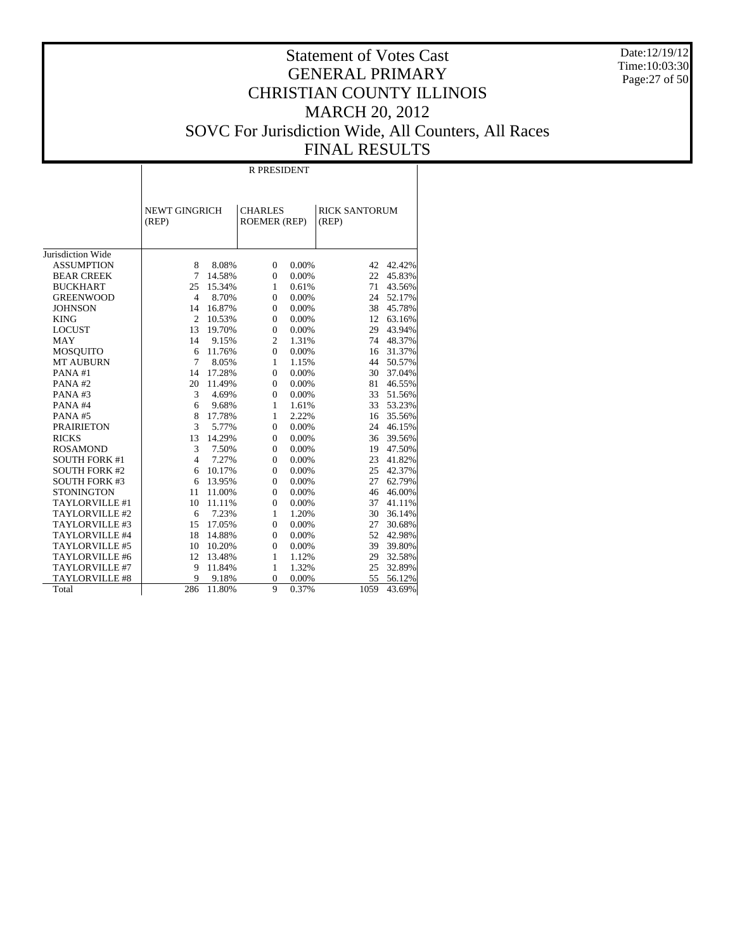Date:12/19/12 Time:10:03:30 Page:27 of 50

# Statement of Votes Cast GENERAL PRIMARY CHRISTIAN COUNTY ILLINOIS MARCH 20, 2012 SOVC For Jurisdiction Wide, All Counters, All Races FINAL RESULTS

Τ

|                       |                               | <b>R PRESIDENT</b> |                                       |       |                               |        |  |  |  |
|-----------------------|-------------------------------|--------------------|---------------------------------------|-------|-------------------------------|--------|--|--|--|
|                       | <b>NEWT GINGRICH</b><br>(REP) |                    | <b>CHARLES</b><br><b>ROEMER (REP)</b> |       | <b>RICK SANTORUM</b><br>(REP) |        |  |  |  |
| Jurisdiction Wide     |                               |                    |                                       |       |                               |        |  |  |  |
| <b>ASSUMPTION</b>     | 8                             | 8.08%              | $\mathbf{0}$                          | 0.00% | 42                            | 42.42% |  |  |  |
| <b>BEAR CREEK</b>     | 7                             | 14.58%             | $\overline{0}$                        | 0.00% | 22                            | 45.83% |  |  |  |
| <b>BUCKHART</b>       | 25                            | 15.34%             | $\mathbf{1}$                          | 0.61% | 71                            | 43.56% |  |  |  |
| <b>GREENWOOD</b>      | $\overline{4}$                | 8.70%              | $\overline{0}$                        | 0.00% | 24                            | 52.17% |  |  |  |
| <b>JOHNSON</b>        | 14                            | 16.87%             | $\mathbf{0}$                          | 0.00% | 38                            | 45.78% |  |  |  |
| <b>KING</b>           | $\overline{2}$                | 10.53%             | $\mathbf{0}$                          | 0.00% | 12                            | 63.16% |  |  |  |
| <b>LOCUST</b>         | 13                            | 19.70%             | $\mathbf{0}$                          | 0.00% | 29                            | 43.94% |  |  |  |
| <b>MAY</b>            | 14                            | 9.15%              | $\overline{c}$                        | 1.31% | 74                            | 48.37% |  |  |  |
| <b>MOSQUITO</b>       | 6                             | 11.76%             | $\overline{0}$                        | 0.00% | 16                            | 31.37% |  |  |  |
| <b>MT AUBURN</b>      | 7                             | 8.05%              | $\mathbf{1}$                          | 1.15% | 44                            | 50.57% |  |  |  |
| PANA#1                | 14                            | 17.28%             | $\overline{0}$                        | 0.00% | 30                            | 37.04% |  |  |  |
| PANA#2                | 20                            | 11.49%             | $\overline{0}$                        | 0.00% | 81                            | 46.55% |  |  |  |
| PANA#3                | 3                             | 4.69%              | $\overline{0}$                        | 0.00% | 33                            | 51.56% |  |  |  |
| PANA#4                | 6                             | 9.68%              | $\mathbf{1}$                          | 1.61% | 33                            | 53.23% |  |  |  |
| PANA#5                | 8                             | 17.78%             | $\mathbf{1}$                          | 2.22% | 16                            | 35.56% |  |  |  |
| <b>PRAIRIETON</b>     | 3                             | 5.77%              | $\overline{0}$                        | 0.00% | 24                            | 46.15% |  |  |  |
| <b>RICKS</b>          | 13                            | 14.29%             | $\overline{0}$                        | 0.00% | 36                            | 39.56% |  |  |  |
| <b>ROSAMOND</b>       | 3                             | 7.50%              | $\overline{0}$                        | 0.00% | 19                            | 47.50% |  |  |  |
| <b>SOUTH FORK #1</b>  | $\overline{4}$                | 7.27%              | $\overline{0}$                        | 0.00% | 23                            | 41.82% |  |  |  |
| <b>SOUTH FORK #2</b>  | 6                             | 10.17%             | $\overline{0}$                        | 0.00% | 25                            | 42.37% |  |  |  |
| <b>SOUTH FORK #3</b>  | 6                             | 13.95%             | $\mathbf{0}$                          | 0.00% | 27                            | 62.79% |  |  |  |
| <b>STONINGTON</b>     | 11                            | 11.00%             | $\mathbf{0}$                          | 0.00% | 46                            | 46.00% |  |  |  |
| TAYLORVILLE #1        | 10                            | 11.11%             | $\mathbf{0}$                          | 0.00% | 37                            | 41.11% |  |  |  |
| TAYLORVILLE #2        | 6                             | 7.23%              | $\mathbf{1}$                          | 1.20% | 30                            | 36.14% |  |  |  |
| TAYLORVILLE #3        | 15                            | 17.05%             | $\overline{0}$                        | 0.00% | 27                            | 30.68% |  |  |  |
| TAYLORVILLE #4        | 18                            | 14.88%             | $\overline{0}$                        | 0.00% | 52                            | 42.98% |  |  |  |
| TAYLORVILLE #5        | 10                            | 10.20%             | $\overline{0}$                        | 0.00% | 39                            | 39.80% |  |  |  |
| TAYLORVILLE #6        | 12                            | 13.48%             | $\mathbf{1}$                          | 1.12% | 29                            | 32.58% |  |  |  |
| TAYLORVILLE #7        | 9                             | 11.84%             | $\mathbf{1}$                          | 1.32% | 25                            | 32.89% |  |  |  |
| <b>TAYLORVILLE #8</b> | 9                             | 9.18%              | $\overline{0}$                        | 0.00% | 55                            | 56.12% |  |  |  |
| Total                 | 286                           | 11.80%             | 9                                     | 0.37% | 1059                          | 43.69% |  |  |  |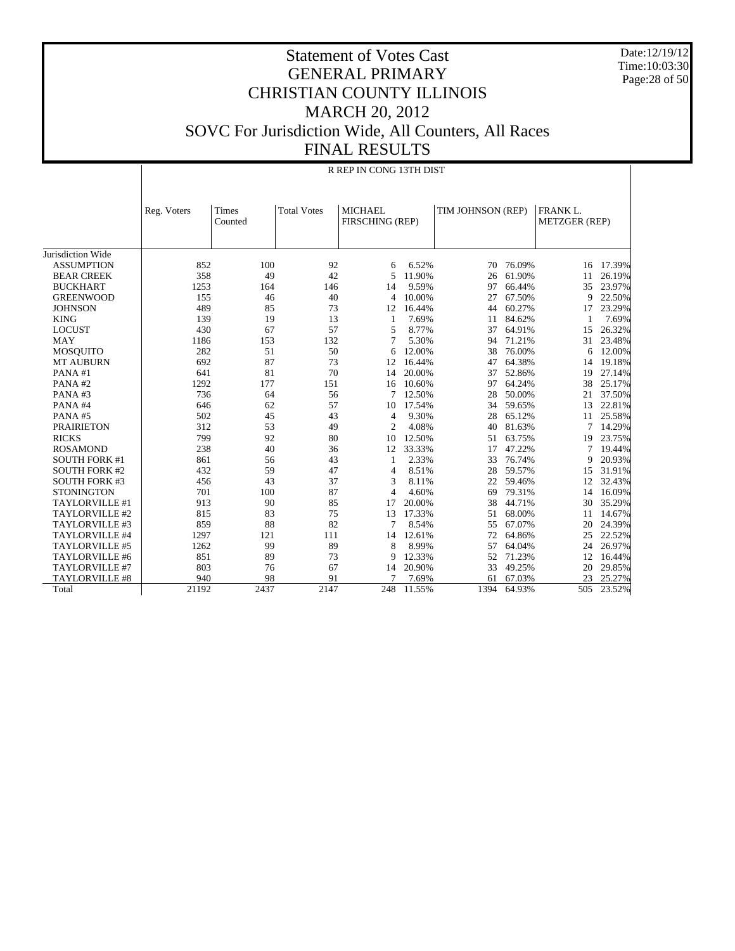Date:12/19/12 Time:10:03:30 Page:28 of 50

# Statement of Votes Cast GENERAL PRIMARY CHRISTIAN COUNTY ILLINOIS MARCH 20, 2012 SOVC For Jurisdiction Wide, All Counters, All Races FINAL RESULTS

|                      | R REP IN CONG 13TH DIST |                         |                    |                                   |        |                   |        |                                         |        |
|----------------------|-------------------------|-------------------------|--------------------|-----------------------------------|--------|-------------------|--------|-----------------------------------------|--------|
|                      |                         |                         |                    |                                   |        |                   |        |                                         |        |
|                      | Reg. Voters             | <b>Times</b><br>Counted | <b>Total Votes</b> | <b>MICHAEL</b><br>FIRSCHING (REP) |        | TIM JOHNSON (REP) |        | <b>FRANK L.</b><br><b>METZGER (REP)</b> |        |
|                      |                         |                         |                    |                                   |        |                   |        |                                         |        |
| Jurisdiction Wide    |                         |                         |                    |                                   |        |                   |        |                                         |        |
| <b>ASSUMPTION</b>    | 852                     | 100                     | 92                 | 6                                 | 6.52%  | 70                | 76.09% | 16                                      | 17.39% |
| <b>BEAR CREEK</b>    | 358                     | 49                      | 42                 | 5                                 | 11.90% | 26                | 61.90% | 11                                      | 26.19% |
| <b>BUCKHART</b>      | 1253                    | 164                     | 146                | 14                                | 9.59%  | 97                | 66.44% | 35                                      | 23.97% |
| <b>GREENWOOD</b>     | 155                     | 46                      | 40                 | $\overline{4}$                    | 10.00% | 27                | 67.50% | 9                                       | 22.50% |
| <b>JOHNSON</b>       | 489                     | 85                      | 73                 | 12                                | 16.44% | 44                | 60.27% | 17                                      | 23.29% |
| <b>KING</b>          | 139                     | 19                      | 13                 | 1                                 | 7.69%  | 11                | 84.62% | 1                                       | 7.69%  |
| <b>LOCUST</b>        | 430                     | 67                      | 57                 | 5                                 | 8.77%  | 37                | 64.91% | 15                                      | 26.32% |
| <b>MAY</b>           | 1186                    | 153                     | 132                | 7                                 | 5.30%  | 94                | 71.21% | 31                                      | 23.48% |
| MOSQUITO             | 282                     | 51                      | 50                 | 6                                 | 12.00% | 38                | 76.00% | 6                                       | 12.00% |
| <b>MT AUBURN</b>     | 692                     | 87                      | 73                 | 12                                | 16.44% | 47                | 64.38% | 14                                      | 19.18% |
| PANA#1               | 641                     | 81                      | 70                 | 14                                | 20.00% | 37                | 52.86% | 19                                      | 27.14% |
| PANA#2               | 1292                    | 177                     | 151                | 16                                | 10.60% | 97                | 64.24% | 38                                      | 25.17% |
| PANA#3               | 736                     | 64                      | 56                 | 7                                 | 12.50% | 28                | 50.00% | 21                                      | 37.50% |
| PANA#4               | 646                     | 62                      | 57                 | 10                                | 17.54% | 34                | 59.65% | 13                                      | 22.81% |
| PANA#5               | 502                     | 45                      | 43                 | $\overline{4}$                    | 9.30%  | 28                | 65.12% | 11                                      | 25.58% |
| <b>PRAIRIETON</b>    | 312                     | 53                      | 49                 | $\overline{c}$                    | 4.08%  | 40                | 81.63% | 7                                       | 14.29% |
| <b>RICKS</b>         | 799                     | 92                      | 80                 | 10                                | 12.50% | 51                | 63.75% | 19                                      | 23.75% |
| <b>ROSAMOND</b>      | 238                     | 40                      | 36                 | 12                                | 33.33% | 17                | 47.22% | 7                                       | 19.44% |
| <b>SOUTH FORK #1</b> | 861                     | 56                      | 43                 | 1                                 | 2.33%  | 33                | 76.74% | 9                                       | 20.93% |
| <b>SOUTH FORK #2</b> | 432                     | 59                      | 47                 | 4                                 | 8.51%  | 28                | 59.57% | 15                                      | 31.91% |
| <b>SOUTH FORK #3</b> | 456                     | 43                      | 37                 | 3                                 | 8.11%  | 22                | 59.46% | 12                                      | 32.43% |
| <b>STONINGTON</b>    | 701                     | 100                     | 87                 | $\overline{4}$                    | 4.60%  | 69                | 79.31% | 14                                      | 16.09% |
| TAYLORVILLE #1       | 913                     | 90                      | 85                 | 17                                | 20.00% | 38                | 44.71% | 30                                      | 35.29% |
| TAYLORVILLE #2       | 815                     | 83                      | 75                 | 13                                | 17.33% | 51                | 68.00% | 11                                      | 14.67% |
| TAYLORVILLE #3       | 859                     | 88                      | 82                 | 7                                 | 8.54%  | 55                | 67.07% | 20                                      | 24.39% |
| TAYLORVILLE #4       | 1297                    | 121                     | 111                | 14                                | 12.61% | 72                | 64.86% | 25                                      | 22.52% |
| TAYLORVILLE #5       | 1262                    | 99                      | 89                 | 8                                 | 8.99%  | 57                | 64.04% | 24                                      | 26.97% |
| TAYLORVILLE #6       | 851                     | 89                      | 73                 | 9                                 | 12.33% | 52                | 71.23% | 12                                      | 16.44% |
| TAYLORVILLE #7       | 803                     | 76                      | 67                 | 14                                | 20.90% | 33                | 49.25% | 20                                      | 29.85% |
| TAYLORVILLE #8       | 940                     | 98                      | 91                 | $\tau$                            | 7.69%  | 61                | 67.03% | 23                                      | 25.27% |
| Total                | 21192                   | 2437                    | 2147               | 248                               | 11.55% | 1394              | 64.93% | 505                                     | 23.52% |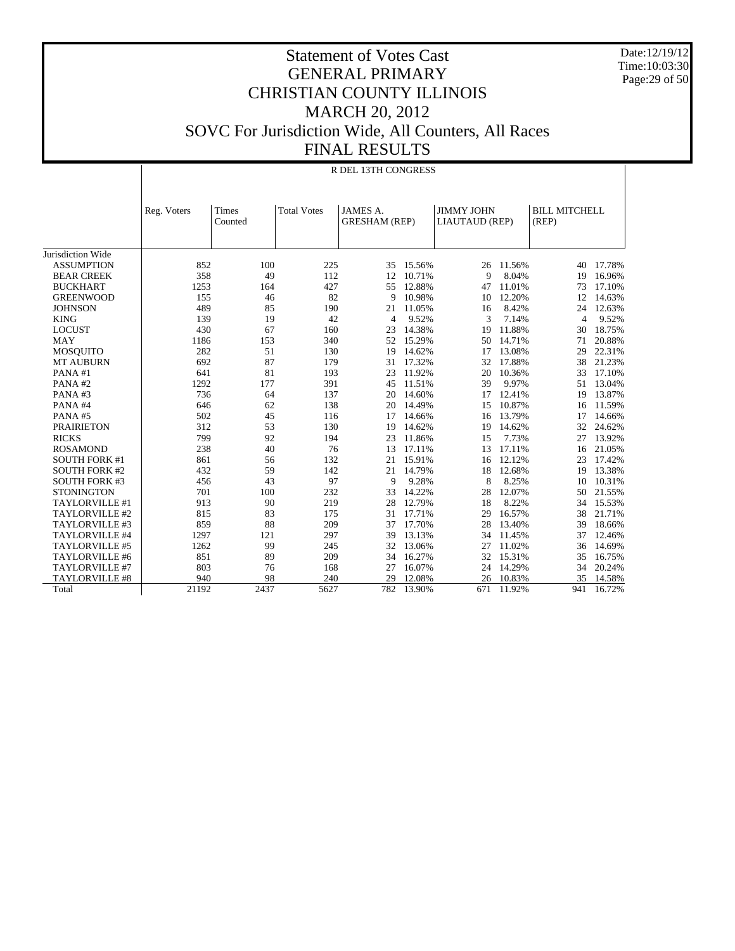Date:12/19/12 Time:10:03:30 Page:29 of 50

#### Statement of Votes Cast GENERAL PRIMARY CHRISTIAN COUNTY ILLINOIS MARCH 20, 2012 SOVC For Jurisdiction Wide, All Counters, All Races FINAL RESULTS

|                      | R DEL 13TH CONGRESS |         |                    |                      |           |                   |           |                      |           |
|----------------------|---------------------|---------|--------------------|----------------------|-----------|-------------------|-----------|----------------------|-----------|
|                      |                     |         |                    |                      |           |                   |           |                      |           |
|                      | Reg. Voters         | Times   | <b>Total Votes</b> | JAMES A.             |           | <b>JIMMY JOHN</b> |           | <b>BILL MITCHELL</b> |           |
|                      |                     | Counted |                    | <b>GRESHAM (REP)</b> |           | LIAUTAUD (REP)    |           | (REP)                |           |
|                      |                     |         |                    |                      |           |                   |           |                      |           |
| Jurisdiction Wide    |                     |         |                    |                      |           |                   |           |                      |           |
| <b>ASSUMPTION</b>    | 852                 | 100     | 225                |                      | 35 15.56% |                   | 26 11.56% | 40                   | 17.78%    |
| <b>BEAR CREEK</b>    | 358                 | 49      | 112                | 12                   | 10.71%    | 9                 | 8.04%     | 19                   | 16.96%    |
| <b>BUCKHART</b>      | 1253                | 164     | 427                | 55                   | 12.88%    | 47                | 11.01%    | 73                   | 17.10%    |
| <b>GREENWOOD</b>     | 155                 | 46      | 82                 | 9                    | 10.98%    | 10                | 12.20%    | 12                   | 14.63%    |
| <b>JOHNSON</b>       | 489                 | 85      | 190                | 21                   | 11.05%    | 16                | 8.42%     | 24                   | 12.63%    |
| <b>KING</b>          | 139                 | 19      | 42                 | $\overline{4}$       | 9.52%     | 3                 | 7.14%     | 4                    | 9.52%     |
| <b>LOCUST</b>        | 430                 | 67      | 160                | 23                   | 14.38%    | 19                | 11.88%    | 30                   | 18.75%    |
| <b>MAY</b>           | 1186                | 153     | 340                |                      | 52 15.29% | 50                | 14.71%    | 71                   | 20.88%    |
| <b>MOSQUITO</b>      | 282                 | 51      | 130                | 19                   | 14.62%    | 17                | 13.08%    | 29                   | 22.31%    |
| <b>MT AUBURN</b>     | 692                 | 87      | 179                | 31                   | 17.32%    | 32                | 17.88%    | 38                   | 21.23%    |
| PANA#1               | 641                 | 81      | 193                | 23                   | 11.92%    | 20                | 10.36%    | 33                   | 17.10%    |
| PANA#2               | 1292                | 177     | 391                | 45                   | 11.51%    | 39                | 9.97%     |                      | 51 13.04% |
| PANA#3               | 736                 | 64      | 137                | 20                   | 14.60%    | 17                | 12.41%    | 19                   | 13.87%    |
| PANA#4               | 646                 | 62      | 138                | 20                   | 14.49%    | 15                | 10.87%    | 16                   | 11.59%    |
| PANA#5               | 502                 | 45      | 116                | 17                   | 14.66%    | 16                | 13.79%    | 17                   | 14.66%    |
|                      | 312                 |         |                    |                      | 14.62%    |                   | 14.62%    |                      | 24.62%    |
| <b>PRAIRIETON</b>    |                     | 53      | 130                | 19                   |           | 19                |           | 32                   |           |
| <b>RICKS</b>         | 799                 | 92      | 194                | 23                   | 11.86%    | 15                | 7.73%     | 27                   | 13.92%    |
| <b>ROSAMOND</b>      | 238                 | 40      | 76                 | 13                   | 17.11%    | 13                | 17.11%    | 16                   | 21.05%    |
| <b>SOUTH FORK #1</b> | 861                 | 56      | 132                | 21                   | 15.91%    | 16                | 12.12%    | 23                   | 17.42%    |
| <b>SOUTH FORK #2</b> | 432                 | 59      | 142                | 21                   | 14.79%    | 18                | 12.68%    | 19                   | 13.38%    |
| <b>SOUTH FORK #3</b> | 456                 | 43      | 97                 | 9                    | 9.28%     | 8                 | 8.25%     | 10                   | 10.31%    |
| <b>STONINGTON</b>    | 701                 | 100     | 232                | 33                   | 14.22%    | 28                | 12.07%    | 50                   | 21.55%    |
| TAYLORVILLE #1       | 913                 | 90      | 219                | 28                   | 12.79%    | 18                | 8.22%     | 34                   | 15.53%    |
| TAYLORVILLE #2       | 815                 | 83      | 175                | 31                   | 17.71%    | 29                | 16.57%    | 38                   | 21.71%    |
| TAYLORVILLE #3       | 859                 | 88      | 209                | 37                   | 17.70%    | 28                | 13.40%    | 39                   | 18.66%    |
| TAYLORVILLE #4       | 1297                | 121     | 297                | 39                   | 13.13%    | 34                | 11.45%    | 37                   | 12.46%    |
| TAYLORVILLE #5       | 1262                | 99      | 245                | 32                   | 13.06%    | 27                | 11.02%    | 36                   | 14.69%    |
| TAYLORVILLE #6       | 851                 | 89      | 209                | 34                   | 16.27%    | 32                | 15.31%    | 35                   | 16.75%    |
| TAYLORVILLE #7       | 803                 | 76      | 168                | 27                   | 16.07%    | 24                | 14.29%    | 34                   | 20.24%    |
| TAYLORVILLE #8       | 940                 | 98      | 240                | 29                   | 12.08%    | 26                | 10.83%    | 35                   | 14.58%    |
| Total                | 21192               | 2437    | 5627               | 782                  | 13.90%    | 671               | 11.92%    | 941                  | 16.72%    |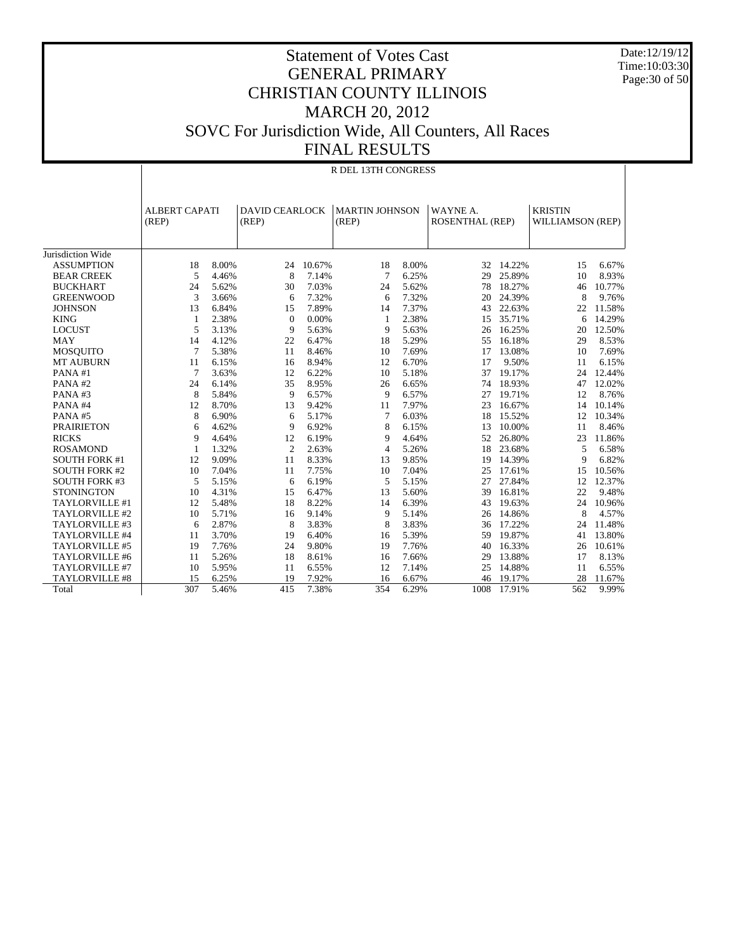Date:12/19/12 Time:10:03:30 Page:30 of 50

|                       | R DEL 13TH CONGRESS           |       |                                |        |                                |       |                                    |        |                                           |        |
|-----------------------|-------------------------------|-------|--------------------------------|--------|--------------------------------|-------|------------------------------------|--------|-------------------------------------------|--------|
|                       | <b>ALBERT CAPATI</b><br>(REP) |       | <b>DAVID CEARLOCK</b><br>(REP) |        | <b>MARTIN JOHNSON</b><br>(REP) |       | WAYNE A.<br><b>ROSENTHAL (REP)</b> |        | <b>KRISTIN</b><br><b>WILLIAMSON (REP)</b> |        |
| Jurisdiction Wide     |                               |       |                                |        |                                |       |                                    |        |                                           |        |
| <b>ASSUMPTION</b>     | 18                            | 8.00% | 24                             | 10.67% | 18                             | 8.00% | 32                                 | 14.22% | 15                                        | 6.67%  |
| <b>BEAR CREEK</b>     | 5                             | 4.46% | 8                              | 7.14%  | 7                              | 6.25% | 29                                 | 25.89% | 10                                        | 8.93%  |
| <b>BUCKHART</b>       | 24                            | 5.62% | 30                             | 7.03%  | 24                             | 5.62% | 78                                 | 18.27% | 46                                        | 10.77% |
| <b>GREENWOOD</b>      | 3                             | 3.66% | 6                              | 7.32%  | 6                              | 7.32% | 20                                 | 24.39% | 8                                         | 9.76%  |
| <b>JOHNSON</b>        | 13                            | 6.84% | 15                             | 7.89%  | 14                             | 7.37% | 43                                 | 22.63% | 22                                        | 11.58% |
| <b>KING</b>           | 1                             | 2.38% | $\Omega$                       | 0.00%  | 1                              | 2.38% | 15                                 | 35.71% | 6                                         | 14.29% |
| <b>LOCUST</b>         | 5                             | 3.13% | 9                              | 5.63%  | 9                              | 5.63% | 26                                 | 16.25% | 20                                        | 12.50% |
| <b>MAY</b>            | 14                            | 4.12% | 22                             | 6.47%  | 18                             | 5.29% | 55                                 | 16.18% | 29                                        | 8.53%  |
| <b>MOSQUITO</b>       | $\overline{7}$                | 5.38% | 11                             | 8.46%  | 10                             | 7.69% | 17                                 | 13.08% | 10                                        | 7.69%  |
| <b>MT AUBURN</b>      | 11                            | 6.15% | 16                             | 8.94%  | 12                             | 6.70% | 17                                 | 9.50%  | 11                                        | 6.15%  |
| PANA#1                | $\overline{7}$                | 3.63% | 12                             | 6.22%  | 10                             | 5.18% | 37                                 | 19.17% | 24                                        | 12.44% |
| PANA#2                | 24                            | 6.14% | 35                             | 8.95%  | 26                             | 6.65% | 74                                 | 18.93% | 47                                        | 12.02% |
| PANA#3                | 8                             | 5.84% | 9                              | 6.57%  | 9                              | 6.57% | 27                                 | 19.71% | 12                                        | 8.76%  |
| PANA#4                | 12                            | 8.70% | 13                             | 9.42%  | 11                             | 7.97% | 23                                 | 16.67% | 14                                        | 10.14% |
| PANA#5                | 8                             | 6.90% | 6                              | 5.17%  | 7                              | 6.03% | 18                                 | 15.52% | 12                                        | 10.34% |
| <b>PRAIRIETON</b>     | 6                             | 4.62% | 9                              | 6.92%  | 8                              | 6.15% | 13                                 | 10.00% | 11                                        | 8.46%  |
| <b>RICKS</b>          | 9                             | 4.64% | 12                             | 6.19%  | 9                              | 4.64% | 52                                 | 26.80% | 23                                        | 11.86% |
| <b>ROSAMOND</b>       | 1                             | 1.32% | $\overline{2}$                 | 2.63%  | 4                              | 5.26% | 18                                 | 23.68% | 5                                         | 6.58%  |
| <b>SOUTH FORK #1</b>  | 12                            | 9.09% | 11                             | 8.33%  | 13                             | 9.85% | 19                                 | 14.39% | 9                                         | 6.82%  |
| <b>SOUTH FORK #2</b>  | 10                            | 7.04% | 11                             | 7.75%  | 10                             | 7.04% | 25                                 | 17.61% | 15                                        | 10.56% |
| <b>SOUTH FORK #3</b>  | 5                             | 5.15% | 6                              | 6.19%  | 5                              | 5.15% | 27                                 | 27.84% | 12                                        | 12.37% |
| <b>STONINGTON</b>     | 10                            | 4.31% | 15                             | 6.47%  | 13                             | 5.60% | 39                                 | 16.81% | 22                                        | 9.48%  |
| TAYLORVILLE #1        | 12                            | 5.48% | 18                             | 8.22%  | 14                             | 6.39% | 43                                 | 19.63% | 24                                        | 10.96% |
| TAYLORVILLE #2        | 10                            | 5.71% | 16                             | 9.14%  | 9                              | 5.14% | 26                                 | 14.86% | 8                                         | 4.57%  |
| TAYLORVILLE #3        | 6                             | 2.87% | 8                              | 3.83%  | 8                              | 3.83% | 36                                 | 17.22% | 24                                        | 11.48% |
| TAYLORVILLE #4        | 11                            | 3.70% | 19                             | 6.40%  | 16                             | 5.39% | 59                                 | 19.87% | 41                                        | 13.80% |
| TAYLORVILLE #5        | 19                            | 7.76% | 24                             | 9.80%  | 19                             | 7.76% | 40                                 | 16.33% | 26                                        | 10.61% |
| TAYLORVILLE #6        | 11                            | 5.26% | 18                             | 8.61%  | 16                             | 7.66% | 29                                 | 13.88% | 17                                        | 8.13%  |
| TAYLORVILLE #7        | 10                            | 5.95% | 11                             | 6.55%  | 12                             | 7.14% | 25                                 | 14.88% | 11                                        | 6.55%  |
| <b>TAYLORVILLE #8</b> | 15                            | 6.25% | 19                             | 7.92%  | 16                             | 6.67% | 46                                 | 19.17% | 28                                        | 11.67% |
| Total                 | 307                           | 5.46% | 415                            | 7.38%  | 354                            | 6.29% | 1008                               | 17.91% | 562                                       | 9.99%  |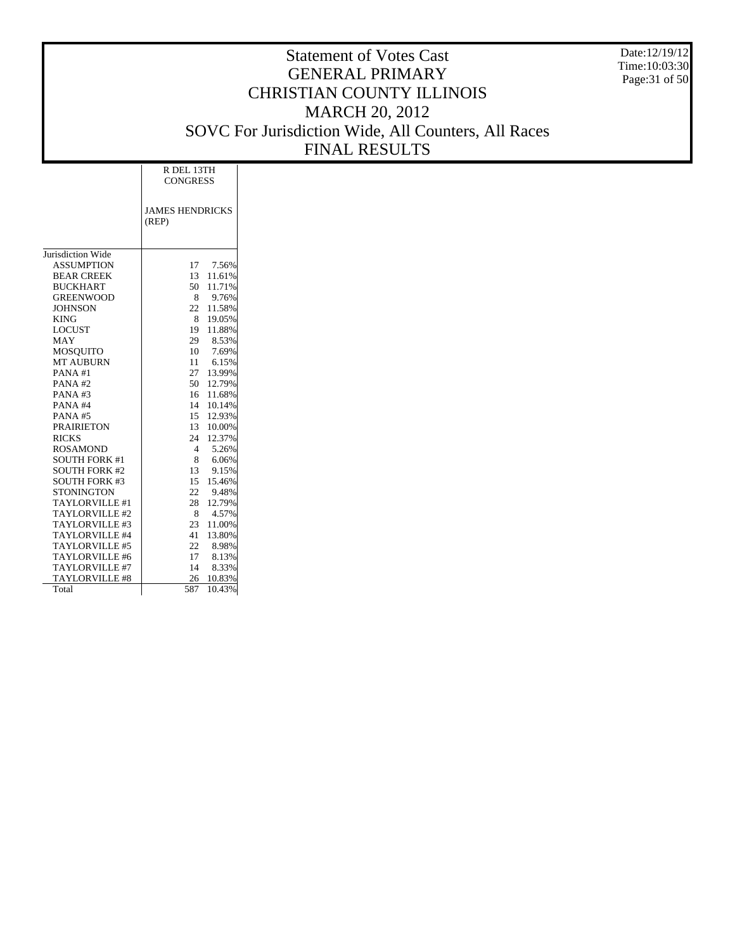Date:12/19/12 Time:10:03:30 Page:31 of 50

|                       | R DEL 13TH<br><b>CONGRESS</b>   |        |  |  |  |  |  |
|-----------------------|---------------------------------|--------|--|--|--|--|--|
|                       |                                 |        |  |  |  |  |  |
|                       | <b>JAMES HENDRICKS</b><br>(REP) |        |  |  |  |  |  |
| Jurisdiction Wide     |                                 |        |  |  |  |  |  |
| <b>ASSUMPTION</b>     | 17                              | 7.56%  |  |  |  |  |  |
| <b>BEAR CREEK</b>     | 13                              | 11.61% |  |  |  |  |  |
| <b>BUCKHART</b>       | 50                              | 11.71% |  |  |  |  |  |
| <b>GREENWOOD</b>      | 8                               | 9.76%  |  |  |  |  |  |
| <b>JOHNSON</b>        | 22                              | 11.58% |  |  |  |  |  |
| <b>KING</b>           | 8                               | 19.05% |  |  |  |  |  |
| <b>LOCUST</b>         | 19                              | 11.88% |  |  |  |  |  |
| MAY                   | 29                              | 8.53%  |  |  |  |  |  |
| <b>MOSQUITO</b>       | 10                              | 7.69%  |  |  |  |  |  |
| <b>MT AUBURN</b>      | 11                              | 6.15%  |  |  |  |  |  |
| PANA#1                | 27                              | 13.99% |  |  |  |  |  |
| PANA#2                | 50                              | 12.79% |  |  |  |  |  |
| PANA#3                | 16                              | 11.68% |  |  |  |  |  |
| PANA#4                | 14                              | 10.14% |  |  |  |  |  |
| PANA#5                | 15                              | 12.93% |  |  |  |  |  |
| <b>PRAIRIETON</b>     | 13 <sup>7</sup>                 | 10.00% |  |  |  |  |  |
| <b>RICKS</b>          | 24                              | 12.37% |  |  |  |  |  |
| <b>ROSAMOND</b>       | 4                               | 5.26%  |  |  |  |  |  |
| <b>SOUTH FORK #1</b>  | 8                               | 6.06%  |  |  |  |  |  |
| <b>SOUTH FORK #2</b>  | 13                              | 9.15%  |  |  |  |  |  |
| <b>SOUTH FORK #3</b>  | 15                              | 15.46% |  |  |  |  |  |
| <b>STONINGTON</b>     | 22                              | 9.48%  |  |  |  |  |  |
| TAYLORVILLE #1        | 28                              | 12.79% |  |  |  |  |  |
| TAYLORVILLE#2         | 8                               | 4.57%  |  |  |  |  |  |
| TAYLORVILLE#3         | 23                              | 11.00% |  |  |  |  |  |
| TAYLORVILLE #4        | 41                              | 13.80% |  |  |  |  |  |
| TAYLORVILLE #5        | 22                              | 8.98%  |  |  |  |  |  |
| TAYLORVILLE #6        | 17                              | 8.13%  |  |  |  |  |  |
| TAYLORVILLE #7        | 14                              | 8.33%  |  |  |  |  |  |
| <b>TAYLORVILLE #8</b> | 26                              | 10.83% |  |  |  |  |  |
| Total                 | 587                             | 10.43% |  |  |  |  |  |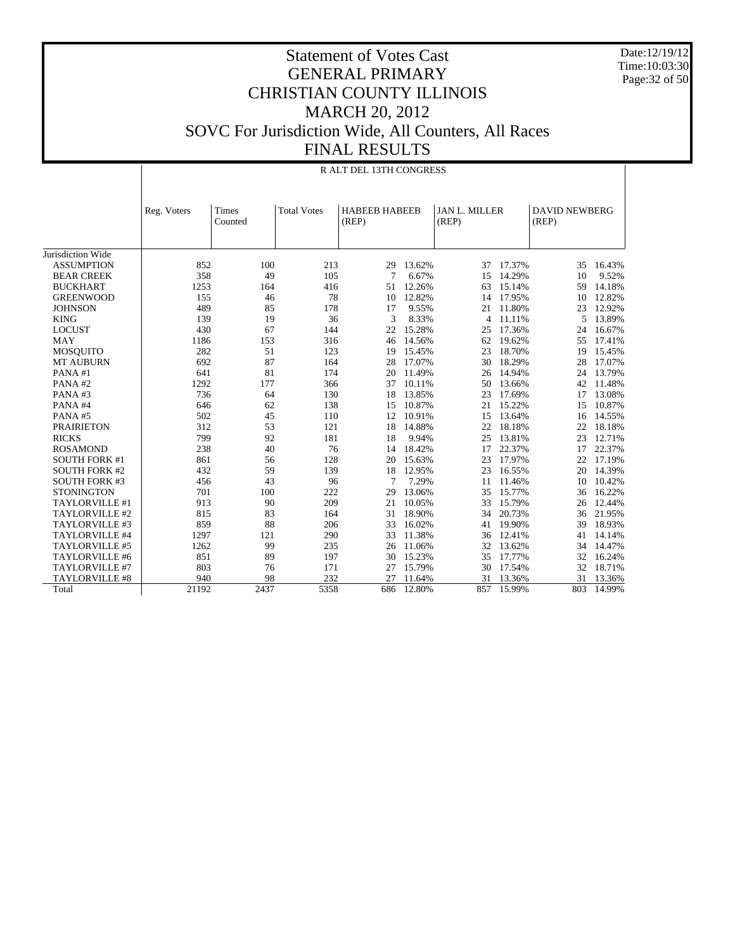Date:12/19/12 Time:10:03:30 Page:32 of 50

#### Statement of Votes Cast GENERAL PRIMARY CHRISTIAN COUNTY ILLINOIS MARCH 20, 2012 SOVC For Jurisdiction Wide, All Counters, All Races FINAL RESULTS

|                       | R ALT DEL 13TH CONGRESS |         |                    |                      |        |                               |          |                      |        |
|-----------------------|-------------------------|---------|--------------------|----------------------|--------|-------------------------------|----------|----------------------|--------|
|                       |                         | Times   | <b>Total Votes</b> | <b>HABEEB HABEEB</b> |        |                               |          | <b>DAVID NEWBERG</b> |        |
|                       | Reg. Voters             | Counted |                    | (REP)                |        | <b>JAN L. MILLER</b><br>(REP) |          | (REP)                |        |
|                       |                         |         |                    |                      |        |                               |          |                      |        |
|                       |                         |         |                    |                      |        |                               |          |                      |        |
| Jurisdiction Wide     |                         |         |                    |                      |        |                               |          |                      |        |
| <b>ASSUMPTION</b>     | 852                     | 100     | 213                | 29                   | 13.62% | 37                            | 17.37%   | 35                   | 16.43% |
| <b>BEAR CREEK</b>     | 358                     | 49      | 105                | 7                    | 6.67%  | 15                            | 14.29%   | 10                   | 9.52%  |
| <b>BUCKHART</b>       | 1253                    | 164     | 416                | 51                   | 12.26% | 63                            | 15.14%   | 59                   | 14.18% |
| <b>GREENWOOD</b>      | 155                     | 46      | 78                 | 10                   | 12.82% | 14                            | 17.95%   | 10                   | 12.82% |
| <b>JOHNSON</b>        | 489                     | 85      | 178                | 17                   | 9.55%  | 21                            | 11.80%   | 23                   | 12.92% |
| <b>KING</b>           | 139                     | 19      | 36                 | 3                    | 8.33%  |                               | 4 11.11% | 5                    | 13.89% |
| <b>LOCUST</b>         | 430                     | 67      | 144                | 22                   | 15.28% | 25                            | 17.36%   | 24                   | 16.67% |
| <b>MAY</b>            | 1186                    | 153     | 316                | 46                   | 14.56% | 62                            | 19.62%   | 55                   | 17.41% |
| <b>MOSQUITO</b>       | 282                     | 51      | 123                | 19                   | 15.45% | 23                            | 18.70%   | 19                   | 15.45% |
| <b>MT AUBURN</b>      | 692                     | 87      | 164                | 28                   | 17.07% | 30                            | 18.29%   | 28                   | 17.07% |
| PANA#1                | 641                     | 81      | 174                | 20                   | 11.49% | 26                            | 14.94%   | 24                   | 13.79% |
| PANA#2                | 1292                    | 177     | 366                | 37                   | 10.11% | 50                            | 13.66%   | 42                   | 11.48% |
| PANA#3                | 736                     | 64      | 130                | 18                   | 13.85% | 23                            | 17.69%   | 17                   | 13.08% |
| PANA#4                | 646                     | 62      | 138                | 15                   | 10.87% | 21                            | 15.22%   | 15                   | 10.87% |
| PANA#5                | 502                     | 45      | 110                | 12                   | 10.91% | 15                            | 13.64%   | 16                   | 14.55% |
| <b>PRAIRIETON</b>     | 312                     | 53      | 121                | 18                   | 14.88% | 22                            | 18.18%   | 22                   | 18.18% |
| <b>RICKS</b>          | 799                     | 92      | 181                | 18                   | 9.94%  | 25                            | 13.81%   | 23                   | 12.71% |
| <b>ROSAMOND</b>       | 238                     | 40      | 76                 | 14                   | 18.42% | 17                            | 22.37%   | 17                   | 22.37% |
| <b>SOUTH FORK #1</b>  | 861                     | 56      | 128                | 20                   | 15.63% | 23                            | 17.97%   | 22                   | 17.19% |
| <b>SOUTH FORK #2</b>  | 432                     | 59      | 139                | 18                   | 12.95% | 23                            | 16.55%   | 20                   | 14.39% |
| <b>SOUTH FORK #3</b>  | 456                     | 43      | 96                 | 7                    | 7.29%  | 11                            | 11.46%   | 10                   | 10.42% |
| <b>STONINGTON</b>     | 701                     | 100     | 222                | 29                   | 13.06% | 35                            | 15.77%   | 36                   | 16.22% |
| TAYLORVILLE #1        | 913                     | 90      | 209                | 21                   | 10.05% | 33                            | 15.79%   | 26                   | 12.44% |
| TAYLORVILLE #2        | 815                     | 83      | 164                | 31                   | 18.90% | 34                            | 20.73%   | 36                   | 21.95% |
| TAYLORVILLE #3        | 859                     | 88      | 206                | 33                   | 16.02% | 41                            | 19.90%   | 39                   | 18.93% |
| TAYLORVILLE #4        | 1297                    | 121     | 290                | 33                   | 11.38% | 36                            | 12.41%   | 41                   | 14.14% |
| TAYLORVILLE #5        | 1262                    | 99      | 235                | 26                   | 11.06% | 32                            | 13.62%   | 34                   | 14.47% |
| TAYLORVILLE #6        | 851                     | 89      | 197                | 30                   | 15.23% | 35                            | 17.77%   | 32                   | 16.24% |
| TAYLORVILLE #7        | 803                     | 76      | 171                | 27                   | 15.79% | 30                            | 17.54%   | 32                   | 18.71% |
| <b>TAYLORVILLE #8</b> | 940                     | 98      | 232                | 27                   | 11.64% | 31                            | 13.36%   | 31                   | 13.36% |
| Total                 | 21192                   | 2437    | 5358               | 686                  | 12.80% | 857                           | 15.99%   | 803                  | 14.99% |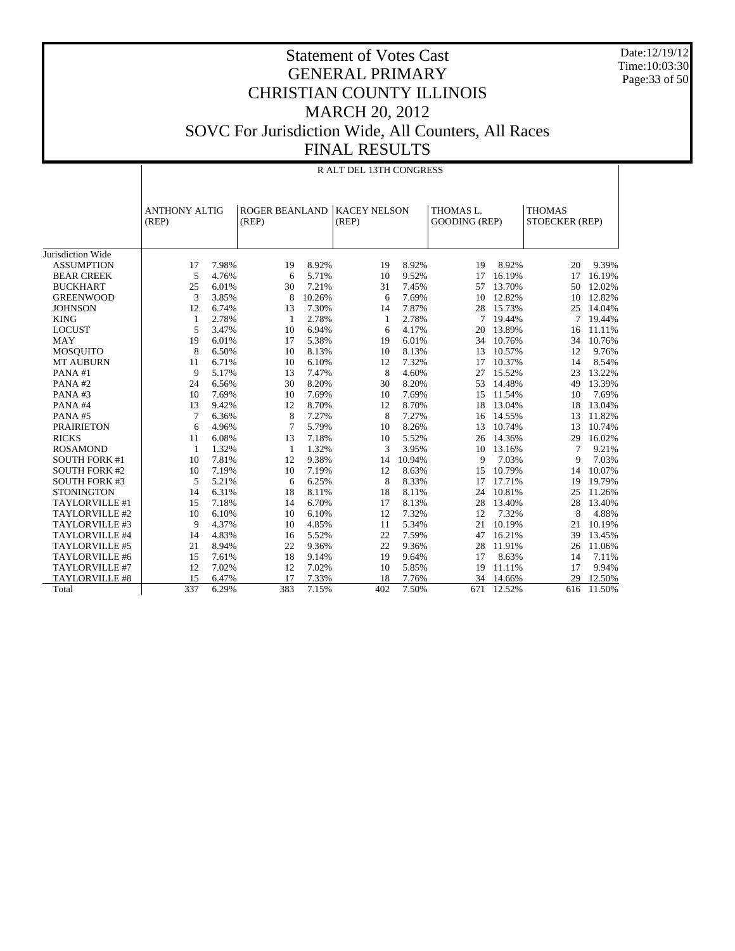Date:12/19/12 Time:10:03:30 Page:33 of 50

|                       |                               | R ALT DEL 13TH CONGRESS |                                |        |                              |        |                                   |        |                                 |        |
|-----------------------|-------------------------------|-------------------------|--------------------------------|--------|------------------------------|--------|-----------------------------------|--------|---------------------------------|--------|
|                       | <b>ANTHONY ALTIG</b><br>(REP) |                         | <b>ROGER BEANLAND</b><br>(REP) |        | <b>KACEY NELSON</b><br>(REP) |        | THOMAS L.<br><b>GOODING (REP)</b> |        | <b>THOMAS</b><br>STOECKER (REP) |        |
| Jurisdiction Wide     |                               |                         |                                |        |                              |        |                                   |        |                                 |        |
| <b>ASSUMPTION</b>     | 17                            | 7.98%                   | 19                             | 8.92%  | 19                           | 8.92%  | 19                                | 8.92%  | 20                              | 9.39%  |
| <b>BEAR CREEK</b>     | 5                             | 4.76%                   | 6                              | 5.71%  | 10                           | 9.52%  | 17                                | 16.19% | 17                              | 16.19% |
| <b>BUCKHART</b>       | 25                            | 6.01%                   | 30                             | 7.21%  | 31                           | 7.45%  | 57                                | 13.70% | 50                              | 12.02% |
| <b>GREENWOOD</b>      | 3                             | 3.85%                   | 8                              | 10.26% | 6                            | 7.69%  | 10                                | 12.82% | 10                              | 12.82% |
| <b>JOHNSON</b>        | 12                            | 6.74%                   | 13                             | 7.30%  | 14                           | 7.87%  | 28                                | 15.73% | 25                              | 14.04% |
| <b>KING</b>           | 1                             | 2.78%                   | $\mathbf{1}$                   | 2.78%  | $\mathbf{1}$                 | 2.78%  | 7                                 | 19.44% | $7\phantom{.0}$                 | 19.44% |
| <b>LOCUST</b>         | 5                             | 3.47%                   | 10                             | 6.94%  | 6                            | 4.17%  | 20                                | 13.89% | 16                              | 11.11% |
| <b>MAY</b>            | 19                            | 6.01%                   | 17                             | 5.38%  | 19                           | 6.01%  | 34                                | 10.76% | 34                              | 10.76% |
| <b>MOSQUITO</b>       | 8                             | 6.50%                   | 10                             | 8.13%  | 10                           | 8.13%  | 13                                | 10.57% | 12                              | 9.76%  |
| <b>MT AUBURN</b>      | 11                            | 6.71%                   | 10                             | 6.10%  | 12                           | 7.32%  | 17                                | 10.37% | 14                              | 8.54%  |
| PANA#1                | 9                             | 5.17%                   | 13                             | 7.47%  | 8                            | 4.60%  | 27                                | 15.52% | 23                              | 13.22% |
| PANA#2                | 24                            | 6.56%                   | 30                             | 8.20%  | 30                           | 8.20%  | 53                                | 14.48% | 49                              | 13.39% |
| PANA#3                | 10                            | 7.69%                   | 10                             | 7.69%  | 10                           | 7.69%  | 15                                | 11.54% | 10                              | 7.69%  |
| PANA#4                | 13                            | 9.42%                   | 12                             | 8.70%  | 12                           | 8.70%  | 18                                | 13.04% | 18                              | 13.04% |
| PANA#5                | 7                             | 6.36%                   | 8                              | 7.27%  | 8                            | 7.27%  | 16                                | 14.55% | 13                              | 11.82% |
| <b>PRAIRIETON</b>     | 6                             | 4.96%                   | 7                              | 5.79%  | 10                           | 8.26%  | 13                                | 10.74% | 13                              | 10.74% |
| <b>RICKS</b>          | 11                            | 6.08%                   | 13                             | 7.18%  | 10                           | 5.52%  | 26                                | 14.36% | 29                              | 16.02% |
| <b>ROSAMOND</b>       | 1                             | 1.32%                   | $\mathbf{1}$                   | 1.32%  | 3                            | 3.95%  | 10                                | 13.16% | 7                               | 9.21%  |
| <b>SOUTH FORK #1</b>  | 10                            | 7.81%                   | 12                             | 9.38%  | 14                           | 10.94% | 9                                 | 7.03%  | 9                               | 7.03%  |
| <b>SOUTH FORK #2</b>  | 10                            | 7.19%                   | 10                             | 7.19%  | 12                           | 8.63%  | 15                                | 10.79% | 14                              | 10.07% |
| <b>SOUTH FORK #3</b>  | 5                             | 5.21%                   | 6                              | 6.25%  | 8                            | 8.33%  | 17                                | 17.71% | 19                              | 19.79% |
| <b>STONINGTON</b>     | 14                            | 6.31%                   | 18                             | 8.11%  | 18                           | 8.11%  | 24                                | 10.81% | 25                              | 11.26% |
| TAYLORVILLE #1        | 15                            | 7.18%                   | 14                             | 6.70%  | 17                           | 8.13%  | 28                                | 13.40% | 28                              | 13.40% |
| TAYLORVILLE #2        | 10                            | 6.10%                   | 10                             | 6.10%  | 12                           | 7.32%  | 12                                | 7.32%  | 8                               | 4.88%  |
| TAYLORVILLE #3        | 9                             | 4.37%                   | 10                             | 4.85%  | 11                           | 5.34%  | 21                                | 10.19% | 21                              | 10.19% |
| TAYLORVILLE #4        | 14                            | 4.83%                   | 16                             | 5.52%  | 22                           | 7.59%  | 47                                | 16.21% | 39                              | 13.45% |
| TAYLORVILLE #5        | 21                            | 8.94%                   | 22                             | 9.36%  | 22                           | 9.36%  | 28                                | 11.91% | 26                              | 11.06% |
| TAYLORVILLE #6        | 15                            | 7.61%                   | 18                             | 9.14%  | 19                           | 9.64%  | 17                                | 8.63%  | 14                              | 7.11%  |
| TAYLORVILLE #7        | 12                            | 7.02%                   | 12                             | 7.02%  | 10                           | 5.85%  | 19                                | 11.11% | 17                              | 9.94%  |
| <b>TAYLORVILLE #8</b> | 15                            | 6.47%                   | 17                             | 7.33%  | 18                           | 7.76%  | 34                                | 14.66% | 29                              | 12.50% |
| Total                 | 337                           | 6.29%                   | 383                            | 7.15%  | 402                          | 7.50%  | 671                               | 12.52% | 616                             | 11.50% |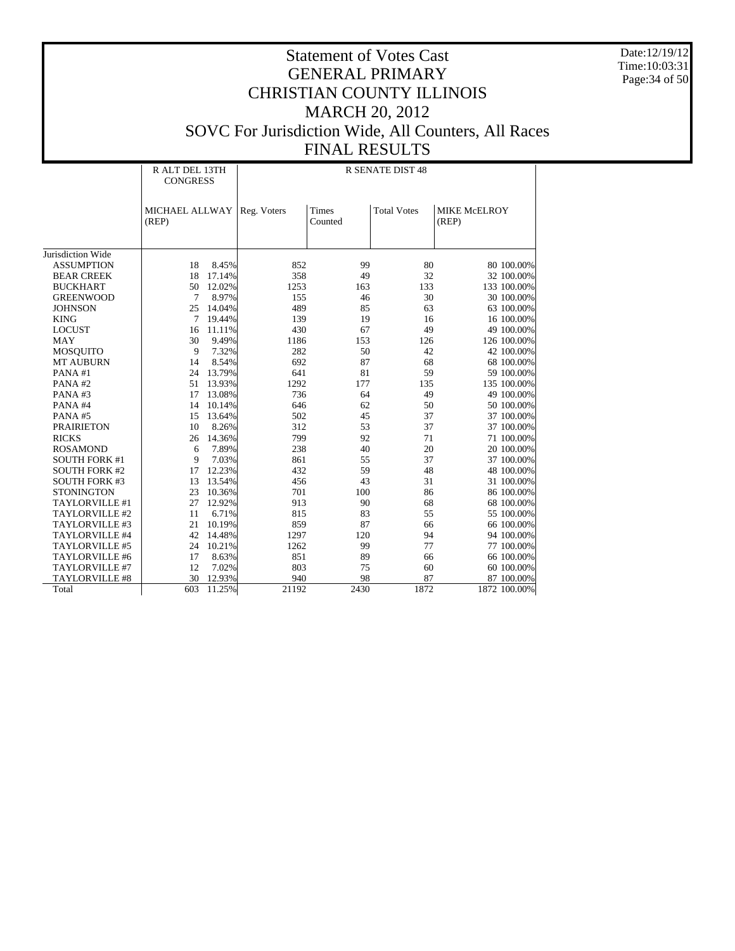Date:12/19/12 Time:10:03:31 Page:34 of 50

|                                        | R ALT DEL 13TH<br><b>CONGRESS</b> |        | <b>R SENATE DIST 48</b> |                  |                    |                           |  |  |
|----------------------------------------|-----------------------------------|--------|-------------------------|------------------|--------------------|---------------------------|--|--|
|                                        | MICHAEL ALLWAY<br>(REP)           |        | Reg. Voters             | Times<br>Counted | <b>Total Votes</b> | MIKE McELROY<br>(REP)     |  |  |
|                                        |                                   |        |                         |                  |                    |                           |  |  |
| Jurisdiction Wide<br><b>ASSUMPTION</b> | 18                                | 8.45%  | 852                     | 99               | 80                 | 80 100.00%                |  |  |
| <b>BEAR CREEK</b>                      | 18                                | 17.14% | 358                     | 49               | 32                 | 32 100.00%                |  |  |
| <b>BUCKHART</b>                        | 50                                | 12.02% | 1253                    |                  | 133                |                           |  |  |
| <b>GREENWOOD</b>                       | $\tau$                            | 8.97%  | 155                     | 163<br>46        | 30                 | 133 100.00%<br>30 100.00% |  |  |
| <b>JOHNSON</b>                         | 25                                | 14.04% | 489                     | 85               | 63                 | 63 100.00%                |  |  |
| <b>KING</b>                            | 7                                 | 19.44% | 139                     | 19               | 16                 | 16 100.00%                |  |  |
| <b>LOCUST</b>                          | 16                                | 11.11% | 430                     | 67               | 49                 | 49 100.00%                |  |  |
| <b>MAY</b>                             | 30                                | 9.49%  | 1186                    | 153              | 126                | 126 100.00%               |  |  |
| <b>MOSQUITO</b>                        | 9                                 | 7.32%  | 282                     | 50               | 42                 | 42 100.00%                |  |  |
| <b>MT AUBURN</b>                       | 14                                | 8.54%  | 692                     | 87               | 68                 | 68 100.00%                |  |  |
| PANA#1                                 | 24                                | 13.79% | 641                     | 81               | 59                 | 59 100.00%                |  |  |
| PANA#2                                 | 51                                | 13.93% | 1292                    | 177              | 135                | 135 100.00%               |  |  |
| PANA#3                                 | 17                                | 13.08% | 736                     | 64               | 49                 | 49 100.00%                |  |  |
| PANA#4                                 | 14                                | 10.14% | 646                     | 62               | 50                 | 50 100.00%                |  |  |
| PANA#5                                 | 15                                | 13.64% | 502                     | 45               | 37                 | 37 100.00%                |  |  |
| <b>PRAIRIETON</b>                      | 10                                | 8.26%  | 312                     | 53               | 37                 | 37 100.00%                |  |  |
| <b>RICKS</b>                           | 26                                | 14.36% | 799                     | 92               | 71                 | 71 100.00%                |  |  |
| <b>ROSAMOND</b>                        | 6                                 | 7.89%  | 238                     | 40               | 20                 | 20 100.00%                |  |  |
| <b>SOUTH FORK #1</b>                   | 9                                 | 7.03%  | 861                     | 55               | 37                 | 37 100.00%                |  |  |
| <b>SOUTH FORK #2</b>                   | 17                                | 12.23% | 432                     | 59               | 48                 | 48 100.00%                |  |  |
| <b>SOUTH FORK #3</b>                   | 13                                | 13.54% | 456                     | 43               | 31                 | 31 100.00%                |  |  |
| <b>STONINGTON</b>                      | 23                                | 10.36% | 701                     | 100              | 86                 | 86 100.00%                |  |  |
| TAYLORVILLE #1                         | 27                                | 12.92% | 913                     | 90               | 68                 | 68 100.00%                |  |  |
| TAYLORVILLE #2                         | 11                                | 6.71%  | 815                     | 83               | 55                 | 55 100.00%                |  |  |
| TAYLORVILLE #3                         | 21                                | 10.19% | 859                     | 87               | 66                 | 66 100.00%                |  |  |
| TAYLORVILLE #4                         | 42                                | 14.48% | 1297                    | 120              | 94                 | 94 100.00%                |  |  |
| TAYLORVILLE #5                         | 24                                | 10.21% | 1262                    | 99               | 77                 | 77 100.00%                |  |  |
| TAYLORVILLE #6                         | 17                                | 8.63%  | 851                     | 89               | 66                 | 66 100.00%                |  |  |
| TAYLORVILLE #7                         | 12                                | 7.02%  | 803                     | 75               | 60                 | 60 100.00%                |  |  |
| <b>TAYLORVILLE #8</b>                  | 30                                | 12.93% | 940                     | 98               | 87                 | 87 100.00%                |  |  |
| Total                                  | 603                               | 11.25% | 21192                   | 2430             | 1872               | 1872 100.00%              |  |  |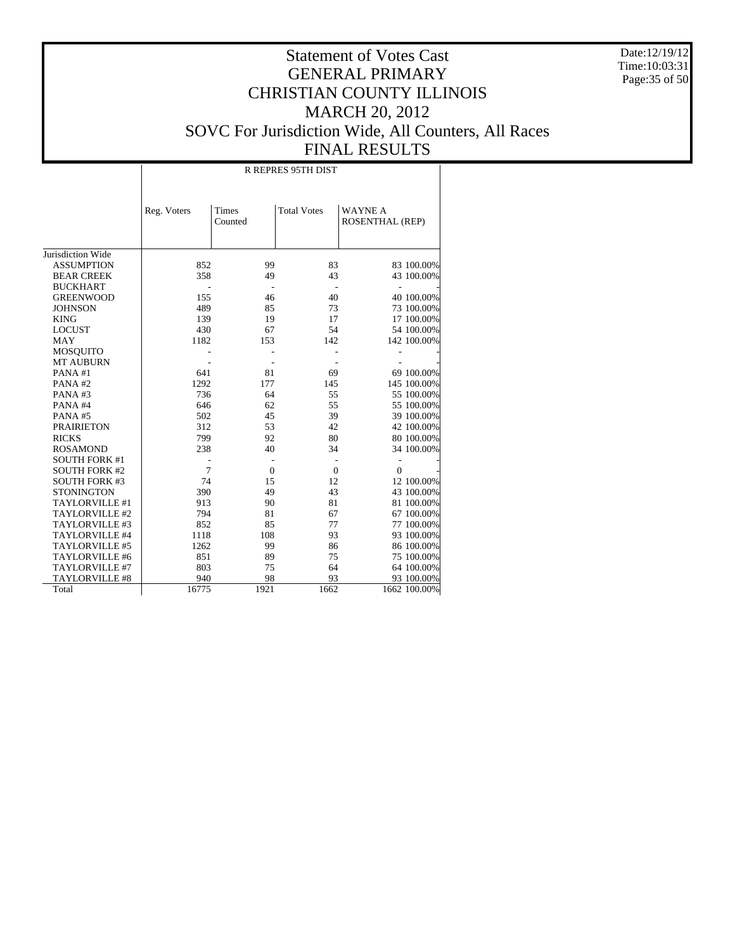Date:12/19/12 Time:10:03:31 Page:35 of 50

|                       |             |                  | R REPRES 95TH DIST |                                          |
|-----------------------|-------------|------------------|--------------------|------------------------------------------|
|                       | Reg. Voters | Times<br>Counted | <b>Total Votes</b> | <b>WAYNE A</b><br><b>ROSENTHAL (REP)</b> |
| Jurisdiction Wide     |             |                  |                    |                                          |
| <b>ASSUMPTION</b>     | 852         | 99               | 83                 | 83 100.00%                               |
| <b>BEAR CREEK</b>     | 358         | 49               | 43                 | 43 100.00%                               |
| <b>BUCKHART</b>       |             |                  |                    | ä,                                       |
| <b>GREENWOOD</b>      | 155         | 46               | 40                 | 40 100.00%                               |
| <b>JOHNSON</b>        | 489         | 85               | 73                 | 73 100.00%                               |
| <b>KING</b>           | 139         | 19               | 17                 | 17 100.00%                               |
| <b>LOCUST</b>         | 430         | 67               | 54                 | 54 100.00%                               |
| <b>MAY</b>            | 1182        | 153              | 142                | 142 100.00%                              |
| <b>MOSQUITO</b>       |             |                  |                    |                                          |
| <b>MT AUBURN</b>      |             |                  |                    |                                          |
| PANA#1                | 641         | 81               | 69                 | 69 100.00%                               |
| PANA#2                | 1292        | 177              | 145                | 145 100.00%                              |
| PANA#3                | 736         | 64               | 55                 | 55 100.00%                               |
| PANA#4                | 646         | 62               | 55                 | 55 100.00%                               |
| PANA#5                | 502         | 45               | 39                 | 39 100.00%                               |
| <b>PRAIRIETON</b>     | 312         | 53               | 42                 | 42 100.00%                               |
| <b>RICKS</b>          | 799         | 92               | 80                 | 80 100.00%                               |
| <b>ROSAMOND</b>       | 238         | 40               | 34                 | 34 100.00%                               |
| <b>SOUTH FORK #1</b>  |             |                  |                    | $\overline{a}$                           |
| <b>SOUTH FORK #2</b>  | 7           | $\overline{0}$   | $\mathbf{0}$       | $\overline{0}$                           |
| <b>SOUTH FORK #3</b>  | 74          | 15               | 12                 | 12 100.00%                               |
| <b>STONINGTON</b>     | 390         | 49               | 43                 | 43 100.00%                               |
| TAYLORVILLE #1        | 913         | 90               | 81                 | 81 100.00%                               |
| TAYLORVILLE #2        | 794         | 81               | 67                 | 67 100.00%                               |
| TAYLORVILLE #3        | 852         | 85               | 77                 | 77 100.00%                               |
| TAYLORVILLE #4        | 1118        | 108              | 93                 | 93 100.00%                               |
| TAYLORVILLE #5        | 1262        | 99               | 86                 | 86 100.00%                               |
| TAYLORVILLE #6        | 851         | 89               | 75                 | 75 100.00%                               |
| TAYLORVILLE #7        | 803         | 75               | 64                 | 64 100.00%                               |
| <b>TAYLORVILLE #8</b> | 940         | 98               | 93                 | 93 100.00%                               |
| Total                 | 16775       | 1921             | 1662               | 1662 100.00%                             |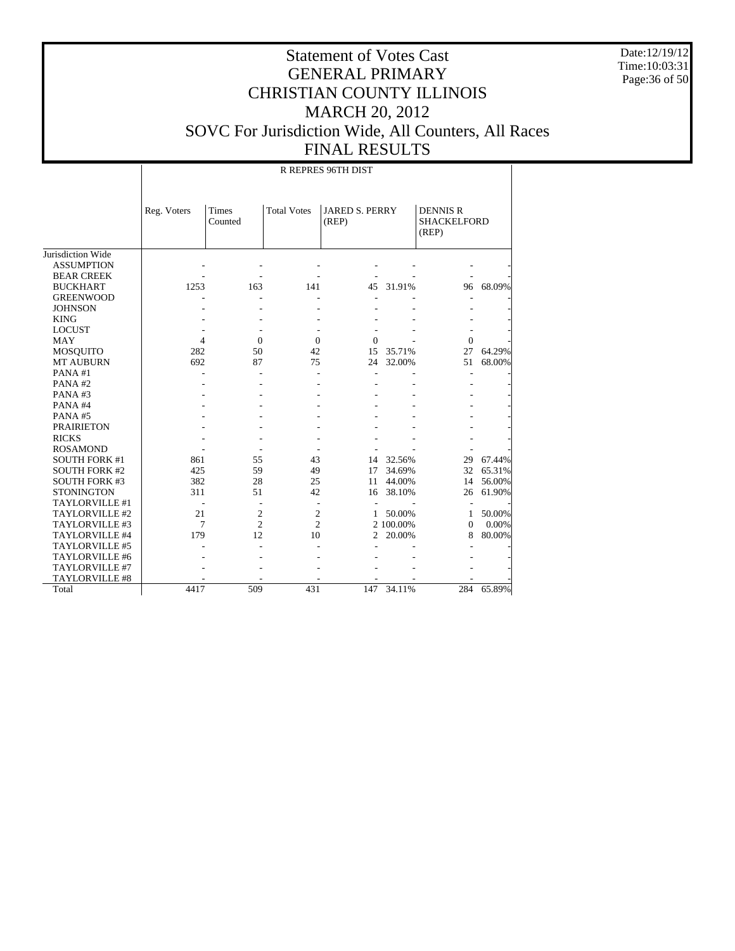Date:12/19/12 Time:10:03:31 Page:36 of 50

|                       |                |                         |                    | R REPRES 96TH DIST             |           |                                                |        |
|-----------------------|----------------|-------------------------|--------------------|--------------------------------|-----------|------------------------------------------------|--------|
|                       | Reg. Voters    | <b>Times</b><br>Counted | <b>Total Votes</b> | <b>JARED S. PERRY</b><br>(REP) |           | <b>DENNIS R</b><br><b>SHACKELFORD</b><br>(REP) |        |
| Jurisdiction Wide     |                |                         |                    |                                |           |                                                |        |
| <b>ASSUMPTION</b>     |                |                         |                    |                                |           |                                                |        |
| <b>BEAR CREEK</b>     |                |                         |                    |                                |           |                                                |        |
| <b>BUCKHART</b>       | 1253           | 163                     | 141                | 45                             | 31.91%    | 96                                             | 68.09% |
| <b>GREENWOOD</b>      |                |                         |                    |                                |           |                                                |        |
| <b>JOHNSON</b>        |                |                         |                    |                                |           |                                                |        |
| <b>KING</b>           |                |                         |                    |                                |           |                                                |        |
| <b>LOCUST</b>         |                |                         |                    |                                |           |                                                |        |
| <b>MAY</b>            | $\overline{4}$ | $\Omega$                | $\Omega$           | $\Omega$                       |           | $\overline{0}$                                 |        |
| <b>MOSQUITO</b>       | 282            | 50                      | 42                 | 15                             | 35.71%    | 27                                             | 64.29% |
| <b>MT AUBURN</b>      | 692            | 87                      | 75                 | 24                             | 32.00%    | 51                                             | 68.00% |
| PANA#1                |                |                         | L.                 | L.                             |           |                                                |        |
| PANA#2                |                |                         |                    |                                |           |                                                |        |
| PANA#3                |                |                         |                    |                                |           |                                                |        |
| PANA#4                |                |                         |                    |                                |           |                                                |        |
| PANA#5                |                |                         |                    |                                |           |                                                |        |
| <b>PRAIRIETON</b>     |                |                         |                    |                                |           |                                                |        |
| <b>RICKS</b>          |                |                         |                    |                                |           |                                                |        |
| <b>ROSAMOND</b>       |                |                         |                    |                                |           |                                                |        |
| <b>SOUTH FORK #1</b>  | 861            | 55                      | 43                 | 14                             | 32.56%    | 29                                             | 67.44% |
| <b>SOUTH FORK #2</b>  | 425            | 59                      | 49                 | 17                             | 34.69%    | 32                                             | 65.31% |
| <b>SOUTH FORK #3</b>  | 382            | 28                      | 25                 | 11                             | 44.00%    | 14                                             | 56.00% |
| <b>STONINGTON</b>     | 311            | 51                      | 42                 | 16                             | 38.10%    | 26                                             | 61.90% |
| TAYLORVILLE #1        |                |                         |                    |                                |           |                                                |        |
| TAYLORVILLE #2        | 21             | $\mathbf{2}$            | $\overline{c}$     | 1                              | 50.00%    | 1                                              | 50.00% |
| TAYLORVILLE #3        | 7              | $\overline{c}$          | $\overline{c}$     |                                | 2 100.00% | $\Omega$                                       | 0.00%  |
| TAYLORVILLE #4        | 179            | 12                      | 10                 | 2                              | 20.00%    | 8                                              | 80.00% |
| TAYLORVILLE #5        |                |                         |                    |                                |           |                                                |        |
| TAYLORVILLE #6        |                |                         |                    |                                |           |                                                |        |
| TAYLORVILLE #7        |                |                         |                    |                                |           |                                                |        |
| <b>TAYLORVILLE #8</b> |                |                         |                    |                                |           |                                                |        |
| Total                 | 4417           | 509                     | 431                | 147                            | 34.11%    | 284                                            | 65.89% |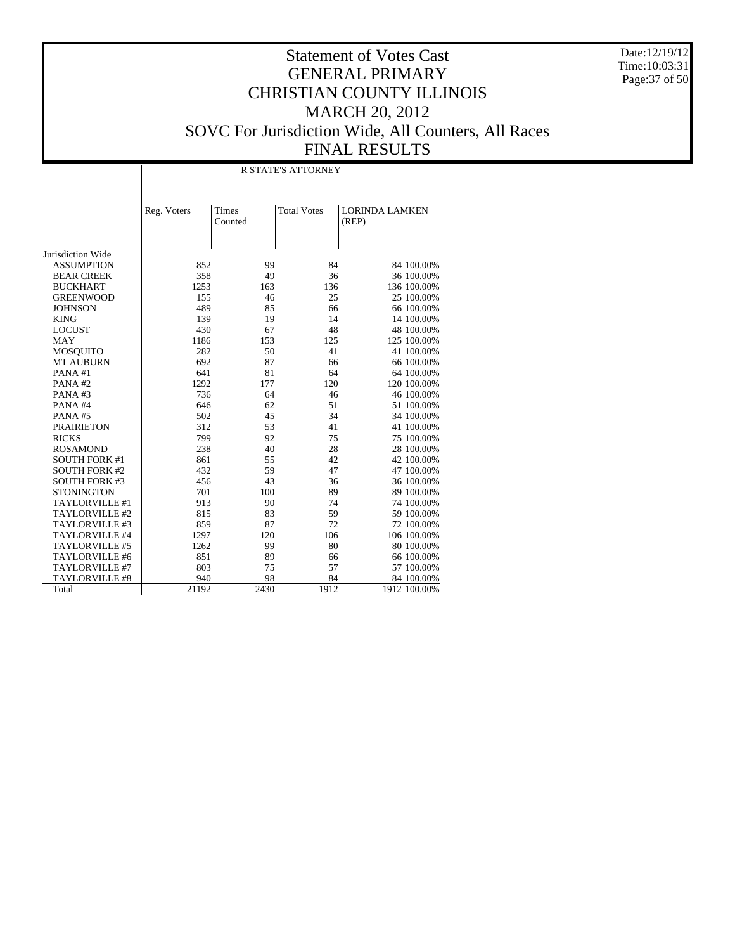Date:12/19/12 Time:10:03:31 Page:37 of 50

|                       |             |                  | <b>R STATE'S ATTORNEY</b> |                                |
|-----------------------|-------------|------------------|---------------------------|--------------------------------|
|                       | Reg. Voters | Times<br>Counted | <b>Total Votes</b>        | <b>LORINDA LAMKEN</b><br>(REP) |
| Jurisdiction Wide     |             |                  |                           |                                |
| <b>ASSUMPTION</b>     | 852         | 99               | 84                        | 84 100.00%                     |
| <b>BEAR CREEK</b>     | 358         | 49               | 36                        | 36 100.00%                     |
| <b>BUCKHART</b>       | 1253        | 163              | 136                       | 136 100.00%                    |
| <b>GREENWOOD</b>      | 155         | 46               | 25                        | 25 100.00%                     |
| <b>JOHNSON</b>        | 489         | 85               | 66                        | 66 100.00%                     |
| <b>KING</b>           | 139         | 19               | 14                        | 14 100.00%                     |
| <b>LOCUST</b>         | 430         | 67               | 48                        | 48 100.00%                     |
| <b>MAY</b>            | 1186        | 153              | 125                       | 125 100.00%                    |
| <b>MOSQUITO</b>       | 282         | 50               | 41                        | 41 100.00%                     |
| <b>MT AUBURN</b>      | 692         | 87               | 66                        | 66 100.00%                     |
| PANA#1                | 641         | 81               | 64                        | 64 100.00%                     |
| PANA#2                | 1292        | 177              | 120                       | 120 100.00%                    |
| PANA#3                | 736         | 64               | 46                        | 46 100.00%                     |
| PANA#4                | 646         | 62               | 51                        | 51 100.00%                     |
| PANA#5                | 502         | 45               | 34                        | 34 100.00%                     |
| <b>PRAIRIETON</b>     | 312         | 53               | 41                        | 41 100.00%                     |
| <b>RICKS</b>          | 799         | 92               | 75                        | 75 100.00%                     |
| <b>ROSAMOND</b>       | 238         | 40               | 28                        | 28 100.00%                     |
| <b>SOUTH FORK #1</b>  | 861         | 55               | 42                        | 42 100.00%                     |
| <b>SOUTH FORK #2</b>  | 432         | 59               | 47                        | 47 100.00%                     |
| <b>SOUTH FORK #3</b>  | 456         | 43               | 36                        | 36 100.00%                     |
| <b>STONINGTON</b>     | 701         | 100              | 89                        | 89 100.00%                     |
| TAYLORVILLE #1        | 913         | 90               | 74                        | 74 100.00%                     |
| TAYLORVILLE #2        | 815         | 83               | 59                        | 59 100.00%                     |
| TAYLORVILLE #3        | 859         | 87               | 72                        | 72 100.00%                     |
| TAYLORVILLE #4        | 1297        | 120              | 106                       | 106 100.00%                    |
| TAYLORVILLE #5        | 1262        | 99               | 80                        | 80 100.00%                     |
| TAYLORVILLE #6        | 851         | 89               | 66                        | 66 100.00%                     |
| TAYLORVILLE #7        | 803         | 75               | 57                        | 57 100.00%                     |
| <b>TAYLORVILLE #8</b> | 940         | 98               | 84                        | 84 100.00%                     |
| Total                 | 21192       | 2430             | 1912                      | 1912 100.00%                   |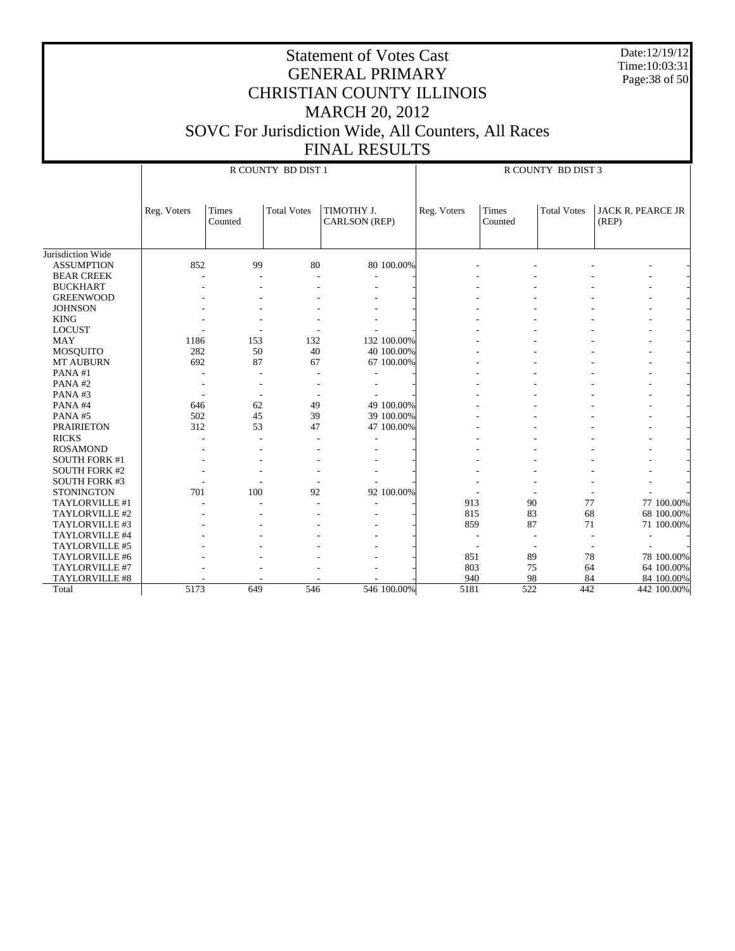Date:12/19/12 Time:10:03:31 Page:38 of 50

|                      |             |                  | R COUNTY BD DIST 1 |                             |             |             |                  | R COUNTY BD DIST 3 |                                   |             |
|----------------------|-------------|------------------|--------------------|-----------------------------|-------------|-------------|------------------|--------------------|-----------------------------------|-------------|
|                      | Reg. Voters | Times<br>Counted | <b>Total Votes</b> | TIMOTHY J.<br>CARLSON (REP) |             | Reg. Voters | Times<br>Counted | <b>Total Votes</b> | <b>JACK R. PEARCE JR</b><br>(REP) |             |
| Jurisdiction Wide    |             |                  |                    |                             |             |             |                  |                    |                                   |             |
| <b>ASSUMPTION</b>    | 852         | 99               | 80                 |                             | 80 100.00%  |             |                  |                    |                                   |             |
| <b>BEAR CREEK</b>    |             |                  |                    |                             |             |             |                  |                    |                                   |             |
| <b>BUCKHART</b>      |             |                  |                    | ۰                           |             |             |                  |                    |                                   |             |
| <b>GREENWOOD</b>     |             |                  |                    |                             |             |             |                  |                    |                                   |             |
| <b>JOHNSON</b>       |             |                  |                    |                             |             |             |                  |                    |                                   |             |
| <b>KING</b>          |             |                  |                    |                             |             |             |                  |                    |                                   |             |
| <b>LOCUST</b>        |             |                  |                    |                             |             |             |                  |                    |                                   |             |
| MAY                  | 1186        | 153              | 132                |                             | 132 100.00% |             |                  |                    |                                   |             |
| <b>MOSQUITO</b>      | 282         | 50               | 40                 |                             | 40 100.00%  |             |                  |                    |                                   |             |
| <b>MT AUBURN</b>     | 692         | 87               | 67                 |                             | 67 100.00%  |             |                  |                    |                                   |             |
| PANA#1               |             |                  |                    |                             |             |             |                  |                    |                                   |             |
| PANA#2               |             |                  |                    |                             |             |             |                  |                    |                                   |             |
| PANA#3               |             |                  |                    |                             |             |             |                  |                    |                                   |             |
| PANA#4               | 646         | 62               | 49                 |                             | 49 100.00%  |             |                  |                    |                                   |             |
| PANA#5               | 502         | 45               | 39                 |                             | 39 100.00%  |             |                  |                    |                                   |             |
| <b>PRAIRIETON</b>    | 312         | 53               | 47                 |                             | 47 100.00%  |             |                  |                    |                                   |             |
| <b>RICKS</b>         |             |                  | ٠                  |                             |             |             |                  |                    |                                   |             |
| <b>ROSAMOND</b>      |             |                  |                    |                             |             |             |                  |                    |                                   |             |
| <b>SOUTH FORK #1</b> |             |                  |                    |                             |             |             |                  |                    |                                   |             |
| <b>SOUTH FORK #2</b> |             |                  |                    |                             |             |             |                  |                    |                                   |             |
| <b>SOUTH FORK #3</b> |             |                  |                    |                             |             |             |                  |                    |                                   |             |
| <b>STONINGTON</b>    | 701         | 100              | 92                 |                             | 92 100.00%  |             |                  |                    |                                   |             |
| TAYLORVILLE #1       |             |                  |                    |                             |             | 913         | 90               | 77                 |                                   | 77 100.00%  |
| TAYLORVILLE #2       |             |                  |                    |                             |             | 815         | 83               | 68                 |                                   | 68 100.00%  |
| TAYLORVILLE #3       |             |                  |                    |                             |             | 859         | 87               | 71                 |                                   | 71 100.00%  |
| TAYLORVILLE #4       |             |                  |                    |                             |             |             |                  |                    |                                   |             |
| TAYLORVILLE #5       |             |                  |                    |                             |             |             | ٠                |                    |                                   |             |
| TAYLORVILLE #6       |             |                  |                    |                             |             | 851         | 89               | 78                 |                                   | 78 100.00%  |
| TAYLORVILLE #7       |             |                  |                    |                             |             | 803         | 75               | 64                 |                                   | 64 100.00%  |
| TAYLORVILLE #8       |             |                  |                    |                             |             | 940         | 98               | 84                 |                                   | 84 100.00%  |
| Total                | 5173        | 649              | 546                |                             | 546 100.00% | 5181        | 522              | 442                |                                   | 442 100.00% |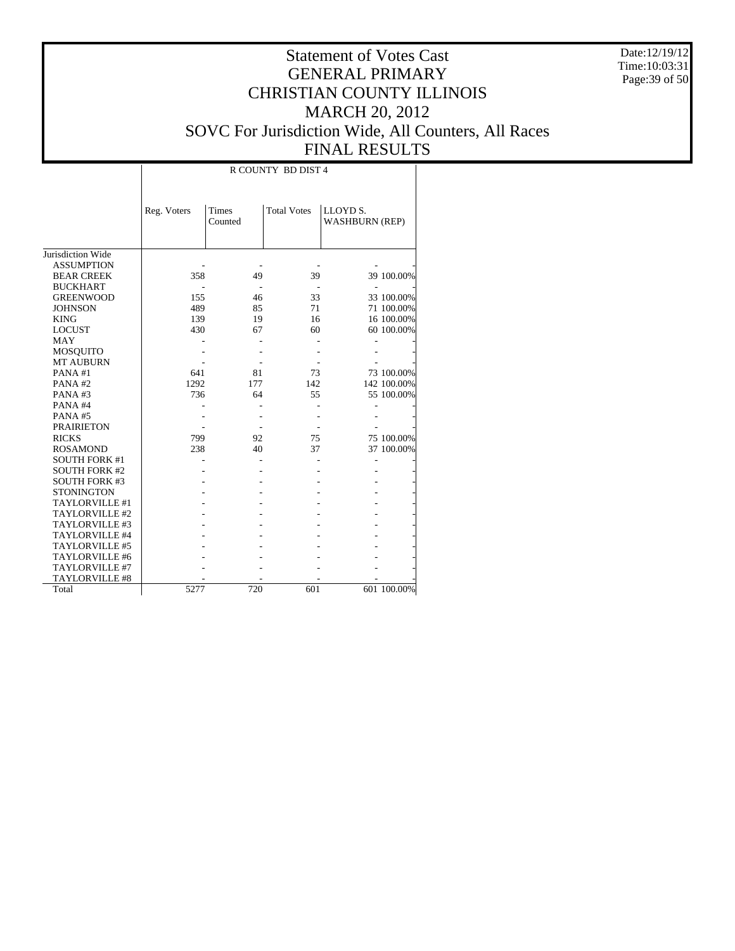Date:12/19/12 Time:10:03:31 Page:39 of 50

# Statement of Votes Cast GENERAL PRIMARY CHRISTIAN COUNTY ILLINOIS MARCH 20, 2012 SOVC For Jurisdiction Wide, All Counters, All Races FINAL RESULTS

|                       |             |                         | R COUNTY BD DIST 4 |                                   |             |
|-----------------------|-------------|-------------------------|--------------------|-----------------------------------|-------------|
|                       | Reg. Voters | <b>Times</b><br>Counted | <b>Total Votes</b> | LLOYD S.<br><b>WASHBURN (REP)</b> |             |
| Jurisdiction Wide     |             |                         |                    |                                   |             |
| <b>ASSUMPTION</b>     |             |                         |                    |                                   |             |
| <b>BEAR CREEK</b>     | 358         | 49                      | 39                 |                                   | 39 100.00%  |
| <b>BUCKHART</b>       |             |                         |                    |                                   |             |
| <b>GREENWOOD</b>      | 155         | 46                      | 33                 |                                   | 33 100.00%  |
| <b>JOHNSON</b>        | 489         | 85                      | 71                 |                                   | 71 100.00%  |
| <b>KING</b>           | 139         | 19                      | 16                 |                                   | 16 100.00%  |
| <b>LOCUST</b>         | 430         | 67                      | 60                 |                                   | 60 100.00%  |
| <b>MAY</b>            |             |                         |                    |                                   |             |
| MOSQUITO              |             |                         |                    |                                   |             |
| <b>MT AUBURN</b>      |             |                         |                    |                                   |             |
| PANA#1                | 641         | 81                      | 73                 |                                   | 73 100.00%  |
| PANA#2                | 1292        | 177                     | 142                |                                   | 142 100.00% |
| PANA#3                | 736         | 64                      | 55                 |                                   | 55 100.00%  |
| PANA#4                |             |                         |                    |                                   |             |
| PANA#5                |             |                         |                    |                                   |             |
| <b>PRAIRIETON</b>     |             |                         |                    |                                   |             |
| <b>RICKS</b>          | 799         | 92                      | 75                 |                                   | 75 100.00%  |
| <b>ROSAMOND</b>       | 238         | 40                      | 37                 |                                   | 37 100.00%  |
| <b>SOUTH FORK #1</b>  |             |                         |                    |                                   |             |
| <b>SOUTH FORK #2</b>  |             |                         |                    |                                   |             |
| <b>SOUTH FORK #3</b>  |             |                         |                    |                                   |             |
| <b>STONINGTON</b>     |             |                         |                    |                                   |             |
| TAYLORVILLE #1        |             |                         |                    |                                   |             |
| TAYLORVILLE #2        |             |                         |                    |                                   |             |
| TAYLORVILLE #3        |             |                         |                    |                                   |             |
| TAYLORVILLE #4        |             |                         |                    |                                   |             |
| TAYLORVILLE #5        |             |                         |                    |                                   |             |
| TAYLORVILLE #6        |             |                         |                    |                                   |             |
| TAYLORVILLE #7        |             |                         |                    |                                   |             |
| <b>TAYLORVILLE #8</b> |             |                         |                    |                                   |             |
| Total                 | 5277        | 720                     | 601                |                                   | 601 100.00% |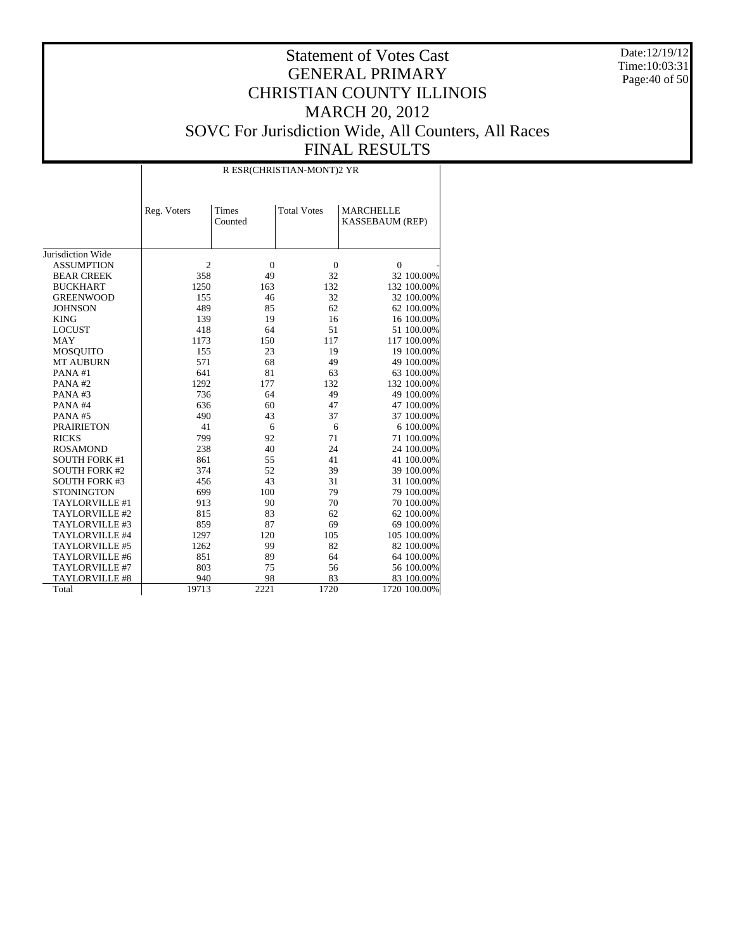Date:12/19/12 Time:10:03:31 Page:40 of 50

|                       |             |                  | R ESR(CHRISTIAN-MONT)2 YR |                                            |
|-----------------------|-------------|------------------|---------------------------|--------------------------------------------|
|                       | Reg. Voters | Times<br>Counted | <b>Total Votes</b>        | <b>MARCHELLE</b><br><b>KASSEBAUM (REP)</b> |
| Jurisdiction Wide     |             |                  |                           |                                            |
| <b>ASSUMPTION</b>     | 2           | $\theta$         | $\boldsymbol{0}$          | $\mathbf{0}$                               |
| <b>BEAR CREEK</b>     | 358         | 49               | 32                        | 32 100.00%                                 |
| <b>BUCKHART</b>       | 1250        | 163              | 132                       | 132 100.00%                                |
| <b>GREENWOOD</b>      | 155         | 46               | 32                        | 32 100.00%                                 |
| <b>JOHNSON</b>        | 489         | 85               | 62                        | 62 100.00%                                 |
| <b>KING</b>           | 139         | 19               | 16                        | 16 100.00%                                 |
| <b>LOCUST</b>         | 418         | 64               | 51                        | 51 100.00%                                 |
| <b>MAY</b>            | 1173        | 150              | 117                       | 117 100.00%                                |
| <b>MOSQUITO</b>       | 155         | 23               | 19                        | 19 100.00%                                 |
| <b>MT AUBURN</b>      | 571         | 68               | 49                        | 49 100.00%                                 |
| PANA#1                | 641         | 81               | 63                        | 63 100.00%                                 |
| PANA#2                | 1292        | 177              | 132                       | 132 100.00%                                |
| PANA#3                | 736         | 64               | 49                        | 49 100.00%                                 |
| PANA#4                | 636         | 60               | 47                        | 47 100.00%                                 |
| PANA#5                | 490         | 43               | 37                        | 37 100.00%                                 |
| <b>PRAIRIETON</b>     | 41          | 6                | 6                         | 6 100.00%                                  |
| <b>RICKS</b>          | 799         | 92               | 71                        | 71 100.00%                                 |
| <b>ROSAMOND</b>       | 238         | 40               | 24                        | 24 100.00%                                 |
| <b>SOUTH FORK #1</b>  | 861         | 55               | 41                        | 41 100.00%                                 |
| <b>SOUTH FORK #2</b>  | 374         | 52               | 39                        | 39 100.00%                                 |
| <b>SOUTH FORK #3</b>  | 456         | 43               | 31                        | 31 100.00%                                 |
| <b>STONINGTON</b>     | 699         | 100              | 79                        | 79 100.00%                                 |
| TAYLORVILLE #1        | 913         | 90               | 70                        | 70 100.00%                                 |
| TAYLORVILLE #2        | 815         | 83               | 62                        | 62 100.00%                                 |
| TAYLORVILLE #3        | 859         | 87               | 69                        | 69 100.00%                                 |
| TAYLORVILLE #4        | 1297        | 120              | 105                       | 105 100.00%                                |
| TAYLORVILLE #5        | 1262        | 99               | 82                        | 82 100.00%                                 |
| TAYLORVILLE #6        | 851         | 89               | 64                        | 64 100.00%                                 |
| TAYLORVILLE #7        | 803         | 75               | 56                        | 56 100.00%                                 |
| <b>TAYLORVILLE #8</b> | 940         | 98               | 83                        | 83 100.00%                                 |
| Total                 | 19713       | 2221             | 1720                      | 1720 100.00%                               |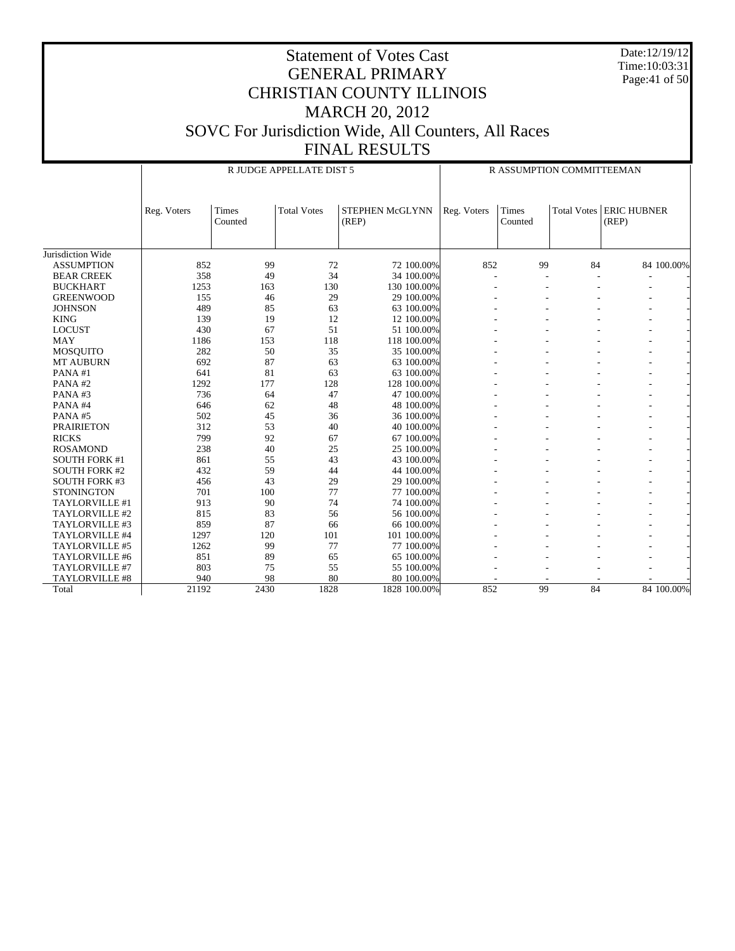Date:12/19/12 Time:10:03:31 Page:41 of 50

|                      |             |                         | R JUDGE APPELLATE DIST 5 |                          |             | R ASSUMPTION COMMITTEEMAN |                    |                             |
|----------------------|-------------|-------------------------|--------------------------|--------------------------|-------------|---------------------------|--------------------|-----------------------------|
|                      | Reg. Voters | <b>Times</b><br>Counted | <b>Total Votes</b>       | STEPHEN McGLYNN<br>(REP) | Reg. Voters | Times<br>Counted          | <b>Total Votes</b> | <b>ERIC HUBNER</b><br>(REP) |
| Jurisdiction Wide    |             |                         |                          |                          |             |                           |                    |                             |
| <b>ASSUMPTION</b>    | 852         | 99                      | 72                       | 72 100.00%               | 852         | 99                        | 84                 | 84 100.00%                  |
| <b>BEAR CREEK</b>    | 358         | 49                      | 34                       | 34 100.00%               |             |                           |                    |                             |
| <b>BUCKHART</b>      | 1253        | 163                     | 130                      | 130 100.00%              |             |                           |                    |                             |
| <b>GREENWOOD</b>     | 155         | 46                      | 29                       | 29 100.00%               |             |                           |                    |                             |
| <b>JOHNSON</b>       | 489         | 85                      | 63                       | 63 100.00%               |             |                           |                    |                             |
| <b>KING</b>          | 139         | 19                      | 12                       | 12 100.00%               |             |                           |                    |                             |
| <b>LOCUST</b>        | 430         | 67                      | 51                       | 51 100.00%               |             |                           |                    |                             |
| <b>MAY</b>           | 1186        | 153                     | 118                      | 118 100.00%              |             |                           |                    |                             |
| <b>MOSQUITO</b>      | 282         | 50                      | 35                       | 35 100.00%               |             |                           |                    |                             |
| <b>MT AUBURN</b>     | 692         | 87                      | 63                       | 63 100.00%               |             |                           |                    |                             |
| PANA#1               | 641         | 81                      | 63                       | 63 100.00%               |             |                           |                    |                             |
| PANA#2               | 1292        | 177                     | 128                      | 128 100.00%              |             |                           |                    |                             |
| PANA#3               | 736         | 64                      | 47                       | 47 100.00%               |             |                           |                    |                             |
| PANA#4               | 646         | 62                      | 48                       | 48 100.00%               |             |                           |                    |                             |
| PANA#5               | 502         | 45                      | 36                       | 36 100.00%               |             |                           |                    |                             |
| <b>PRAIRIETON</b>    | 312         | 53                      | 40                       | 40 100,00%               |             |                           |                    |                             |
| <b>RICKS</b>         | 799         | 92                      | 67                       | 67 100.00%               |             |                           |                    |                             |
| <b>ROSAMOND</b>      | 238         | 40                      | 25                       | 25 100.00%               |             |                           |                    |                             |
| <b>SOUTH FORK #1</b> | 861         | 55                      | 43                       | 43 100.00%               |             |                           |                    |                             |
| <b>SOUTH FORK #2</b> | 432         | 59                      | 44                       | 44 100.00%               |             |                           |                    |                             |
| <b>SOUTH FORK #3</b> | 456         | 43                      | 29                       | 29 100.00%               |             |                           |                    |                             |
| <b>STONINGTON</b>    | 701         | 100                     | 77                       | 77 100.00%               |             |                           |                    |                             |
| TAYLORVILLE #1       | 913         | 90                      | 74                       | 74 100.00%               |             |                           |                    |                             |
| TAYLORVILLE #2       | 815         | 83                      | 56                       | 56 100.00%               |             |                           |                    |                             |
| TAYLORVILLE #3       | 859         | 87                      | 66                       | 66 100.00%               |             |                           |                    |                             |
| TAYLORVILLE #4       | 1297        | 120                     | 101                      | 101 100.00%              |             |                           |                    |                             |
| TAYLORVILLE #5       | 1262        | 99                      | 77                       | 77 100.00%               |             |                           |                    |                             |
| TAYLORVILLE #6       | 851         | 89                      | 65                       | 65 100.00%               |             |                           |                    |                             |
| TAYLORVILLE #7       | 803         | 75                      | 55                       | 55 100.00%               |             |                           |                    |                             |
| TAYLORVILLE #8       | 940         | 98                      | 80                       | 80 100.00%               |             |                           |                    |                             |
| Total                | 21192       | 2430                    | 1828                     | 1828 100.00%             | 852         | 99                        | $\overline{84}$    | 84 100.00%                  |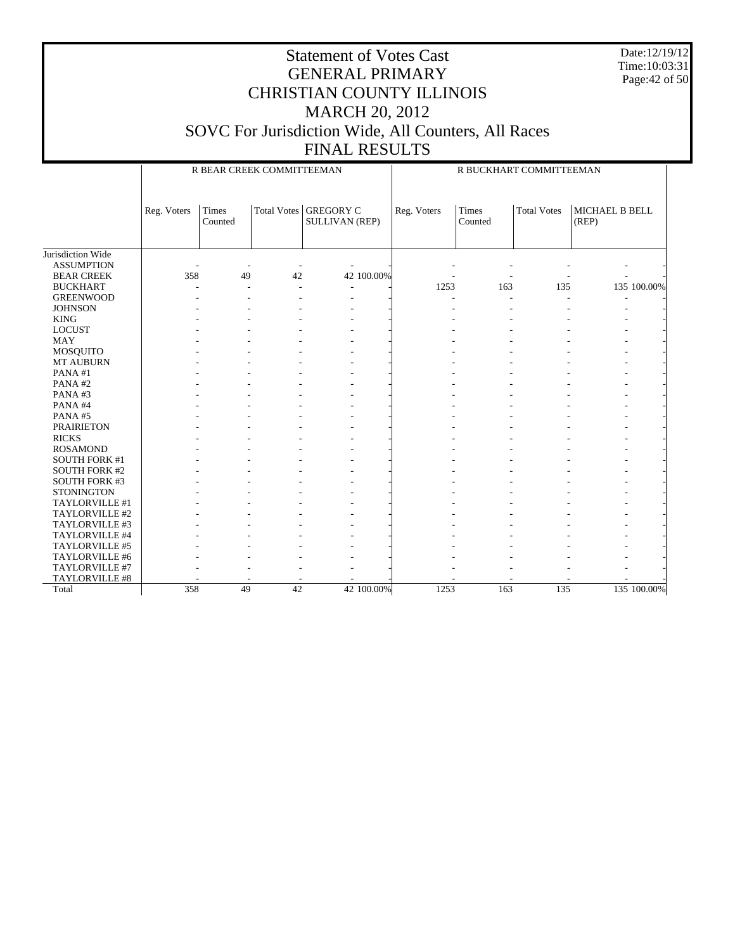Date:12/19/12 Time:10:03:31 Page:42 of 50

|                      |             | R BEAR CREEK COMMITTEEMAN |    |                                                |             | R BUCKHART COMMITTEEMAN  |                    |                         |
|----------------------|-------------|---------------------------|----|------------------------------------------------|-------------|--------------------------|--------------------|-------------------------|
|                      | Reg. Voters | <b>Times</b><br>Counted   |    | Total Votes GREGORY C<br><b>SULLIVAN (REP)</b> | Reg. Voters | <b>Times</b><br>Counted  | <b>Total Votes</b> | MICHAEL B BELL<br>(REP) |
| Jurisdiction Wide    |             |                           |    |                                                |             |                          |                    |                         |
| <b>ASSUMPTION</b>    |             |                           |    |                                                |             |                          |                    |                         |
| <b>BEAR CREEK</b>    | 358         | 49                        | 42 | 42 100.00%                                     |             | $\overline{\phantom{a}}$ |                    |                         |
| <b>BUCKHART</b>      |             |                           |    |                                                | 1253        | 163                      | 135                | 135 100.00%             |
| <b>GREENWOOD</b>     |             |                           |    |                                                |             |                          |                    |                         |
| <b>JOHNSON</b>       |             |                           |    |                                                |             |                          |                    |                         |
| <b>KING</b>          |             |                           |    |                                                |             |                          |                    |                         |
| <b>LOCUST</b>        |             |                           |    |                                                |             |                          |                    |                         |
| <b>MAY</b>           |             |                           |    |                                                |             |                          |                    |                         |
| MOSQUITO             |             |                           |    |                                                |             |                          |                    |                         |
| <b>MT AUBURN</b>     |             |                           |    |                                                |             |                          |                    |                         |
| PANA#1               |             |                           |    |                                                |             |                          |                    |                         |
| PANA#2               |             |                           |    |                                                |             |                          |                    |                         |
| PANA#3               |             |                           |    |                                                |             |                          |                    |                         |
| PANA#4               |             |                           |    |                                                |             |                          |                    |                         |
| PANA#5               |             |                           |    |                                                |             |                          |                    |                         |
| <b>PRAIRIETON</b>    |             |                           |    |                                                |             |                          |                    |                         |
| <b>RICKS</b>         |             |                           |    |                                                |             |                          |                    |                         |
| <b>ROSAMOND</b>      |             |                           |    |                                                |             |                          |                    |                         |
| <b>SOUTH FORK #1</b> |             |                           |    |                                                |             |                          |                    |                         |
| <b>SOUTH FORK #2</b> |             |                           |    |                                                |             |                          |                    |                         |
| <b>SOUTH FORK #3</b> |             |                           |    |                                                |             |                          |                    |                         |
| <b>STONINGTON</b>    |             |                           |    |                                                |             |                          |                    |                         |
| TAYLORVILLE #1       |             |                           |    |                                                |             |                          |                    |                         |
| TAYLORVILLE #2       |             |                           |    |                                                |             |                          |                    |                         |
| TAYLORVILLE #3       |             |                           |    |                                                |             |                          |                    |                         |
| TAYLORVILLE #4       |             |                           |    |                                                |             |                          |                    |                         |
| TAYLORVILLE #5       |             |                           |    |                                                |             |                          |                    |                         |
| TAYLORVILLE #6       |             |                           |    |                                                |             |                          |                    |                         |
| TAYLORVILLE #7       |             |                           |    |                                                |             |                          |                    |                         |
| TAYLORVILLE #8       |             |                           |    |                                                |             |                          |                    |                         |
| Total                | 358         | 49                        | 42 | 42 100.00%                                     | 1253        | 163                      | 135                | 135 100.00%             |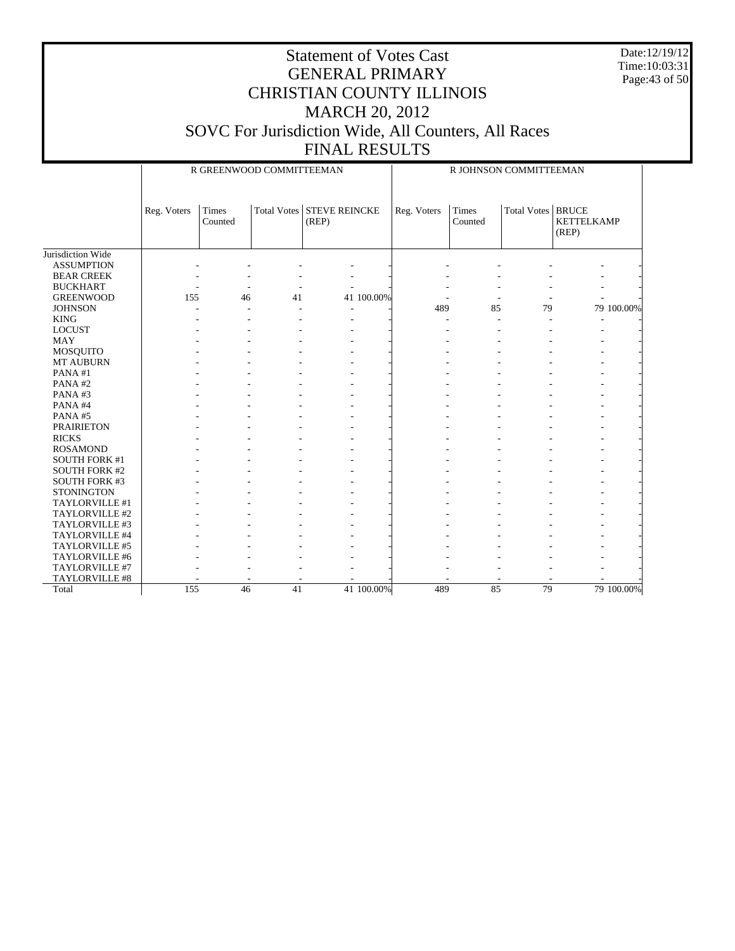Date:12/19/12 Time:10:03:31 Page:43 of 50

|                      |             | R GREENWOOD COMMITTEEMAN |    |                                    |            |             |                  | R JOHNSON COMMITTEEMAN |                            |            |
|----------------------|-------------|--------------------------|----|------------------------------------|------------|-------------|------------------|------------------------|----------------------------|------------|
|                      | Reg. Voters | Times<br>Counted         |    | Total Votes STEVE REINCKE<br>(REP) |            | Reg. Voters | Times<br>Counted | Total Votes   BRUCE    | <b>KETTELKAMP</b><br>(REP) |            |
| Jurisdiction Wide    |             |                          |    |                                    |            |             |                  |                        |                            |            |
| <b>ASSUMPTION</b>    |             |                          |    |                                    |            |             |                  |                        |                            |            |
| <b>BEAR CREEK</b>    |             |                          |    |                                    |            |             |                  |                        |                            |            |
| <b>BUCKHART</b>      |             |                          |    |                                    |            |             |                  |                        |                            |            |
| <b>GREENWOOD</b>     | 155         | 46                       | 41 |                                    | 41 100.00% |             |                  |                        |                            |            |
| <b>JOHNSON</b>       |             |                          |    |                                    |            | 489         | 85               | 79                     |                            | 79 100.00% |
| <b>KING</b>          |             |                          |    |                                    |            |             |                  |                        |                            |            |
| <b>LOCUST</b>        |             |                          |    |                                    |            |             |                  |                        |                            |            |
| <b>MAY</b>           |             |                          |    |                                    |            |             |                  |                        |                            |            |
| MOSQUITO             |             |                          |    |                                    |            |             |                  |                        |                            |            |
| <b>MT AUBURN</b>     |             |                          |    |                                    |            |             |                  |                        |                            |            |
| PANA#1               |             |                          |    |                                    |            |             |                  |                        |                            |            |
| PANA#2               |             |                          |    |                                    |            |             |                  |                        |                            |            |
| PANA#3               |             |                          |    |                                    |            |             |                  |                        |                            |            |
| PANA#4               |             |                          |    |                                    |            |             |                  |                        |                            |            |
| PANA#5               |             |                          |    |                                    |            |             |                  |                        |                            |            |
| <b>PRAIRIETON</b>    |             |                          |    |                                    |            |             |                  |                        |                            |            |
| <b>RICKS</b>         |             |                          |    |                                    |            |             |                  |                        |                            |            |
| <b>ROSAMOND</b>      |             |                          |    |                                    |            |             |                  |                        |                            |            |
| <b>SOUTH FORK #1</b> |             |                          |    |                                    |            |             |                  |                        |                            |            |
| <b>SOUTH FORK #2</b> |             |                          |    |                                    |            |             |                  |                        |                            |            |
| <b>SOUTH FORK #3</b> |             |                          |    |                                    |            |             |                  |                        |                            |            |
| <b>STONINGTON</b>    |             |                          |    |                                    |            |             |                  |                        |                            |            |
| TAYLORVILLE #1       |             |                          |    |                                    |            |             |                  |                        |                            |            |
| TAYLORVILLE #2       |             |                          |    |                                    |            |             |                  |                        |                            |            |
| TAYLORVILLE #3       |             |                          |    |                                    |            |             |                  |                        |                            |            |
| TAYLORVILLE #4       |             |                          |    |                                    |            |             |                  |                        |                            |            |
| TAYLORVILLE #5       |             |                          |    |                                    |            |             |                  |                        |                            |            |
| TAYLORVILLE #6       |             |                          |    |                                    |            |             |                  |                        |                            |            |
| TAYLORVILLE #7       |             |                          |    |                                    |            |             |                  |                        |                            |            |
| TAYLORVILLE #8       |             |                          |    |                                    |            |             |                  |                        |                            |            |
| Total                | 155         | 46                       | 41 |                                    | 41 100.00% | 489         | 85               | 79                     |                            | 79 100.00% |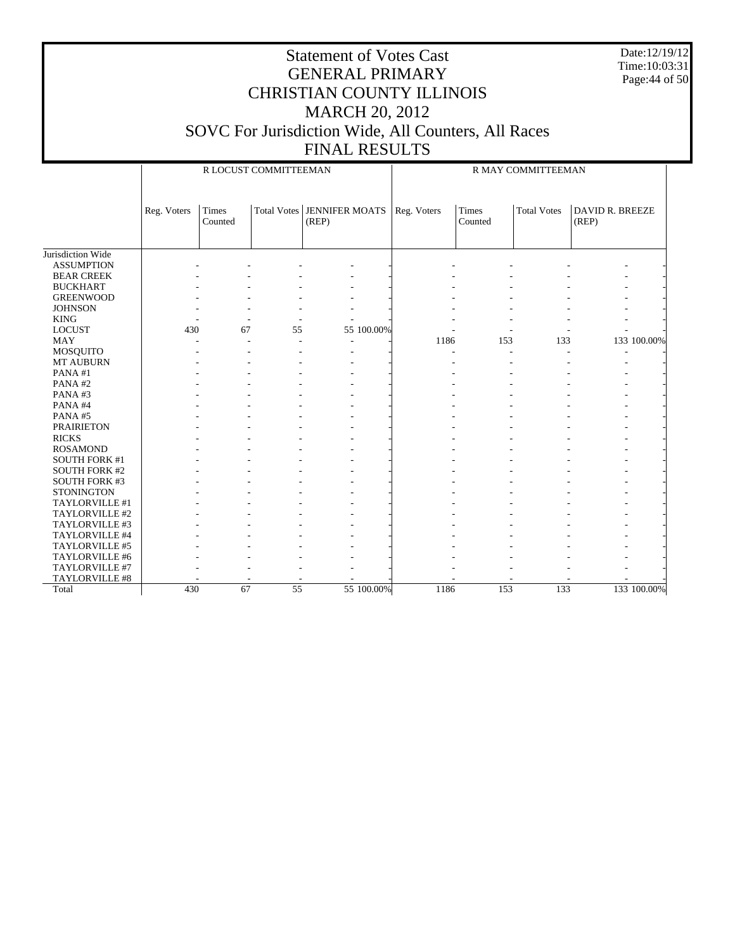Date:12/19/12 Time:10:03:31 Page:44 of 50

|                      |             |                  | R LOCUST COMMITTEEMAN |                                       |             |                          | R MAY COMMITTEEMAN |                                 |
|----------------------|-------------|------------------|-----------------------|---------------------------------------|-------------|--------------------------|--------------------|---------------------------------|
|                      | Reg. Voters | Times<br>Counted |                       | Total Votes   JENNIFER MOATS<br>(REP) | Reg. Voters | Times<br>Counted         | <b>Total Votes</b> | <b>DAVID R. BREEZE</b><br>(REP) |
| Jurisdiction Wide    |             |                  |                       |                                       |             |                          |                    |                                 |
| <b>ASSUMPTION</b>    |             |                  |                       |                                       |             |                          |                    |                                 |
| <b>BEAR CREEK</b>    |             |                  |                       |                                       |             |                          |                    |                                 |
| <b>BUCKHART</b>      |             |                  |                       |                                       |             |                          |                    |                                 |
| <b>GREENWOOD</b>     |             |                  |                       |                                       |             |                          |                    |                                 |
| <b>JOHNSON</b>       |             |                  |                       |                                       |             |                          |                    |                                 |
| <b>KING</b>          |             |                  |                       |                                       |             |                          |                    |                                 |
| <b>LOCUST</b>        | 430         | 67               | 55                    | 55 100.00%                            |             |                          |                    |                                 |
| <b>MAY</b>           |             |                  |                       |                                       | 1186        | 153                      | 133                | 133 100.00%                     |
| MOSQUITO             |             |                  |                       |                                       |             | $\overline{\phantom{a}}$ |                    |                                 |
| MT AUBURN            |             |                  |                       |                                       |             |                          |                    |                                 |
| PANA#1               |             |                  |                       |                                       |             |                          |                    |                                 |
| PANA#2               |             |                  |                       |                                       |             |                          |                    |                                 |
| PANA#3               |             |                  |                       |                                       |             |                          |                    |                                 |
| PANA#4               |             |                  |                       |                                       |             |                          |                    |                                 |
| PANA#5               |             |                  |                       |                                       |             |                          |                    |                                 |
| <b>PRAIRIETON</b>    |             |                  |                       |                                       |             |                          |                    |                                 |
| <b>RICKS</b>         |             |                  |                       |                                       |             |                          |                    |                                 |
| <b>ROSAMOND</b>      |             |                  |                       |                                       |             |                          |                    |                                 |
| <b>SOUTH FORK #1</b> |             |                  |                       |                                       |             |                          |                    |                                 |
| <b>SOUTH FORK #2</b> |             |                  |                       |                                       |             |                          |                    |                                 |
| <b>SOUTH FORK #3</b> |             |                  |                       |                                       |             |                          |                    |                                 |
| <b>STONINGTON</b>    |             |                  |                       |                                       |             |                          |                    |                                 |
| TAYLORVILLE #1       |             |                  |                       |                                       |             |                          |                    |                                 |
| TAYLORVILLE #2       |             |                  |                       |                                       |             |                          |                    |                                 |
| TAYLORVILLE #3       |             |                  |                       |                                       |             |                          |                    |                                 |
| TAYLORVILLE #4       |             |                  |                       |                                       |             |                          |                    |                                 |
| TAYLORVILLE #5       |             |                  |                       |                                       |             |                          |                    |                                 |
| TAYLORVILLE #6       |             |                  |                       |                                       |             |                          |                    |                                 |
| TAYLORVILLE #7       |             |                  |                       |                                       |             |                          |                    |                                 |
| TAYLORVILLE #8       |             |                  |                       |                                       |             |                          |                    |                                 |
| Total                | 430         | 67               | $\overline{55}$       | 55 100.00%                            | 1186        | 153                      | 133                | 133 100.00%                     |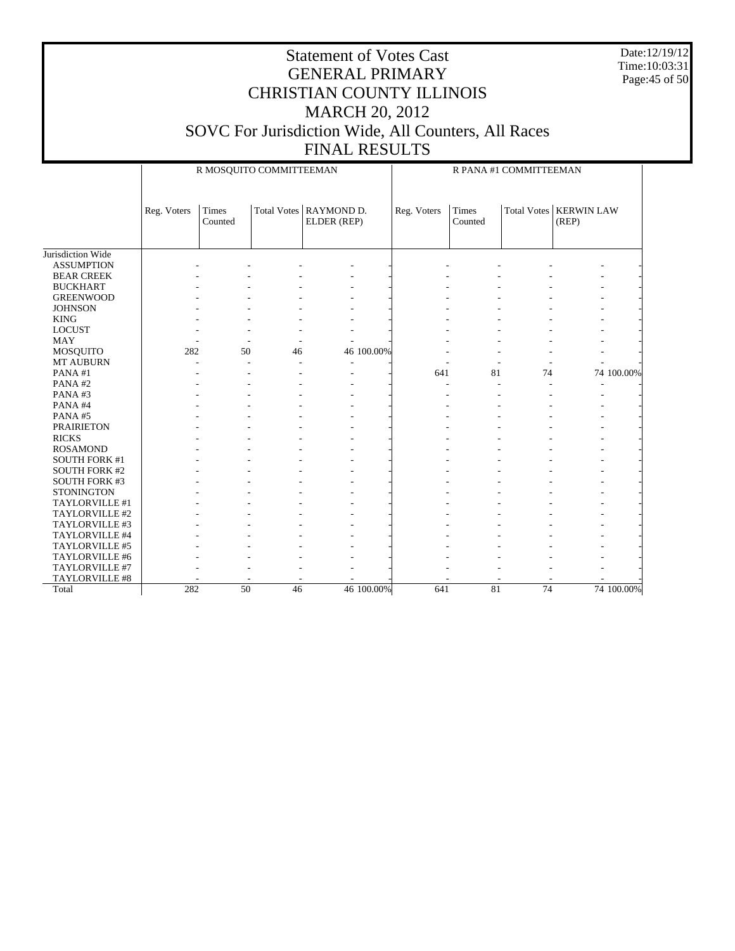Date:12/19/12 Time:10:03:31 Page:45 of 50

|                      |             | R MOSQUITO COMMITTEEMAN |    |                                         |             |                  | R PANA #1 COMMITTEEMAN |                                   |            |
|----------------------|-------------|-------------------------|----|-----------------------------------------|-------------|------------------|------------------------|-----------------------------------|------------|
|                      | Reg. Voters | Times<br>Counted        |    | Total Votes   RAYMOND D.<br>ELDER (REP) | Reg. Voters | Times<br>Counted |                        | Total Votes   KERWIN LAW<br>(REP) |            |
|                      |             |                         |    |                                         |             |                  |                        |                                   |            |
| Jurisdiction Wide    |             |                         |    |                                         |             |                  |                        |                                   |            |
| <b>ASSUMPTION</b>    |             |                         |    |                                         |             |                  |                        |                                   |            |
| <b>BEAR CREEK</b>    |             |                         |    |                                         |             |                  |                        |                                   |            |
| <b>BUCKHART</b>      |             |                         |    |                                         |             |                  |                        |                                   |            |
| <b>GREENWOOD</b>     |             |                         |    |                                         |             |                  |                        |                                   |            |
| <b>JOHNSON</b>       |             |                         |    |                                         |             |                  |                        |                                   |            |
| <b>KING</b>          |             |                         |    |                                         |             |                  |                        |                                   |            |
| <b>LOCUST</b>        |             |                         |    |                                         |             |                  |                        |                                   |            |
| <b>MAY</b>           |             |                         |    |                                         |             |                  |                        |                                   |            |
| MOSQUITO             | 282         | 50                      | 46 | 46 100.00%                              |             |                  |                        |                                   |            |
| <b>MT AUBURN</b>     |             |                         |    | $\overline{a}$                          |             |                  |                        |                                   |            |
| PANA#1               |             |                         |    |                                         | 641         | 81               | 74                     |                                   | 74 100.00% |
| PANA#2               |             |                         |    |                                         |             |                  |                        |                                   |            |
| PANA#3               |             |                         |    |                                         |             |                  |                        |                                   |            |
| PANA#4               |             |                         |    |                                         |             |                  |                        |                                   |            |
| PANA#5               |             |                         |    |                                         |             |                  |                        |                                   |            |
| <b>PRAIRIETON</b>    |             |                         |    |                                         |             |                  |                        |                                   |            |
| <b>RICKS</b>         |             |                         |    |                                         |             |                  |                        |                                   |            |
| <b>ROSAMOND</b>      |             |                         |    |                                         |             |                  |                        |                                   |            |
| <b>SOUTH FORK #1</b> |             |                         |    |                                         |             |                  |                        |                                   |            |
| <b>SOUTH FORK #2</b> |             |                         |    |                                         |             |                  |                        |                                   |            |
| <b>SOUTH FORK #3</b> |             |                         |    |                                         |             |                  |                        |                                   |            |
| <b>STONINGTON</b>    |             |                         |    |                                         |             |                  |                        |                                   |            |
| TAYLORVILLE #1       |             |                         |    |                                         |             |                  |                        |                                   |            |
| TAYLORVILLE #2       |             |                         |    |                                         |             |                  |                        |                                   |            |
| TAYLORVILLE #3       |             |                         |    |                                         |             |                  |                        |                                   |            |
| TAYLORVILLE #4       |             |                         |    |                                         |             |                  |                        |                                   |            |
| TAYLORVILLE #5       |             |                         |    |                                         |             |                  |                        |                                   |            |
| TAYLORVILLE #6       |             |                         |    |                                         |             |                  |                        |                                   |            |
| TAYLORVILLE #7       |             |                         |    |                                         |             |                  |                        |                                   |            |
| TAYLORVILLE #8       |             |                         |    |                                         |             |                  |                        |                                   |            |
| Total                | 282         | $\overline{50}$         | 46 | 46 100.00%                              | 641         | 81               | 74                     |                                   | 74 100.00% |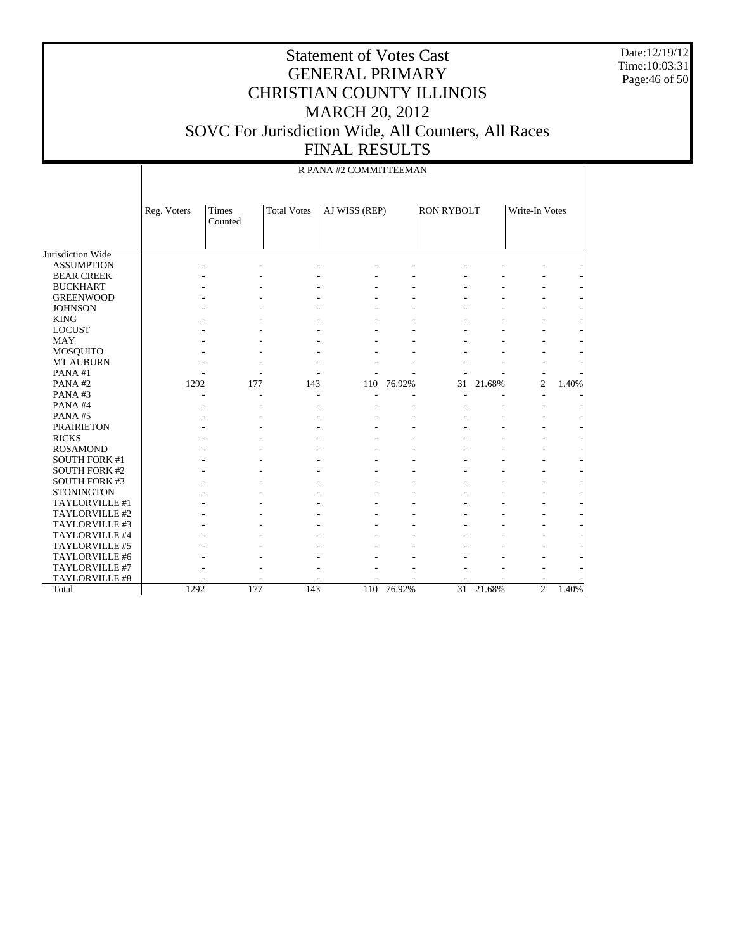Date:12/19/12 Time:10:03:31 Page:46 of 50

|                      |             |                  |                    | R PANA #2 COMMITTEEMAN |            |                   |        |                |       |
|----------------------|-------------|------------------|--------------------|------------------------|------------|-------------------|--------|----------------|-------|
|                      | Reg. Voters | Times<br>Counted | <b>Total Votes</b> | AJ WISS (REP)          |            | <b>RON RYBOLT</b> |        | Write-In Votes |       |
| Jurisdiction Wide    |             |                  |                    |                        |            |                   |        |                |       |
| <b>ASSUMPTION</b>    |             |                  |                    |                        |            |                   |        |                |       |
| <b>BEAR CREEK</b>    |             |                  |                    |                        |            |                   |        |                |       |
| <b>BUCKHART</b>      |             |                  |                    |                        |            |                   |        |                |       |
| <b>GREENWOOD</b>     |             |                  |                    |                        |            |                   |        |                |       |
| <b>JOHNSON</b>       |             |                  |                    |                        |            |                   |        |                |       |
| <b>KING</b>          |             |                  |                    |                        |            |                   |        |                |       |
| <b>LOCUST</b>        |             |                  |                    |                        |            |                   |        |                |       |
| <b>MAY</b>           |             |                  |                    |                        |            |                   |        |                |       |
| <b>MOSQUITO</b>      |             |                  |                    |                        |            |                   |        |                |       |
| <b>MT AUBURN</b>     |             |                  |                    |                        |            |                   |        |                |       |
| PANA#1               |             |                  |                    |                        |            |                   |        |                |       |
| PANA#2               | 1292        | 177              | 143                |                        | 110 76.92% | 31                | 21.68% | $\overline{2}$ | 1.40% |
| PANA#3               |             |                  |                    |                        |            |                   |        |                |       |
| PANA#4               |             |                  |                    |                        |            |                   |        |                |       |
| PANA#5               |             |                  |                    |                        |            |                   |        |                |       |
| <b>PRAIRIETON</b>    |             |                  |                    |                        |            |                   |        |                |       |
| <b>RICKS</b>         |             |                  |                    |                        |            |                   |        |                |       |
| <b>ROSAMOND</b>      |             |                  |                    |                        |            |                   |        |                |       |
| <b>SOUTH FORK #1</b> |             |                  |                    |                        |            |                   |        |                |       |
| <b>SOUTH FORK #2</b> |             |                  |                    |                        |            |                   |        |                |       |
| SOUTH FORK #3        |             |                  |                    |                        |            |                   |        |                |       |
| <b>STONINGTON</b>    |             |                  |                    |                        |            |                   |        |                |       |
| TAYLORVILLE #1       |             |                  |                    |                        |            |                   |        |                |       |
| TAYLORVILLE #2       |             |                  |                    |                        |            |                   |        |                |       |
| TAYLORVILLE #3       |             |                  |                    |                        |            |                   |        |                |       |
| TAYLORVILLE #4       |             |                  |                    |                        |            |                   |        |                |       |
| TAYLORVILLE #5       |             |                  |                    |                        |            |                   |        |                |       |
| TAYLORVILLE #6       |             |                  |                    |                        |            |                   |        |                |       |
| TAYLORVILLE #7       |             |                  |                    |                        |            |                   |        |                |       |
| TAYLORVILLE #8       |             |                  |                    |                        |            |                   |        |                |       |
| Total                | 1292        | 177              | 143                | 110                    | 76.92%     | $\overline{31}$   | 21.68% | $\overline{2}$ | 1.40% |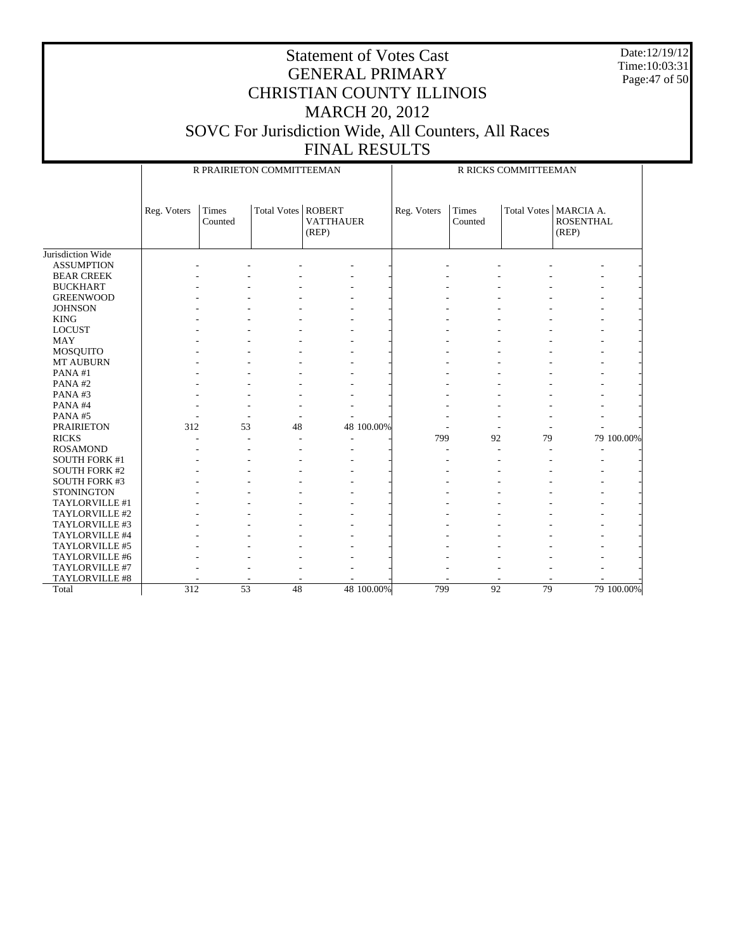Date:12/19/12 Time:10:03:31 Page:47 of 50

|                      |             |                  | R PRAIRIETON COMMITTEEMAN |                                            |            |             |                  | R RICKS COMMITTEEMAN |                                                      |            |
|----------------------|-------------|------------------|---------------------------|--------------------------------------------|------------|-------------|------------------|----------------------|------------------------------------------------------|------------|
|                      | Reg. Voters | Times<br>Counted | <b>Total Votes</b>        | <b>ROBERT</b><br><b>VATTHAUER</b><br>(REP) |            | Reg. Voters | Times<br>Counted |                      | Total Votes   MARCIA A.<br><b>ROSENTHAL</b><br>(REP) |            |
| Jurisdiction Wide    |             |                  |                           |                                            |            |             |                  |                      |                                                      |            |
| <b>ASSUMPTION</b>    |             |                  |                           |                                            |            |             |                  |                      |                                                      |            |
| <b>BEAR CREEK</b>    |             |                  |                           |                                            |            |             |                  |                      |                                                      |            |
| <b>BUCKHART</b>      |             |                  |                           |                                            |            |             |                  |                      |                                                      |            |
| <b>GREENWOOD</b>     |             |                  |                           |                                            |            |             |                  |                      |                                                      |            |
| <b>JOHNSON</b>       |             |                  |                           |                                            |            |             |                  |                      |                                                      |            |
| <b>KING</b>          |             |                  |                           |                                            |            |             |                  |                      |                                                      |            |
| <b>LOCUST</b>        |             |                  |                           |                                            |            |             |                  |                      |                                                      |            |
| <b>MAY</b>           |             |                  |                           |                                            |            |             |                  |                      |                                                      |            |
| MOSQUITO             |             |                  |                           |                                            |            |             |                  |                      |                                                      |            |
| <b>MT AUBURN</b>     |             |                  |                           |                                            |            |             |                  |                      |                                                      |            |
| PANA#1               |             |                  |                           |                                            |            |             |                  |                      |                                                      |            |
| PANA#2               |             |                  |                           |                                            |            |             |                  |                      |                                                      |            |
| PANA#3               |             |                  |                           |                                            |            |             |                  |                      |                                                      |            |
| PANA#4               |             |                  |                           |                                            |            |             |                  |                      |                                                      |            |
| PANA#5               |             |                  |                           |                                            |            |             |                  |                      |                                                      |            |
| <b>PRAIRIETON</b>    | 312         | 53               | 48                        |                                            | 48 100.00% |             |                  |                      |                                                      |            |
| <b>RICKS</b>         |             |                  |                           |                                            |            | 799         | 92               | 79                   |                                                      | 79 100.00% |
| <b>ROSAMOND</b>      |             |                  |                           |                                            |            |             |                  |                      |                                                      |            |
| <b>SOUTH FORK #1</b> |             |                  |                           |                                            |            |             |                  |                      |                                                      |            |
| <b>SOUTH FORK #2</b> |             |                  |                           |                                            |            |             |                  |                      |                                                      |            |
| <b>SOUTH FORK #3</b> |             |                  |                           |                                            |            |             |                  |                      |                                                      |            |
| <b>STONINGTON</b>    |             |                  |                           |                                            |            |             |                  |                      |                                                      |            |
| TAYLORVILLE #1       |             |                  |                           |                                            |            |             |                  |                      |                                                      |            |
| TAYLORVILLE #2       |             |                  |                           |                                            |            |             |                  |                      |                                                      |            |
| TAYLORVILLE #3       |             |                  |                           |                                            |            |             |                  |                      |                                                      |            |
| TAYLORVILLE #4       |             |                  |                           |                                            |            |             |                  |                      |                                                      |            |
| TAYLORVILLE #5       |             |                  |                           |                                            |            |             |                  |                      |                                                      |            |
| TAYLORVILLE #6       |             |                  |                           |                                            |            |             |                  |                      |                                                      |            |
| TAYLORVILLE #7       |             |                  |                           |                                            |            |             |                  |                      |                                                      |            |
| TAYLORVILLE #8       |             |                  |                           |                                            |            |             |                  |                      |                                                      |            |
| Total                | 312         | $\overline{53}$  | 48                        |                                            | 48 100.00% | 799         | $\overline{92}$  | 79                   |                                                      | 79 100.00% |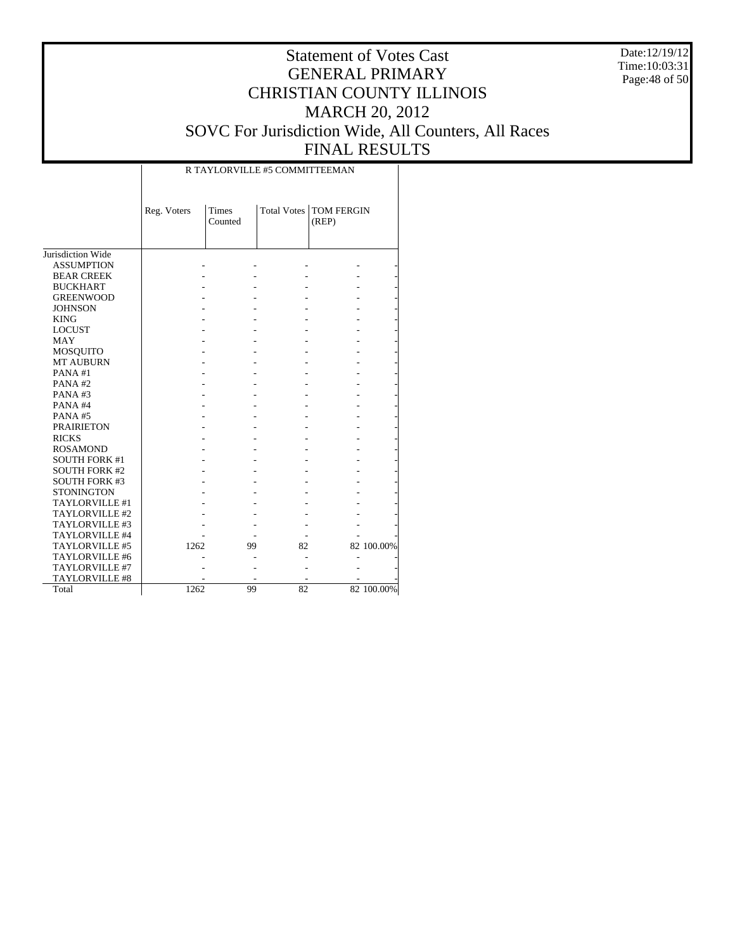Date:12/19/12 Time:10:03:31 Page:48 of 50

# Statement of Votes Cast GENERAL PRIMARY CHRISTIAN COUNTY ILLINOIS MARCH 20, 2012 SOVC For Jurisdiction Wide, All Counters, All Races FINAL RESULTS

|                       | Reg. Voters | <b>Times</b><br>Counted |    | Total Votes   TOM FERGIN<br>(REP) |            |
|-----------------------|-------------|-------------------------|----|-----------------------------------|------------|
| Jurisdiction Wide     |             |                         |    |                                   |            |
| <b>ASSUMPTION</b>     |             |                         |    |                                   |            |
| <b>BEAR CREEK</b>     |             |                         |    |                                   |            |
| <b>BUCKHART</b>       |             |                         |    |                                   |            |
| <b>GREENWOOD</b>      |             |                         |    |                                   |            |
| <b>JOHNSON</b>        |             |                         |    |                                   |            |
| <b>KING</b>           |             |                         |    |                                   |            |
| <b>LOCUST</b>         |             |                         |    |                                   |            |
| <b>MAY</b>            |             |                         |    |                                   |            |
| MOSQUITO              |             |                         |    |                                   |            |
| <b>MT AUBURN</b>      |             |                         |    |                                   |            |
| PANA #1               |             |                         |    |                                   |            |
| PANA#2                |             |                         |    |                                   |            |
| PANA# $3$             |             |                         |    |                                   |            |
| PANA#4                |             |                         |    |                                   |            |
| PANA#5                |             |                         |    |                                   |            |
| <b>PRAIRIETON</b>     |             |                         |    |                                   |            |
| <b>RICKS</b>          |             |                         |    |                                   |            |
| <b>ROSAMOND</b>       |             |                         |    |                                   |            |
| <b>SOUTH FORK #1</b>  |             |                         |    |                                   |            |
| <b>SOUTH FORK #2</b>  |             |                         |    |                                   |            |
| <b>SOUTH FORK #3</b>  |             |                         |    |                                   |            |
| <b>STONINGTON</b>     |             |                         |    |                                   |            |
| TAYLORVILLE #1        |             |                         |    |                                   |            |
| TAYLORVILLE #2        |             |                         |    |                                   |            |
| TAYLORVILLE #3        |             |                         |    |                                   |            |
| TAYLORVILLE #4        |             |                         |    |                                   |            |
| TAYLORVILLE #5        | 1262        | 99                      | 82 |                                   | 82 100.00% |
| TAYLORVILLE #6        |             |                         |    |                                   |            |
| TAYLORVILLE #7        |             |                         |    |                                   |            |
| <b>TAYLORVILLE #8</b> |             |                         |    |                                   |            |
| Total                 | 1262        | 99                      | 82 |                                   | 82 100.00% |

R TAYLORVILLE #5 COMMITTEEMAN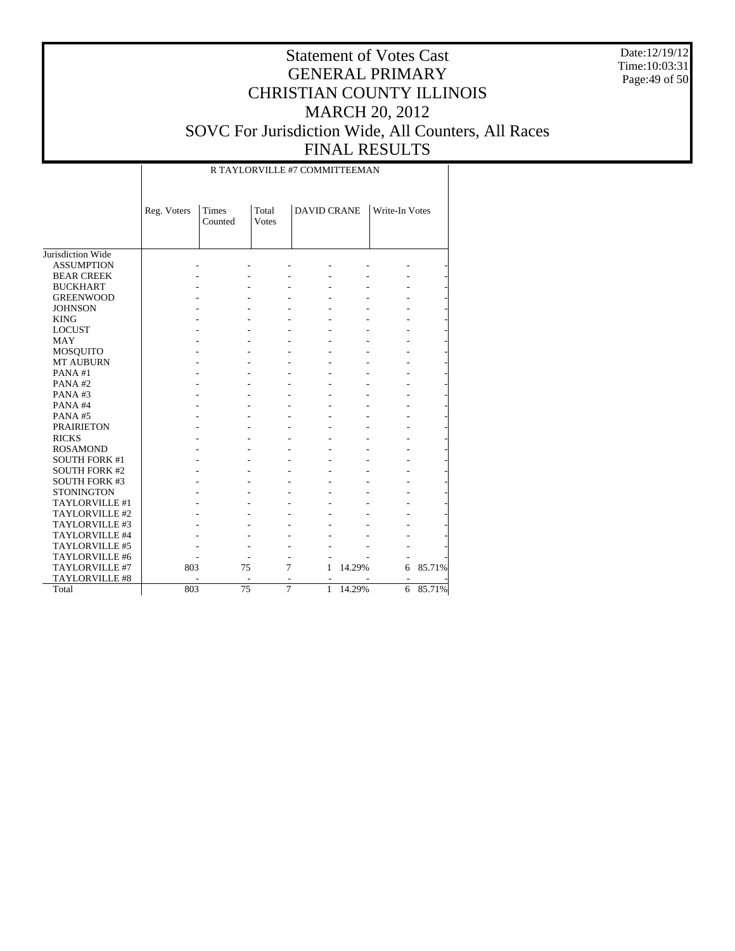Date:12/19/12 Time:10:03:31 Page:49 of 50

| R TAYLORVILLE #7 COMMITTEEMAN |
|-------------------------------|
|-------------------------------|

|                       | Reg. Voters | Times   | Total         | <b>DAVID CRANE</b>             |        | Write-In Votes |        |
|-----------------------|-------------|---------|---------------|--------------------------------|--------|----------------|--------|
|                       |             | Counted | <b>V</b> otes |                                |        |                |        |
|                       |             |         |               |                                |        |                |        |
|                       |             |         |               |                                |        |                |        |
| Jurisdiction Wide     |             |         |               |                                |        |                |        |
| <b>ASSUMPTION</b>     |             |         |               |                                |        |                |        |
| <b>BEAR CREEK</b>     |             |         |               |                                |        |                |        |
| <b>BUCKHART</b>       |             |         |               |                                |        |                |        |
| <b>GREENWOOD</b>      |             |         |               |                                |        |                |        |
| <b>JOHNSON</b>        |             |         |               |                                |        |                |        |
| <b>KING</b>           |             |         |               |                                |        |                |        |
| <b>LOCUST</b>         |             |         |               |                                |        |                |        |
| MAY                   |             |         |               |                                |        |                |        |
| MOSQUITO              |             |         |               |                                |        |                |        |
| <b>MT AUBURN</b>      |             |         |               |                                |        |                |        |
| PANA#1                |             |         |               |                                |        |                |        |
| PANA#2                |             |         |               |                                |        |                |        |
| PANA#3                |             |         |               |                                |        |                |        |
| PANA#4                |             |         |               |                                |        |                |        |
| PANA#5                |             |         |               |                                |        |                |        |
| <b>PRAIRIETON</b>     |             |         |               |                                |        |                |        |
| <b>RICKS</b>          |             |         |               |                                |        |                |        |
| <b>ROSAMOND</b>       |             |         |               |                                |        |                |        |
| <b>SOUTH FORK #1</b>  |             |         |               |                                |        |                |        |
| <b>SOUTH FORK #2</b>  |             |         |               |                                |        |                |        |
| <b>SOUTH FORK #3</b>  |             |         |               |                                |        |                |        |
| <b>STONINGTON</b>     |             |         |               |                                |        |                |        |
| TAYLORVILLE #1        |             |         |               |                                |        |                |        |
| TAYLORVILLE #2        |             |         |               |                                |        |                |        |
| TAYLORVILLE #3        |             |         |               |                                |        |                |        |
| TAYLORVILLE #4        |             |         |               |                                |        |                |        |
| TAYLORVILLE #5        |             |         |               |                                |        |                |        |
| TAYLORVILLE #6        |             |         |               |                                |        |                |        |
| TAYLORVILLE #7        | 803         |         | 75            | 7<br>1                         | 14.29% | 6              | 85.71% |
| <b>TAYLORVILLE #8</b> |             |         | ٠             |                                |        | ٠              |        |
| Total                 | 803         |         | 75            | $\overline{7}$<br>$\mathbf{1}$ | 14.29% | 6              | 85.71% |